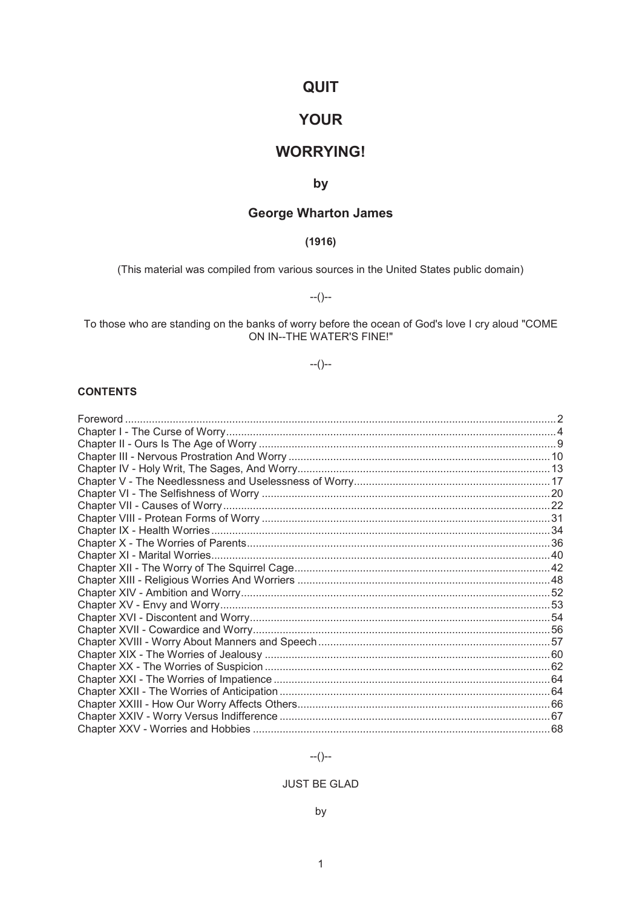# **QUIT**

# **YOUR**

# **WORRYING!**

# by

# **George Wharton James**

# $(1916)$

(This material was compiled from various sources in the United States public domain)

 $-(-)$ 

To those who are standing on the banks of worry before the ocean of God's love I cry aloud "COME<br>ON IN--THE WATER'S FINE!"

# $-(-)$

# **CONTENTS**

# $-(-1)$

# **JUST BE GLAD**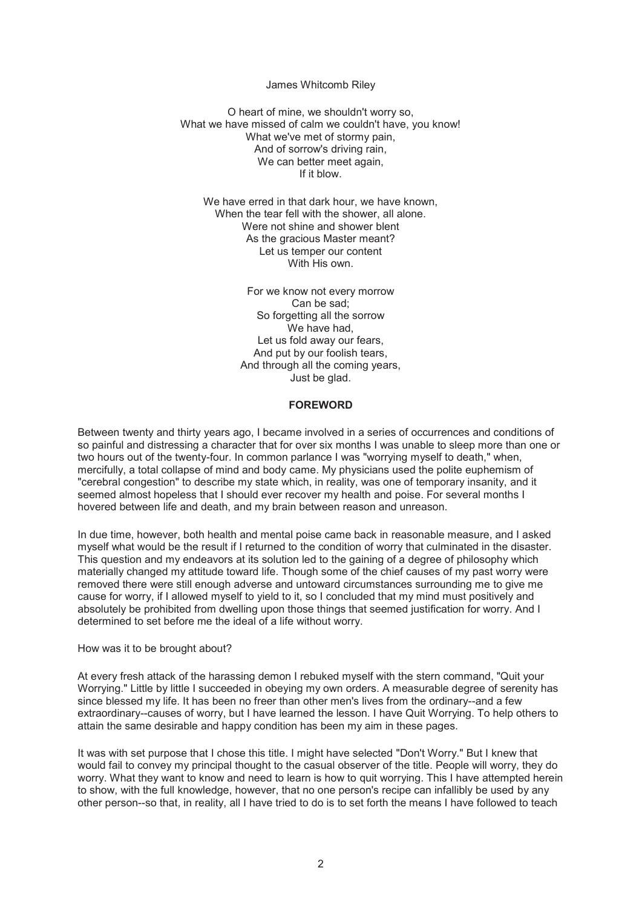#### James Whitcomb Riley

O heart of mine, we shouldn't worry so, What we have missed of calm we couldn't have, you know! What we've met of stormy pain, And of sorrow's driving rain. We can better meet again. If it blow.

We have erred in that dark hour, we have known, When the tear fell with the shower, all alone. Were not shine and shower blent As the gracious Master meant? Let us temper our content With His own.

> For we know not every morrow Can be sad; So forgetting all the sorrow We have had. Let us fold away our fears, And put by our foolish tears, And through all the coming years, Just be glad.

#### **FOREWORD**

Between twenty and thirty years ago, I became involved in a series of occurrences and conditions of so painful and distressing a character that for over six months I was unable to sleep more than one or two hours out of the twenty-four. In common parlance I was "worrying myself to death," when, mercifully, a total collapse of mind and body came. My physicians used the polite euphemism of "cerebral congestion" to describe my state which, in reality, was one of temporary insanity, and it seemed almost hopeless that I should ever recover my health and poise. For several months I hovered between life and death, and my brain between reason and unreason.

In due time, however, both health and mental poise came back in reasonable measure, and I asked myself what would be the result if I returned to the condition of worry that culminated in the disaster. This question and my endeavors at its solution led to the gaining of a degree of philosophy which materially changed my attitude toward life. Though some of the chief causes of my past worry were removed there were still enough adverse and untoward circumstances surrounding me to give me cause for worry, if I allowed myself to yield to it, so I concluded that my mind must positively and absolutely be prohibited from dwelling upon those things that seemed justification for worry. And I determined to set before me the ideal of a life without worry.

#### How was it to be brought about?

At every fresh attack of the harassing demon I rebuked myself with the stern command, "Quit your Worrying." Little by little I succeeded in obeying my own orders. A measurable degree of serenity has since blessed my life. It has been no freer than other men's lives from the ordinary--and a few extraordinary--causes of worry, but I have learned the lesson. I have Quit Worrying. To help others to attain the same desirable and happy condition has been my aim in these pages.

It was with set purpose that I chose this title. I might have selected "Don't Worry." But I knew that would fail to convey my principal thought to the casual observer of the title. People will worry, they do worry. What they want to know and need to learn is how to quit worrying. This I have attempted herein to show, with the full knowledge, however, that no one person's recipe can infallibly be used by any other person--so that, in reality, all I have tried to do is to set forth the means I have followed to teach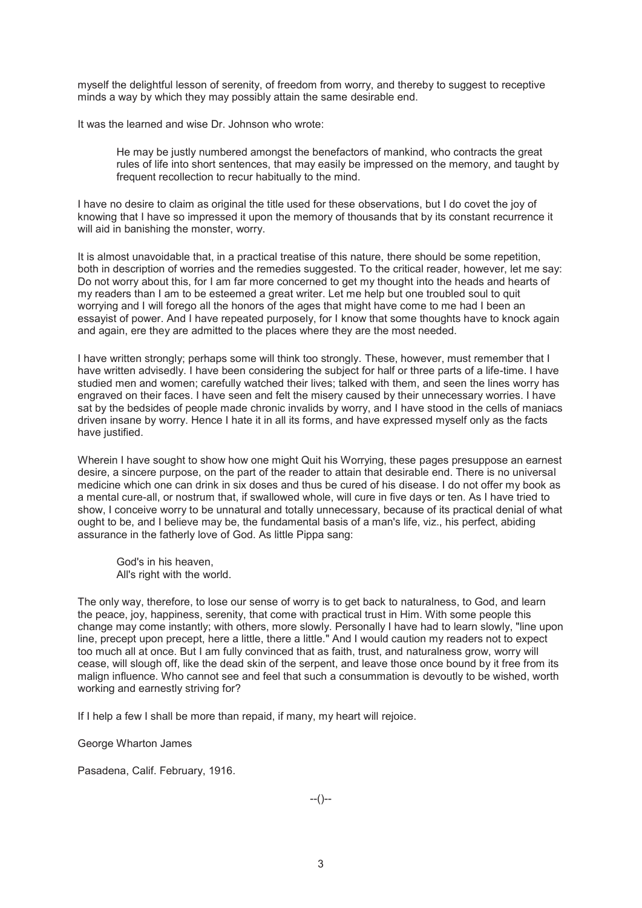myself the delightful lesson of serenity, of freedom from worry, and thereby to suggest to receptive minds a way by which they may possibly attain the same desirable end.

It was the learned and wise Dr. Johnson who wrote:

He may be justly numbered amongst the benefactors of mankind, who contracts the great rules of life into short sentences, that may easily be impressed on the memory, and taught by frequent recollection to recur habitually to the mind.

I have no desire to claim as original the title used for these observations, but I do covet the joy of knowing that I have so impressed it upon the memory of thousands that by its constant recurrence it will aid in banishing the monster, worry.

It is almost unavoidable that, in a practical treatise of this nature, there should be some repetition, both in description of worries and the remedies suggested. To the critical reader, however, let me say: Do not worry about this, for I am far more concerned to get my thought into the heads and hearts of my readers than I am to be esteemed a great writer. Let me help but one troubled soul to quit worrying and I will forego all the honors of the ages that might have come to me had I been an essayist of power. And I have repeated purposely, for I know that some thoughts have to knock again and again, ere they are admitted to the places where they are the most needed.

I have written strongly; perhaps some will think too strongly. These, however, must remember that I have written advisedly. I have been considering the subject for half or three parts of a life-time. I have studied men and women; carefully watched their lives; talked with them, and seen the lines worry has engraved on their faces. I have seen and felt the misery caused by their unnecessary worries. I have sat by the bedsides of people made chronic invalids by worry, and I have stood in the cells of maniacs driven insane by worry. Hence I hate it in all its forms, and have expressed myself only as the facts have justified.

Wherein I have sought to show how one might Quit his Worrying, these pages presuppose an earnest desire, a sincere purpose, on the part of the reader to attain that desirable end. There is no universal medicine which one can drink in six doses and thus be cured of his disease. I do not offer my book as a mental cure-all, or nostrum that, if swallowed whole, will cure in five days or ten. As I have tried to show, I conceive worry to be unnatural and totally unnecessary, because of its practical denial of what ought to be, and I believe may be, the fundamental basis of a man's life, viz., his perfect, abiding assurance in the fatherly love of God. As little Pippa sang:

God's in his heaven, All's right with the world.

The only way, therefore, to lose our sense of worry is to get back to naturalness, to God, and learn the peace, joy, happiness, serenity, that come with practical trust in Him. With some people this change may come instantly; with others, more slowly. Personally I have had to learn slowly, "line upon line, precept upon precept, here a little, there a little." And I would caution my readers not to expect too much all at once. But I am fully convinced that as faith, trust, and naturalness grow, worry will cease, will slough off, like the dead skin of the serpent, and leave those once bound by it free from its malign influence. Who cannot see and feel that such a consummation is devoutly to be wished, worth working and earnestly striving for?

If I help a few I shall be more than repaid, if many, my heart will rejoice.

George Wharton James

Pasadena, Calif. February, 1916.

--()--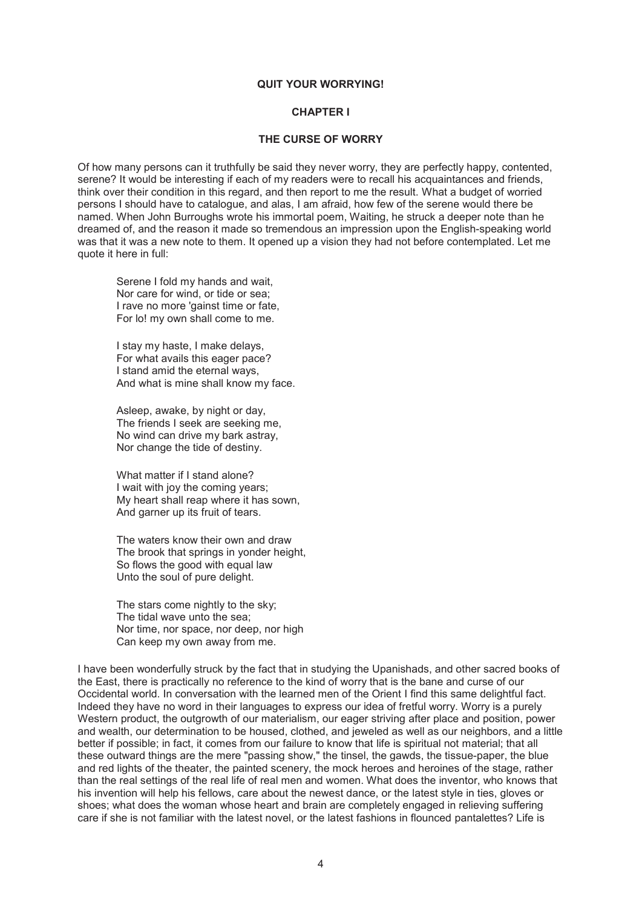#### **QUIT YOUR WORRYING!**

# **CHAPTER I**

#### **THE CURSE OF WORRY**

Of how many persons can it truthfully be said they never worry, they are perfectly happy, contented, serene? It would be interesting if each of my readers were to recall his acquaintances and friends, think over their condition in this regard, and then report to me the result. What a budget of worried persons I should have to catalogue, and alas, I am afraid, how few of the serene would there be named. When John Burroughs wrote his immortal poem, Waiting, he struck a deeper note than he dreamed of, and the reason it made so tremendous an impression upon the English-speaking world was that it was a new note to them. It opened up a vision they had not before contemplated. Let me quote it here in full:

Serene I fold my hands and wait, Nor care for wind, or tide or sea; I rave no more 'gainst time or fate, For lo! my own shall come to me.

I stay my haste, I make delays, For what avails this eager pace? I stand amid the eternal ways, And what is mine shall know my face.

Asleep, awake, by night or day, The friends I seek are seeking me, No wind can drive my bark astray, Nor change the tide of destiny.

What matter if I stand alone? I wait with joy the coming years; My heart shall reap where it has sown, And garner up its fruit of tears.

The waters know their own and draw The brook that springs in yonder height, So flows the good with equal law Unto the soul of pure delight.

The stars come nightly to the sky; The tidal wave unto the sea; Nor time, nor space, nor deep, nor high Can keep my own away from me.

I have been wonderfully struck by the fact that in studying the Upanishads, and other sacred books of the East, there is practically no reference to the kind of worry that is the bane and curse of our Occidental world. In conversation with the learned men of the Orient I find this same delightful fact. Indeed they have no word in their languages to express our idea of fretful worry. Worry is a purely Western product, the outgrowth of our materialism, our eager striving after place and position, power and wealth, our determination to be housed, clothed, and jeweled as well as our neighbors, and a little better if possible; in fact, it comes from our failure to know that life is spiritual not material; that all these outward things are the mere "passing show," the tinsel, the gawds, the tissue-paper, the blue and red lights of the theater, the painted scenery, the mock heroes and heroines of the stage, rather than the real settings of the real life of real men and women. What does the inventor, who knows that his invention will help his fellows, care about the newest dance, or the latest style in ties, gloves or shoes; what does the woman whose heart and brain are completely engaged in relieving suffering care if she is not familiar with the latest novel, or the latest fashions in flounced pantalettes? Life is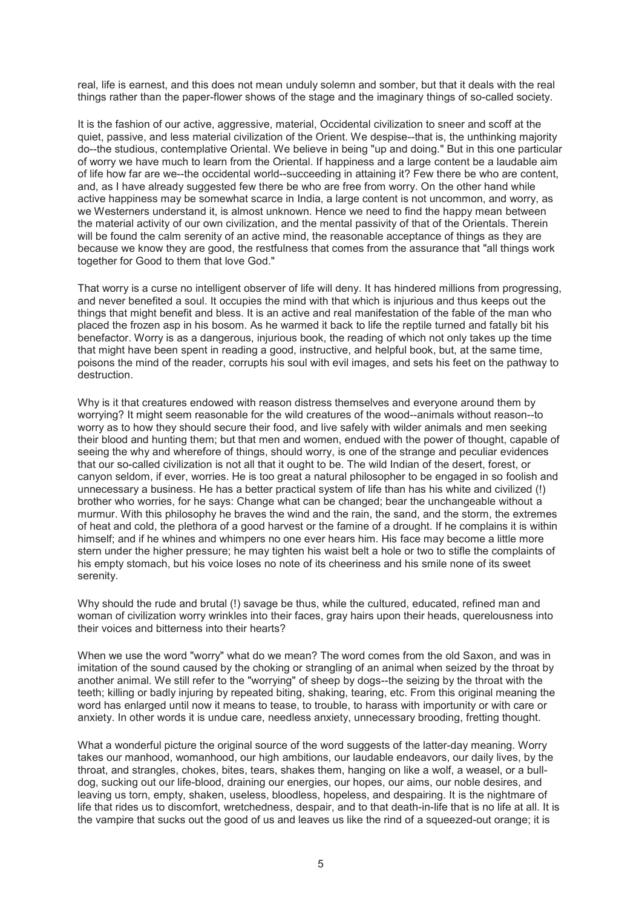real, life is earnest, and this does not mean unduly solemn and somber, but that it deals with the real things rather than the paper-flower shows of the stage and the imaginary things of so-called society.

It is the fashion of our active, aggressive, material, Occidental civilization to sneer and scoff at the quiet, passive, and less material civilization of the Orient. We despise--that is, the unthinking majority do--the studious, contemplative Oriental. We believe in being "up and doing." But in this one particular of worry we have much to learn from the Oriental. If happiness and a large content be a laudable aim of life how far are we--the occidental world--succeeding in attaining it? Few there be who are content, and, as I have already suggested few there be who are free from worry. On the other hand while active happiness may be somewhat scarce in India, a large content is not uncommon, and worry, as we Westerners understand it, is almost unknown. Hence we need to find the happy mean between the material activity of our own civilization, and the mental passivity of that of the Orientals. Therein will be found the calm serenity of an active mind, the reasonable acceptance of things as they are because we know they are good, the restfulness that comes from the assurance that "all things work together for Good to them that love God."

That worry is a curse no intelligent observer of life will deny. It has hindered millions from progressing, and never benefited a soul. It occupies the mind with that which is injurious and thus keeps out the things that might benefit and bless. It is an active and real manifestation of the fable of the man who placed the frozen asp in his bosom. As he warmed it back to life the reptile turned and fatally bit his benefactor. Worry is as a dangerous, injurious book, the reading of which not only takes up the time that might have been spent in reading a good, instructive, and helpful book, but, at the same time, poisons the mind of the reader, corrupts his soul with evil images, and sets his feet on the pathway to destruction.

Why is it that creatures endowed with reason distress themselves and everyone around them by worrying? It might seem reasonable for the wild creatures of the wood--animals without reason--to worry as to how they should secure their food, and live safely with wilder animals and men seeking their blood and hunting them; but that men and women, endued with the power of thought, capable of seeing the why and wherefore of things, should worry, is one of the strange and peculiar evidences that our so-called civilization is not all that it ought to be. The wild Indian of the desert, forest, or canyon seldom, if ever, worries. He is too great a natural philosopher to be engaged in so foolish and unnecessary a business. He has a better practical system of life than has his white and civilized (!) brother who worries, for he says: Change what can be changed; bear the unchangeable without a murmur. With this philosophy he braves the wind and the rain, the sand, and the storm, the extremes of heat and cold, the plethora of a good harvest or the famine of a drought. If he complains it is within himself; and if he whines and whimpers no one ever hears him. His face may become a little more stern under the higher pressure; he may tighten his waist belt a hole or two to stifle the complaints of his empty stomach, but his voice loses no note of its cheeriness and his smile none of its sweet serenity.

Why should the rude and brutal (!) savage be thus, while the cultured, educated, refined man and woman of civilization worry wrinkles into their faces, gray hairs upon their heads, querelousness into their voices and bitterness into their hearts?

When we use the word "worry" what do we mean? The word comes from the old Saxon, and was in imitation of the sound caused by the choking or strangling of an animal when seized by the throat by another animal. We still refer to the "worrying" of sheep by dogs--the seizing by the throat with the teeth; killing or badly injuring by repeated biting, shaking, tearing, etc. From this original meaning the word has enlarged until now it means to tease, to trouble, to harass with importunity or with care or anxiety. In other words it is undue care, needless anxiety, unnecessary brooding, fretting thought.

What a wonderful picture the original source of the word suggests of the latter-day meaning. Worry takes our manhood, womanhood, our high ambitions, our laudable endeavors, our daily lives, by the throat, and strangles, chokes, bites, tears, shakes them, hanging on like a wolf, a weasel, or a bulldog, sucking out our life-blood, draining our energies, our hopes, our aims, our noble desires, and leaving us torn, empty, shaken, useless, bloodless, hopeless, and despairing. It is the nightmare of life that rides us to discomfort, wretchedness, despair, and to that death-in-life that is no life at all. It is the vampire that sucks out the good of us and leaves us like the rind of a squeezed-out orange; it is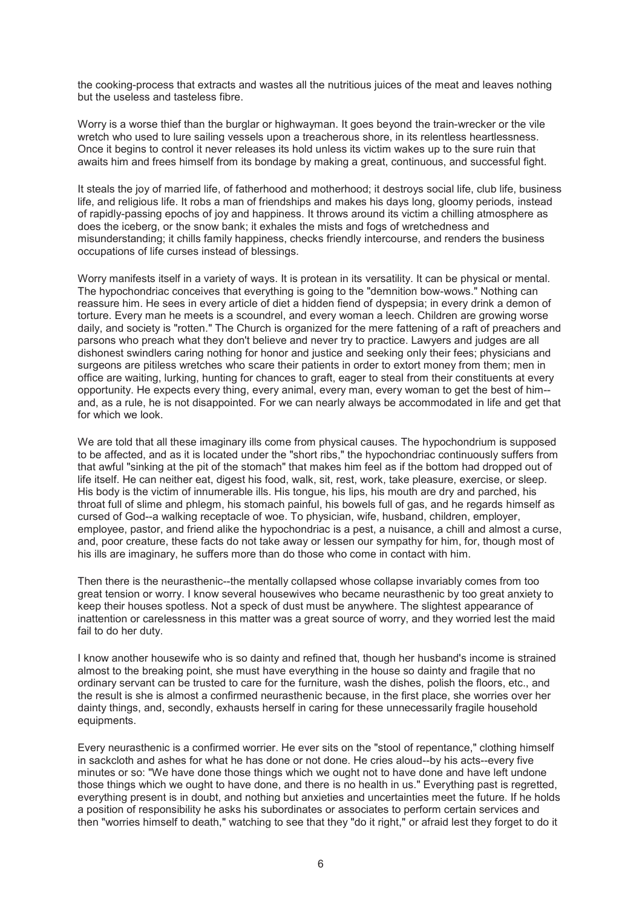the cooking-process that extracts and wastes all the nutritious juices of the meat and leaves nothing but the useless and tasteless fibre.

Worry is a worse thief than the burglar or highwayman. It goes beyond the train-wrecker or the vile wretch who used to lure sailing vessels upon a treacherous shore, in its relentless heartlessness. Once it begins to control it never releases its hold unless its victim wakes up to the sure ruin that awaits him and frees himself from its bondage by making a great, continuous, and successful fight.

It steals the joy of married life, of fatherhood and motherhood; it destroys social life, club life, business life, and religious life. It robs a man of friendships and makes his days long, gloomy periods, instead of rapidly-passing epochs of joy and happiness. It throws around its victim a chilling atmosphere as does the iceberg, or the snow bank; it exhales the mists and fogs of wretchedness and misunderstanding; it chills family happiness, checks friendly intercourse, and renders the business occupations of life curses instead of blessings.

Worry manifests itself in a variety of ways. It is protean in its versatility. It can be physical or mental. The hypochondriac conceives that everything is going to the "demnition bow-wows." Nothing can reassure him. He sees in every article of diet a hidden fiend of dyspepsia; in every drink a demon of torture. Every man he meets is a scoundrel, and every woman a leech. Children are growing worse daily, and society is "rotten." The Church is organized for the mere fattening of a raft of preachers and parsons who preach what they don't believe and never try to practice. Lawyers and judges are all dishonest swindlers caring nothing for honor and justice and seeking only their fees; physicians and surgeons are pitiless wretches who scare their patients in order to extort money from them; men in office are waiting, lurking, hunting for chances to graft, eager to steal from their constituents at every opportunity. He expects every thing, every animal, every man, every woman to get the best of him- and, as a rule, he is not disappointed. For we can nearly always be accommodated in life and get that for which we look.

We are told that all these imaginary ills come from physical causes. The hypochondrium is supposed to be affected, and as it is located under the "short ribs," the hypochondriac continuously suffers from that awful "sinking at the pit of the stomach" that makes him feel as if the bottom had dropped out of life itself. He can neither eat, digest his food, walk, sit, rest, work, take pleasure, exercise, or sleep. His body is the victim of innumerable ills. His tongue, his lips, his mouth are dry and parched, his throat full of slime and phlegm, his stomach painful, his bowels full of gas, and he regards himself as cursed of God--a walking receptacle of woe. To physician, wife, husband, children, employer, employee, pastor, and friend alike the hypochondriac is a pest, a nuisance, a chill and almost a curse, and, poor creature, these facts do not take away or lessen our sympathy for him, for, though most of his ills are imaginary, he suffers more than do those who come in contact with him.

Then there is the neurasthenic--the mentally collapsed whose collapse invariably comes from too great tension or worry. I know several housewives who became neurasthenic by too great anxiety to keep their houses spotless. Not a speck of dust must be anywhere. The slightest appearance of inattention or carelessness in this matter was a great source of worry, and they worried lest the maid fail to do her duty.

I know another housewife who is so dainty and refined that, though her husband's income is strained almost to the breaking point, she must have everything in the house so dainty and fragile that no ordinary servant can be trusted to care for the furniture, wash the dishes, polish the floors, etc., and the result is she is almost a confirmed neurasthenic because, in the first place, she worries over her dainty things, and, secondly, exhausts herself in caring for these unnecessarily fragile household equipments.

Every neurasthenic is a confirmed worrier. He ever sits on the "stool of repentance," clothing himself in sackcloth and ashes for what he has done or not done. He cries aloud--by his acts--every five minutes or so: "We have done those things which we ought not to have done and have left undone those things which we ought to have done, and there is no health in us." Everything past is regretted, everything present is in doubt, and nothing but anxieties and uncertainties meet the future. If he holds a position of responsibility he asks his subordinates or associates to perform certain services and then "worries himself to death," watching to see that they "do it right," or afraid lest they forget to do it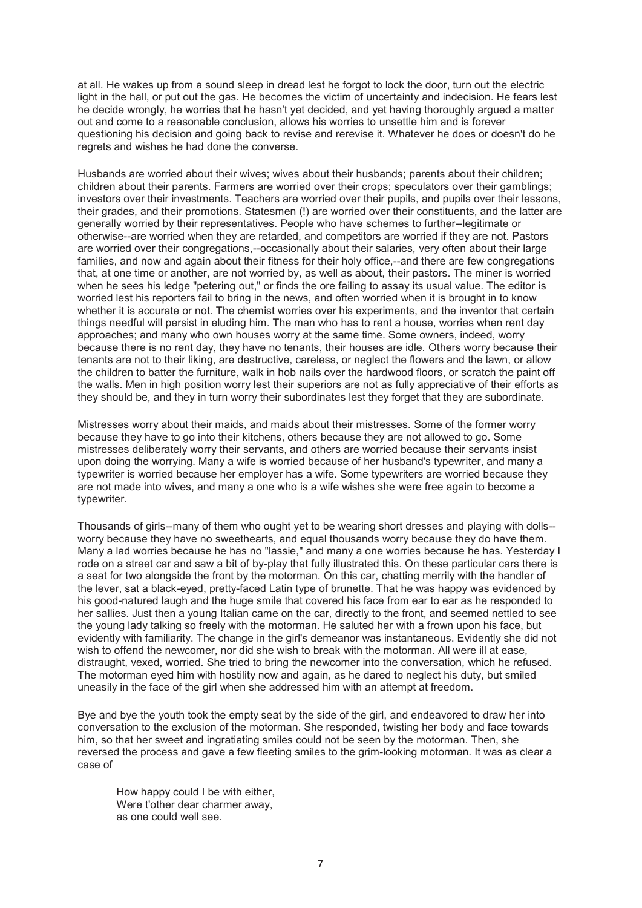at all. He wakes up from a sound sleep in dread lest he forgot to lock the door, turn out the electric light in the hall, or put out the gas. He becomes the victim of uncertainty and indecision. He fears lest he decide wrongly, he worries that he hasn't yet decided, and yet having thoroughly argued a matter out and come to a reasonable conclusion, allows his worries to unsettle him and is forever questioning his decision and going back to revise and rerevise it. Whatever he does or doesn't do he regrets and wishes he had done the converse.

Husbands are worried about their wives; wives about their husbands; parents about their children; children about their parents. Farmers are worried over their crops; speculators over their gamblings; investors over their investments. Teachers are worried over their pupils, and pupils over their lessons, their grades, and their promotions. Statesmen (!) are worried over their constituents, and the latter are generally worried by their representatives. People who have schemes to further--legitimate or otherwise--are worried when they are retarded, and competitors are worried if they are not. Pastors are worried over their congregations,--occasionally about their salaries, very often about their large families, and now and again about their fitness for their holy office,--and there are few congregations that, at one time or another, are not worried by, as well as about, their pastors. The miner is worried when he sees his ledge "petering out," or finds the ore failing to assay its usual value. The editor is worried lest his reporters fail to bring in the news, and often worried when it is brought in to know whether it is accurate or not. The chemist worries over his experiments, and the inventor that certain things needful will persist in eluding him. The man who has to rent a house, worries when rent day approaches; and many who own houses worry at the same time. Some owners, indeed, worry because there is no rent day, they have no tenants, their houses are idle. Others worry because their tenants are not to their liking, are destructive, careless, or neglect the flowers and the lawn, or allow the children to batter the furniture, walk in hob nails over the hardwood floors, or scratch the paint off the walls. Men in high position worry lest their superiors are not as fully appreciative of their efforts as they should be, and they in turn worry their subordinates lest they forget that they are subordinate.

Mistresses worry about their maids, and maids about their mistresses. Some of the former worry because they have to go into their kitchens, others because they are not allowed to go. Some mistresses deliberately worry their servants, and others are worried because their servants insist upon doing the worrying. Many a wife is worried because of her husband's typewriter, and many a typewriter is worried because her employer has a wife. Some typewriters are worried because they are not made into wives, and many a one who is a wife wishes she were free again to become a typewriter.

Thousands of girls--many of them who ought yet to be wearing short dresses and playing with dolls- worry because they have no sweethearts, and equal thousands worry because they do have them. Many a lad worries because he has no "lassie," and many a one worries because he has. Yesterday I rode on a street car and saw a bit of by-play that fully illustrated this. On these particular cars there is a seat for two alongside the front by the motorman. On this car, chatting merrily with the handler of the lever, sat a black-eyed, pretty-faced Latin type of brunette. That he was happy was evidenced by his good-natured laugh and the huge smile that covered his face from ear to ear as he responded to her sallies. Just then a young Italian came on the car, directly to the front, and seemed nettled to see the young lady talking so freely with the motorman. He saluted her with a frown upon his face, but evidently with familiarity. The change in the girl's demeanor was instantaneous. Evidently she did not wish to offend the newcomer, nor did she wish to break with the motorman. All were ill at ease, distraught, vexed, worried. She tried to bring the newcomer into the conversation, which he refused. The motorman eyed him with hostility now and again, as he dared to neglect his duty, but smiled uneasily in the face of the girl when she addressed him with an attempt at freedom.

Bye and bye the youth took the empty seat by the side of the girl, and endeavored to draw her into conversation to the exclusion of the motorman. She responded, twisting her body and face towards him, so that her sweet and ingratiating smiles could not be seen by the motorman. Then, she reversed the process and gave a few fleeting smiles to the grim-looking motorman. It was as clear a case of

How happy could I be with either, Were t'other dear charmer away, as one could well see.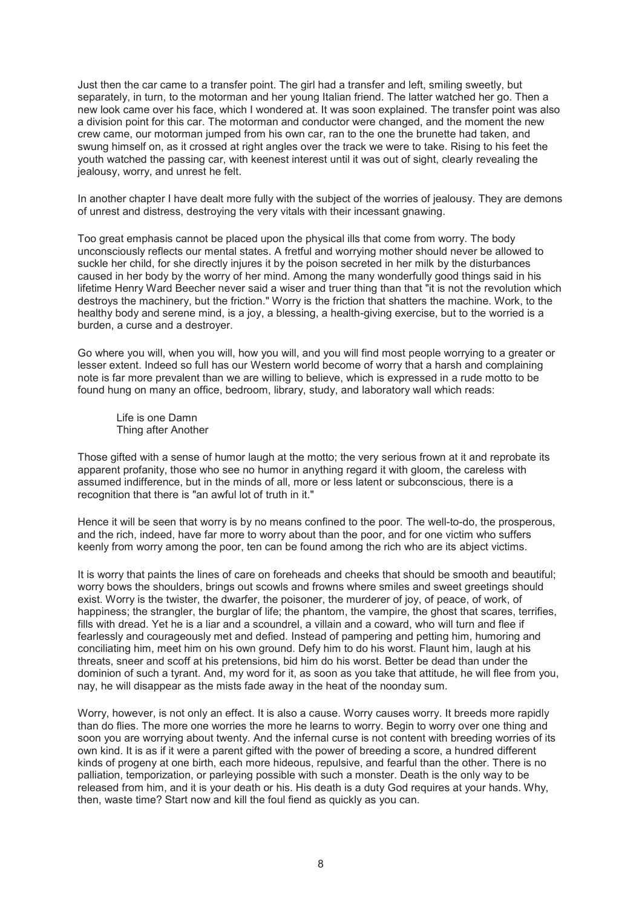Just then the car came to a transfer point. The girl had a transfer and left, smiling sweetly, but separately, in turn, to the motorman and her young Italian friend. The latter watched her go. Then a new look came over his face, which I wondered at. It was soon explained. The transfer point was also a division point for this car. The motorman and conductor were changed, and the moment the new crew came, our motorman jumped from his own car, ran to the one the brunette had taken, and swung himself on, as it crossed at right angles over the track we were to take. Rising to his feet the youth watched the passing car, with keenest interest until it was out of sight, clearly revealing the jealousy, worry, and unrest he felt.

In another chapter I have dealt more fully with the subject of the worries of jealousy. They are demons of unrest and distress, destroying the very vitals with their incessant gnawing.

Too great emphasis cannot be placed upon the physical ills that come from worry. The body unconsciously reflects our mental states. A fretful and worrying mother should never be allowed to suckle her child, for she directly injures it by the poison secreted in her milk by the disturbances caused in her body by the worry of her mind. Among the many wonderfully good things said in his lifetime Henry Ward Beecher never said a wiser and truer thing than that "it is not the revolution which destroys the machinery, but the friction." Worry is the friction that shatters the machine. Work, to the healthy body and serene mind, is a joy, a blessing, a health-giving exercise, but to the worried is a burden, a curse and a destroyer.

Go where you will, when you will, how you will, and you will find most people worrying to a greater or lesser extent. Indeed so full has our Western world become of worry that a harsh and complaining note is far more prevalent than we are willing to believe, which is expressed in a rude motto to be found hung on many an office, bedroom, library, study, and laboratory wall which reads:

Life is one Damn Thing after Another

Those gifted with a sense of humor laugh at the motto; the very serious frown at it and reprobate its apparent profanity, those who see no humor in anything regard it with gloom, the careless with assumed indifference, but in the minds of all, more or less latent or subconscious, there is a recognition that there is "an awful lot of truth in it."

Hence it will be seen that worry is by no means confined to the poor. The well-to-do, the prosperous, and the rich, indeed, have far more to worry about than the poor, and for one victim who suffers keenly from worry among the poor, ten can be found among the rich who are its abject victims.

It is worry that paints the lines of care on foreheads and cheeks that should be smooth and beautiful; worry bows the shoulders, brings out scowls and frowns where smiles and sweet greetings should exist. Worry is the twister, the dwarfer, the poisoner, the murderer of joy, of peace, of work, of happiness; the strangler, the burglar of life; the phantom, the vampire, the ghost that scares, terrifies, fills with dread. Yet he is a liar and a scoundrel, a villain and a coward, who will turn and flee if fearlessly and courageously met and defied. Instead of pampering and petting him, humoring and conciliating him, meet him on his own ground. Defy him to do his worst. Flaunt him, laugh at his threats, sneer and scoff at his pretensions, bid him do his worst. Better be dead than under the dominion of such a tyrant. And, my word for it, as soon as you take that attitude, he will flee from you, nay, he will disappear as the mists fade away in the heat of the noonday sum.

Worry, however, is not only an effect. It is also a cause. Worry causes worry. It breeds more rapidly than do flies. The more one worries the more he learns to worry. Begin to worry over one thing and soon you are worrying about twenty. And the infernal curse is not content with breeding worries of its own kind. It is as if it were a parent gifted with the power of breeding a score, a hundred different kinds of progeny at one birth, each more hideous, repulsive, and fearful than the other. There is no palliation, temporization, or parleying possible with such a monster. Death is the only way to be released from him, and it is your death or his. His death is a duty God requires at your hands. Why, then, waste time? Start now and kill the foul fiend as quickly as you can.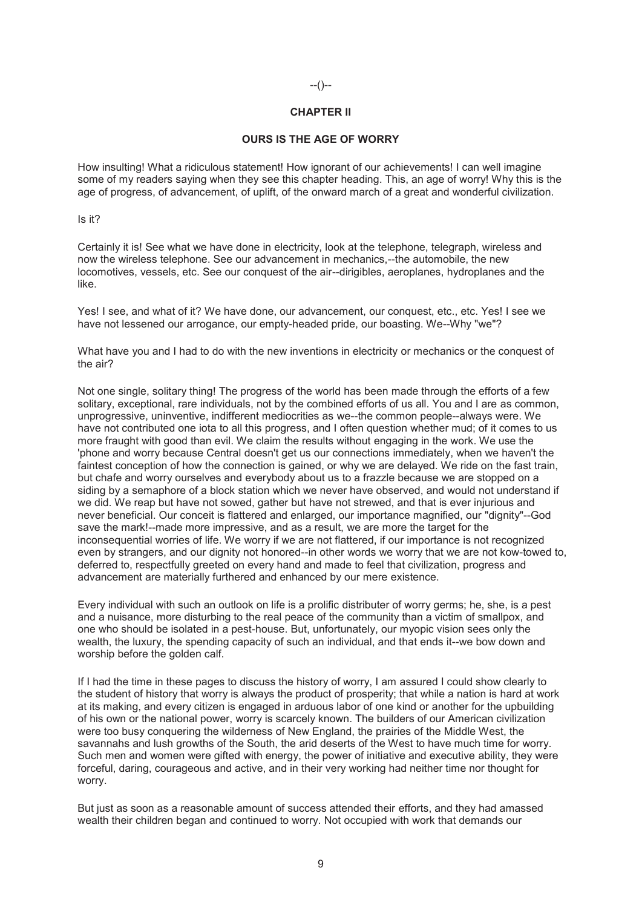# --()--

# **CHAPTER II**

# **OURS IS THE AGE OF WORRY**

How insulting! What a ridiculous statement! How ignorant of our achievements! I can well imagine some of my readers saying when they see this chapter heading. This, an age of worry! Why this is the age of progress, of advancement, of uplift, of the onward march of a great and wonderful civilization.

Is it?

Certainly it is! See what we have done in electricity, look at the telephone, telegraph, wireless and now the wireless telephone. See our advancement in mechanics,--the automobile, the new locomotives, vessels, etc. See our conquest of the air--dirigibles, aeroplanes, hydroplanes and the like.

Yes! I see, and what of it? We have done, our advancement, our conquest, etc., etc. Yes! I see we have not lessened our arrogance, our empty-headed pride, our boasting. We--Why "we"?

What have you and I had to do with the new inventions in electricity or mechanics or the conquest of the air?

Not one single, solitary thing! The progress of the world has been made through the efforts of a few solitary, exceptional, rare individuals, not by the combined efforts of us all. You and I are as common, unprogressive, uninventive, indifferent mediocrities as we--the common people--always were. We have not contributed one iota to all this progress, and I often question whether mud; of it comes to us more fraught with good than evil. We claim the results without engaging in the work. We use the 'phone and worry because Central doesn't get us our connections immediately, when we haven't the faintest conception of how the connection is gained, or why we are delayed. We ride on the fast train, but chafe and worry ourselves and everybody about us to a frazzle because we are stopped on a siding by a semaphore of a block station which we never have observed, and would not understand if we did. We reap but have not sowed, gather but have not strewed, and that is ever injurious and never beneficial. Our conceit is flattered and enlarged, our importance magnified, our "dignity"--God save the mark!--made more impressive, and as a result, we are more the target for the inconsequential worries of life. We worry if we are not flattered, if our importance is not recognized even by strangers, and our dignity not honored--in other words we worry that we are not kow-towed to, deferred to, respectfully greeted on every hand and made to feel that civilization, progress and advancement are materially furthered and enhanced by our mere existence.

Every individual with such an outlook on life is a prolific distributer of worry germs; he, she, is a pest and a nuisance, more disturbing to the real peace of the community than a victim of smallpox, and one who should be isolated in a pest-house. But, unfortunately, our myopic vision sees only the wealth, the luxury, the spending capacity of such an individual, and that ends it--we bow down and worship before the golden calf.

If I had the time in these pages to discuss the history of worry, I am assured I could show clearly to the student of history that worry is always the product of prosperity; that while a nation is hard at work at its making, and every citizen is engaged in arduous labor of one kind or another for the upbuilding of his own or the national power, worry is scarcely known. The builders of our American civilization were too busy conquering the wilderness of New England, the prairies of the Middle West, the savannahs and lush growths of the South, the arid deserts of the West to have much time for worry. Such men and women were gifted with energy, the power of initiative and executive ability, they were forceful, daring, courageous and active, and in their very working had neither time nor thought for worry.

But just as soon as a reasonable amount of success attended their efforts, and they had amassed wealth their children began and continued to worry. Not occupied with work that demands our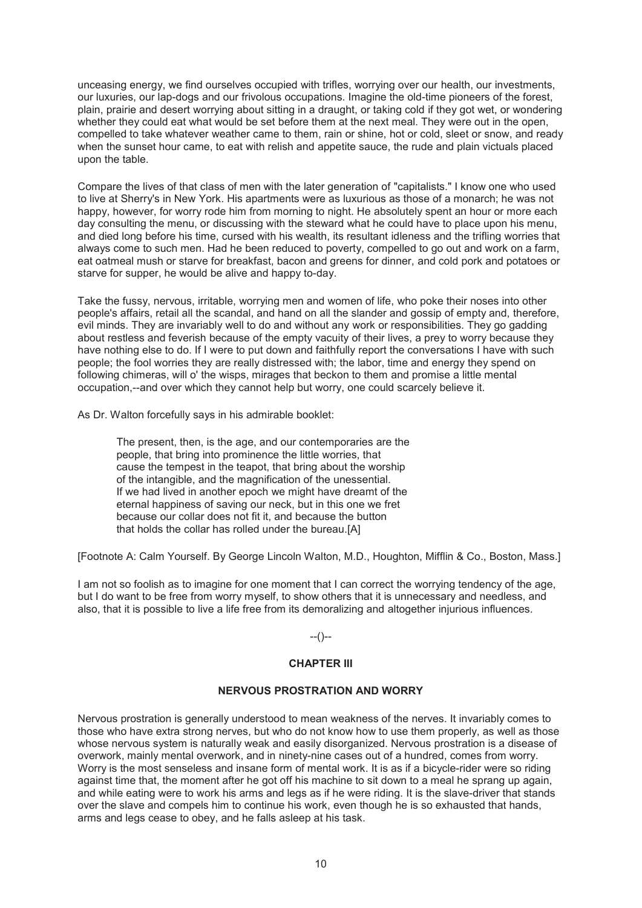unceasing energy, we find ourselves occupied with trifles, worrying over our health, our investments, our luxuries, our lap-dogs and our frivolous occupations. Imagine the old-time pioneers of the forest, plain, prairie and desert worrying about sitting in a draught, or taking cold if they got wet, or wondering whether they could eat what would be set before them at the next meal. They were out in the open, compelled to take whatever weather came to them, rain or shine, hot or cold, sleet or snow, and ready when the sunset hour came, to eat with relish and appetite sauce, the rude and plain victuals placed upon the table.

Compare the lives of that class of men with the later generation of "capitalists." I know one who used to live at Sherry's in New York. His apartments were as luxurious as those of a monarch; he was not happy, however, for worry rode him from morning to night. He absolutely spent an hour or more each day consulting the menu, or discussing with the steward what he could have to place upon his menu, and died long before his time, cursed with his wealth, its resultant idleness and the trifling worries that always come to such men. Had he been reduced to poverty, compelled to go out and work on a farm, eat oatmeal mush or starve for breakfast, bacon and greens for dinner, and cold pork and potatoes or starve for supper, he would be alive and happy to-day.

Take the fussy, nervous, irritable, worrying men and women of life, who poke their noses into other people's affairs, retail all the scandal, and hand on all the slander and gossip of empty and, therefore, evil minds. They are invariably well to do and without any work or responsibilities. They go gadding about restless and feverish because of the empty vacuity of their lives, a prey to worry because they have nothing else to do. If I were to put down and faithfully report the conversations I have with such people; the fool worries they are really distressed with; the labor, time and energy they spend on following chimeras, will o' the wisps, mirages that beckon to them and promise a little mental occupation,--and over which they cannot help but worry, one could scarcely believe it.

As Dr. Walton forcefully says in his admirable booklet:

The present, then, is the age, and our contemporaries are the people, that bring into prominence the little worries, that cause the tempest in the teapot, that bring about the worship of the intangible, and the magnification of the unessential. If we had lived in another epoch we might have dreamt of the eternal happiness of saving our neck, but in this one we fret because our collar does not fit it, and because the button that holds the collar has rolled under the bureau.[A]

[Footnote A: Calm Yourself. By George Lincoln Walton, M.D., Houghton, Mifflin & Co., Boston, Mass.]

I am not so foolish as to imagine for one moment that I can correct the worrying tendency of the age, but I do want to be free from worry myself, to show others that it is unnecessary and needless, and also, that it is possible to live a life free from its demoralizing and altogether injurious influences.

--()--

#### **CHAPTER III**

#### **NERVOUS PROSTRATION AND WORRY**

Nervous prostration is generally understood to mean weakness of the nerves. It invariably comes to those who have extra strong nerves, but who do not know how to use them properly, as well as those whose nervous system is naturally weak and easily disorganized. Nervous prostration is a disease of overwork, mainly mental overwork, and in ninety-nine cases out of a hundred, comes from worry. Worry is the most senseless and insane form of mental work. It is as if a bicycle-rider were so riding against time that, the moment after he got off his machine to sit down to a meal he sprang up again, and while eating were to work his arms and legs as if he were riding. It is the slave-driver that stands over the slave and compels him to continue his work, even though he is so exhausted that hands, arms and legs cease to obey, and he falls asleep at his task.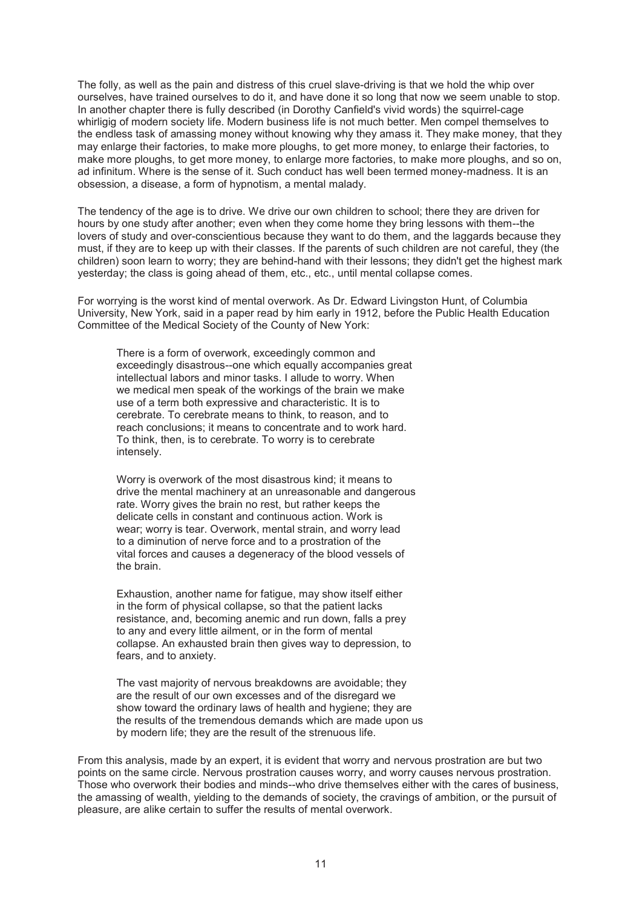The folly, as well as the pain and distress of this cruel slave-driving is that we hold the whip over ourselves, have trained ourselves to do it, and have done it so long that now we seem unable to stop. In another chapter there is fully described (in Dorothy Canfield's vivid words) the squirrel-cage whirligig of modern society life. Modern business life is not much better. Men compel themselves to the endless task of amassing money without knowing why they amass it. They make money, that they may enlarge their factories, to make more ploughs, to get more money, to enlarge their factories, to make more ploughs, to get more money, to enlarge more factories, to make more ploughs, and so on, ad infinitum. Where is the sense of it. Such conduct has well been termed money-madness. It is an obsession, a disease, a form of hypnotism, a mental malady.

The tendency of the age is to drive. We drive our own children to school; there they are driven for hours by one study after another; even when they come home they bring lessons with them--the lovers of study and over-conscientious because they want to do them, and the laggards because they must, if they are to keep up with their classes. If the parents of such children are not careful, they (the children) soon learn to worry; they are behind-hand with their lessons; they didn't get the highest mark yesterday; the class is going ahead of them, etc., etc., until mental collapse comes.

For worrying is the worst kind of mental overwork. As Dr. Edward Livingston Hunt, of Columbia University, New York, said in a paper read by him early in 1912, before the Public Health Education Committee of the Medical Society of the County of New York:

There is a form of overwork, exceedingly common and exceedingly disastrous--one which equally accompanies great intellectual labors and minor tasks. I allude to worry. When we medical men speak of the workings of the brain we make use of a term both expressive and characteristic. It is to cerebrate. To cerebrate means to think, to reason, and to reach conclusions; it means to concentrate and to work hard. To think, then, is to cerebrate. To worry is to cerebrate intensely.

Worry is overwork of the most disastrous kind; it means to drive the mental machinery at an unreasonable and dangerous rate. Worry gives the brain no rest, but rather keeps the delicate cells in constant and continuous action. Work is wear; worry is tear. Overwork, mental strain, and worry lead to a diminution of nerve force and to a prostration of the vital forces and causes a degeneracy of the blood vessels of the brain.

Exhaustion, another name for fatigue, may show itself either in the form of physical collapse, so that the patient lacks resistance, and, becoming anemic and run down, falls a prey to any and every little ailment, or in the form of mental collapse. An exhausted brain then gives way to depression, to fears, and to anxiety.

The vast majority of nervous breakdowns are avoidable; they are the result of our own excesses and of the disregard we show toward the ordinary laws of health and hygiene; they are the results of the tremendous demands which are made upon us by modern life; they are the result of the strenuous life.

From this analysis, made by an expert, it is evident that worry and nervous prostration are but two points on the same circle. Nervous prostration causes worry, and worry causes nervous prostration. Those who overwork their bodies and minds--who drive themselves either with the cares of business, the amassing of wealth, yielding to the demands of society, the cravings of ambition, or the pursuit of pleasure, are alike certain to suffer the results of mental overwork.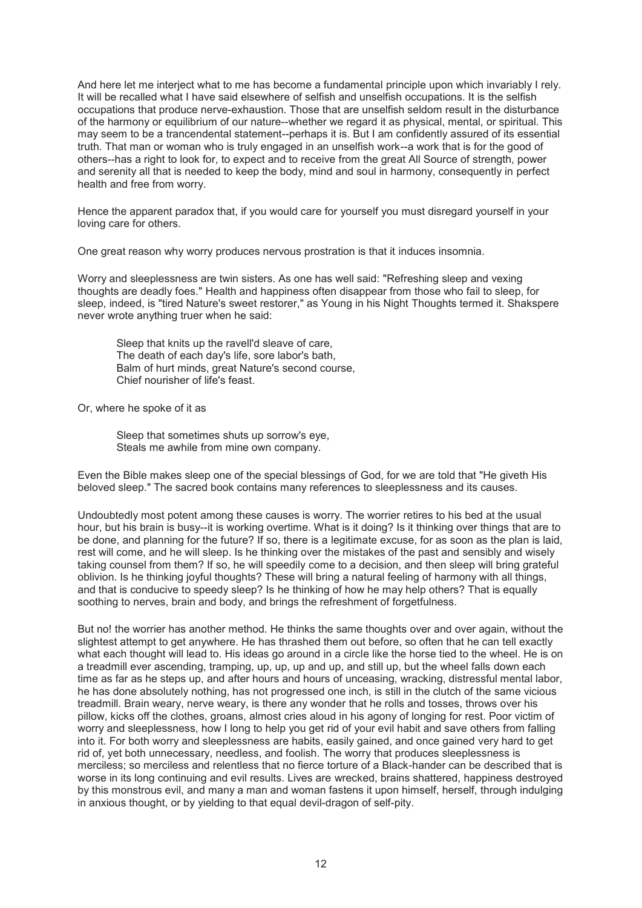And here let me interject what to me has become a fundamental principle upon which invariably I rely. It will be recalled what I have said elsewhere of selfish and unselfish occupations. It is the selfish occupations that produce nerve-exhaustion. Those that are unselfish seldom result in the disturbance of the harmony or equilibrium of our nature--whether we regard it as physical, mental, or spiritual. This may seem to be a trancendental statement--perhaps it is. But I am confidently assured of its essential truth. That man or woman who is truly engaged in an unselfish work--a work that is for the good of others--has a right to look for, to expect and to receive from the great All Source of strength, power and serenity all that is needed to keep the body, mind and soul in harmony, consequently in perfect health and free from worry.

Hence the apparent paradox that, if you would care for yourself you must disregard yourself in your loving care for others.

One great reason why worry produces nervous prostration is that it induces insomnia.

Worry and sleeplessness are twin sisters. As one has well said: "Refreshing sleep and vexing thoughts are deadly foes." Health and happiness often disappear from those who fail to sleep, for sleep, indeed, is "tired Nature's sweet restorer," as Young in his Night Thoughts termed it. Shakspere never wrote anything truer when he said:

Sleep that knits up the ravell'd sleave of care, The death of each day's life, sore labor's bath, Balm of hurt minds, great Nature's second course, Chief nourisher of life's feast.

Or, where he spoke of it as

Sleep that sometimes shuts up sorrow's eye, Steals me awhile from mine own company.

Even the Bible makes sleep one of the special blessings of God, for we are told that "He giveth His beloved sleep." The sacred book contains many references to sleeplessness and its causes.

Undoubtedly most potent among these causes is worry. The worrier retires to his bed at the usual hour, but his brain is busy--it is working overtime. What is it doing? Is it thinking over things that are to be done, and planning for the future? If so, there is a legitimate excuse, for as soon as the plan is laid, rest will come, and he will sleep. Is he thinking over the mistakes of the past and sensibly and wisely taking counsel from them? If so, he will speedily come to a decision, and then sleep will bring grateful oblivion. Is he thinking joyful thoughts? These will bring a natural feeling of harmony with all things, and that is conducive to speedy sleep? Is he thinking of how he may help others? That is equally soothing to nerves, brain and body, and brings the refreshment of forgetfulness.

But no! the worrier has another method. He thinks the same thoughts over and over again, without the slightest attempt to get anywhere. He has thrashed them out before, so often that he can tell exactly what each thought will lead to. His ideas go around in a circle like the horse tied to the wheel. He is on a treadmill ever ascending, tramping, up, up, up and up, and still up, but the wheel falls down each time as far as he steps up, and after hours and hours of unceasing, wracking, distressful mental labor, he has done absolutely nothing, has not progressed one inch, is still in the clutch of the same vicious treadmill. Brain weary, nerve weary, is there any wonder that he rolls and tosses, throws over his pillow, kicks off the clothes, groans, almost cries aloud in his agony of longing for rest. Poor victim of worry and sleeplessness, how I long to help you get rid of your evil habit and save others from falling into it. For both worry and sleeplessness are habits, easily gained, and once gained very hard to get rid of, yet both unnecessary, needless, and foolish. The worry that produces sleeplessness is merciless; so merciless and relentless that no fierce torture of a Black-hander can be described that is worse in its long continuing and evil results. Lives are wrecked, brains shattered, happiness destroyed by this monstrous evil, and many a man and woman fastens it upon himself, herself, through indulging in anxious thought, or by yielding to that equal devil-dragon of self-pity.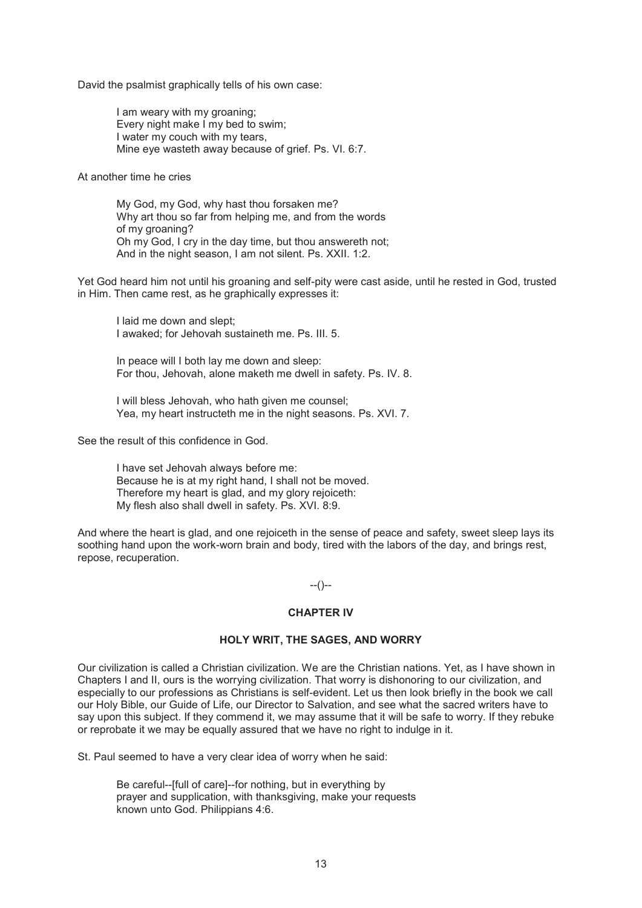David the psalmist graphically tells of his own case:

I am weary with my groaning; Every night make I my bed to swim; I water my couch with my tears, Mine eye wasteth away because of grief. Ps. VI. 6:7.

At another time he cries

My God, my God, why hast thou forsaken me? Why art thou so far from helping me, and from the words of my groaning? Oh my God, I cry in the day time, but thou answereth not; And in the night season, I am not silent. Ps. XXII. 1:2.

Yet God heard him not until his groaning and self-pity were cast aside, until he rested in God, trusted in Him. Then came rest, as he graphically expresses it:

I laid me down and slept; I awaked; for Jehovah sustaineth me. Ps. III. 5.

In peace will I both lay me down and sleep: For thou, Jehovah, alone maketh me dwell in safety. Ps. IV. 8.

I will bless Jehovah, who hath given me counsel; Yea, my heart instructeth me in the night seasons. Ps. XVI. 7.

See the result of this confidence in God.

I have set Jehovah always before me: Because he is at my right hand, I shall not be moved. Therefore my heart is glad, and my glory rejoiceth: My flesh also shall dwell in safety. Ps. XVI. 8:9.

And where the heart is glad, and one rejoiceth in the sense of peace and safety, sweet sleep lays its soothing hand upon the work-worn brain and body, tired with the labors of the day, and brings rest, repose, recuperation.

# $-(-)$

#### **CHAPTER IV**

# **HOLY WRIT, THE SAGES, AND WORRY**

Our civilization is called a Christian civilization. We are the Christian nations. Yet, as I have shown in Chapters I and II, ours is the worrying civilization. That worry is dishonoring to our civilization, and especially to our professions as Christians is self-evident. Let us then look briefly in the book we call our Holy Bible, our Guide of Life, our Director to Salvation, and see what the sacred writers have to say upon this subject. If they commend it, we may assume that it will be safe to worry. If they rebuke or reprobate it we may be equally assured that we have no right to indulge in it.

St. Paul seemed to have a very clear idea of worry when he said:

Be careful--[full of care]--for nothing, but in everything by prayer and supplication, with thanksgiving, make your requests known unto God. Philippians 4:6.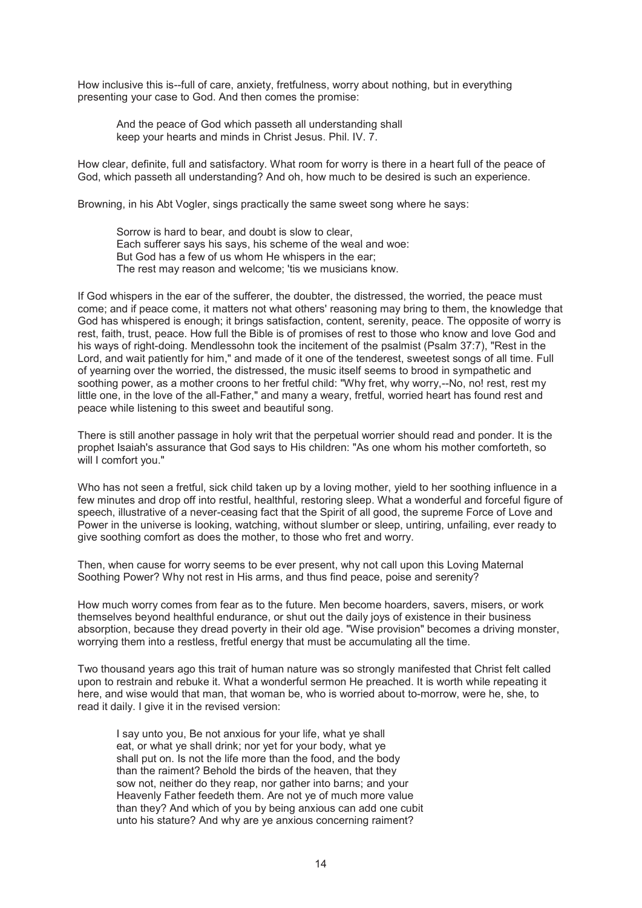How inclusive this is--full of care, anxiety, fretfulness, worry about nothing, but in everything presenting your case to God. And then comes the promise:

And the peace of God which passeth all understanding shall keep your hearts and minds in Christ Jesus. Phil. IV. 7.

How clear, definite, full and satisfactory. What room for worry is there in a heart full of the peace of God, which passeth all understanding? And oh, how much to be desired is such an experience.

Browning, in his Abt Vogler, sings practically the same sweet song where he says:

Sorrow is hard to bear, and doubt is slow to clear, Each sufferer says his says, his scheme of the weal and woe: But God has a few of us whom He whispers in the ear; The rest may reason and welcome; 'tis we musicians know.

If God whispers in the ear of the sufferer, the doubter, the distressed, the worried, the peace must come; and if peace come, it matters not what others' reasoning may bring to them, the knowledge that God has whispered is enough; it brings satisfaction, content, serenity, peace. The opposite of worry is rest, faith, trust, peace. How full the Bible is of promises of rest to those who know and love God and his ways of right-doing. Mendlessohn took the incitement of the psalmist (Psalm 37:7), "Rest in the Lord, and wait patiently for him," and made of it one of the tenderest, sweetest songs of all time. Full of yearning over the worried, the distressed, the music itself seems to brood in sympathetic and soothing power, as a mother croons to her fretful child: "Why fret, why worry,--No, no! rest, rest my little one, in the love of the all-Father," and many a weary, fretful, worried heart has found rest and peace while listening to this sweet and beautiful song.

There is still another passage in holy writ that the perpetual worrier should read and ponder. It is the prophet Isaiah's assurance that God says to His children: "As one whom his mother comforteth, so will I comfort you."

Who has not seen a fretful, sick child taken up by a loving mother, yield to her soothing influence in a few minutes and drop off into restful, healthful, restoring sleep. What a wonderful and forceful figure of speech, illustrative of a never-ceasing fact that the Spirit of all good, the supreme Force of Love and Power in the universe is looking, watching, without slumber or sleep, untiring, unfailing, ever ready to give soothing comfort as does the mother, to those who fret and worry.

Then, when cause for worry seems to be ever present, why not call upon this Loving Maternal Soothing Power? Why not rest in His arms, and thus find peace, poise and serenity?

How much worry comes from fear as to the future. Men become hoarders, savers, misers, or work themselves beyond healthful endurance, or shut out the daily joys of existence in their business absorption, because they dread poverty in their old age. "Wise provision" becomes a driving monster, worrying them into a restless, fretful energy that must be accumulating all the time.

Two thousand years ago this trait of human nature was so strongly manifested that Christ felt called upon to restrain and rebuke it. What a wonderful sermon He preached. It is worth while repeating it here, and wise would that man, that woman be, who is worried about to-morrow, were he, she, to read it daily. I give it in the revised version:

I say unto you, Be not anxious for your life, what ye shall eat, or what ye shall drink; nor yet for your body, what ye shall put on. Is not the life more than the food, and the body than the raiment? Behold the birds of the heaven, that they sow not, neither do they reap, nor gather into barns; and your Heavenly Father feedeth them. Are not ye of much more value than they? And which of you by being anxious can add one cubit unto his stature? And why are ye anxious concerning raiment?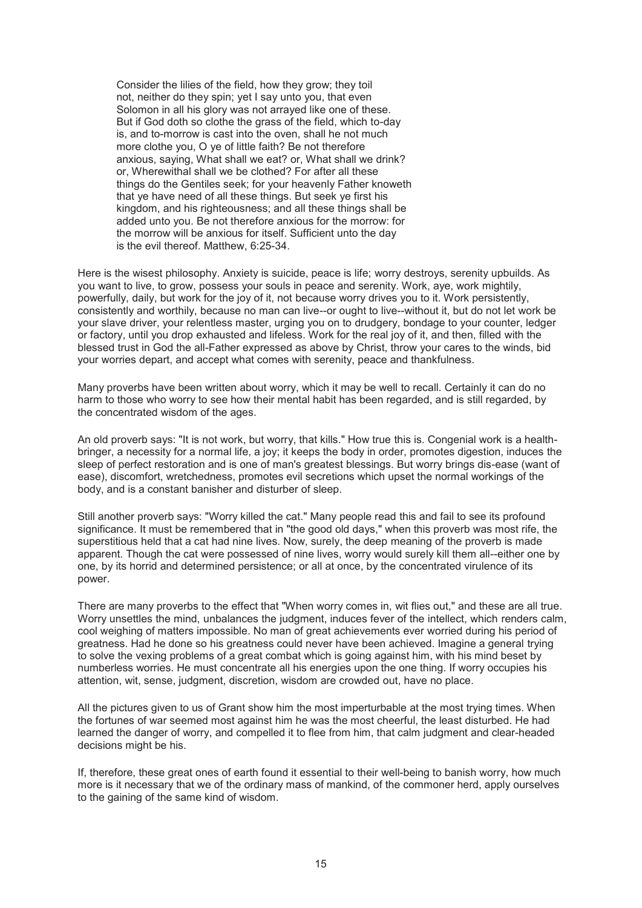Consider the lilies of the field, how they grow; they toil not, neither do they spin; yet I say unto you, that even Solomon in all his glory was not arrayed like one of these. But if God doth so clothe the grass of the field, which to-day is, and to-morrow is cast into the oven, shall he not much more clothe you, O ye of little faith? Be not therefore anxious, saying, What shall we eat? or, What shall we drink? or, Wherewithal shall we be clothed? For after all these things do the Gentiles seek; for your heavenly Father knoweth that ye have need of all these things. But seek ye first his kingdom, and his righteousness; and all these things shall be added unto you. Be not therefore anxious for the morrow: for the morrow will be anxious for itself. Sufficient unto the day is the evil thereof. Matthew, 6:25-34.

Here is the wisest philosophy. Anxiety is suicide, peace is life; worry destroys, serenity upbuilds. As you want to live, to grow, possess your souls in peace and serenity. Work, aye, work mightily, powerfully, daily, but work for the joy of it, not because worry drives you to it. Work persistently, consistently and worthily, because no man can live--or ought to live--without it, but do not let work be your slave driver, your relentless master, urging you on to drudgery, bondage to your counter, ledger or factory, until you drop exhausted and lifeless. Work for the real joy of it, and then, filled with the blessed trust in God the all-Father expressed as above by Christ, throw your cares to the winds, bid your worries depart, and accept what comes with serenity, peace and thankfulness.

Many proverbs have been written about worry, which it may be well to recall. Certainly it can do no harm to those who worry to see how their mental habit has been regarded, and is still regarded, by the concentrated wisdom of the ages.

An old proverb says: "It is not work, but worry, that kills." How true this is. Congenial work is a healthbringer, a necessity for a normal life, a joy; it keeps the body in order, promotes digestion, induces the sleep of perfect restoration and is one of man's greatest blessings. But worry brings dis-ease (want of ease), discomfort, wretchedness, promotes evil secretions which upset the normal workings of the body, and is a constant banisher and disturber of sleep.

Still another proverb says: "Worry killed the cat." Many people read this and fail to see its profound significance. It must be remembered that in "the good old days," when this proverb was most rife, the superstitious held that a cat had nine lives. Now, surely, the deep meaning of the proverb is made apparent. Though the cat were possessed of nine lives, worry would surely kill them all--either one by one, by its horrid and determined persistence; or all at once, by the concentrated virulence of its power.

There are many proverbs to the effect that "When worry comes in, wit flies out," and these are all true. Worry unsettles the mind, unbalances the judgment, induces fever of the intellect, which renders calm, cool weighing of matters impossible. No man of great achievements ever worried during his period of greatness. Had he done so his greatness could never have been achieved. Imagine a general trying to solve the vexing problems of a great combat which is going against him, with his mind beset by numberless worries. He must concentrate all his energies upon the one thing. If worry occupies his attention, wit, sense, judgment, discretion, wisdom are crowded out, have no place.

All the pictures given to us of Grant show him the most imperturbable at the most trying times. When the fortunes of war seemed most against him he was the most cheerful, the least disturbed. He had learned the danger of worry, and compelled it to flee from him, that calm judgment and clear-headed decisions might be his.

If, therefore, these great ones of earth found it essential to their well-being to banish worry, how much more is it necessary that we of the ordinary mass of mankind, of the commoner herd, apply ourselves to the gaining of the same kind of wisdom.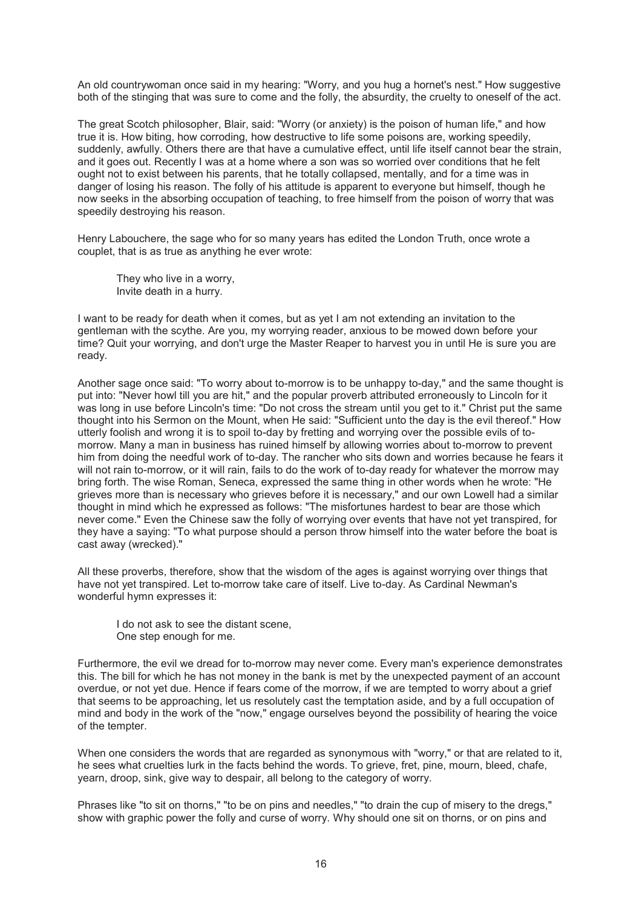An old countrywoman once said in my hearing: "Worry, and you hug a hornet's nest." How suggestive both of the stinging that was sure to come and the folly, the absurdity, the cruelty to oneself of the act.

The great Scotch philosopher, Blair, said: "Worry (or anxiety) is the poison of human life," and how true it is. How biting, how corroding, how destructive to life some poisons are, working speedily, suddenly, awfully. Others there are that have a cumulative effect, until life itself cannot bear the strain, and it goes out. Recently I was at a home where a son was so worried over conditions that he felt ought not to exist between his parents, that he totally collapsed, mentally, and for a time was in danger of losing his reason. The folly of his attitude is apparent to everyone but himself, though he now seeks in the absorbing occupation of teaching, to free himself from the poison of worry that was speedily destroying his reason.

Henry Labouchere, the sage who for so many years has edited the London Truth, once wrote a couplet, that is as true as anything he ever wrote:

They who live in a worry, Invite death in a hurry.

I want to be ready for death when it comes, but as yet I am not extending an invitation to the gentleman with the scythe. Are you, my worrying reader, anxious to be mowed down before your time? Quit your worrying, and don't urge the Master Reaper to harvest you in until He is sure you are ready.

Another sage once said: "To worry about to-morrow is to be unhappy to-day," and the same thought is put into: "Never howl till you are hit," and the popular proverb attributed erroneously to Lincoln for it was long in use before Lincoln's time: "Do not cross the stream until you get to it." Christ put the same thought into his Sermon on the Mount, when He said: "Sufficient unto the day is the evil thereof." How utterly foolish and wrong it is to spoil to-day by fretting and worrying over the possible evils of tomorrow. Many a man in business has ruined himself by allowing worries about to-morrow to prevent him from doing the needful work of to-day. The rancher who sits down and worries because he fears it will not rain to-morrow, or it will rain, fails to do the work of to-day ready for whatever the morrow may bring forth. The wise Roman, Seneca, expressed the same thing in other words when he wrote: "He grieves more than is necessary who grieves before it is necessary," and our own Lowell had a similar thought in mind which he expressed as follows: "The misfortunes hardest to bear are those which never come." Even the Chinese saw the folly of worrying over events that have not yet transpired, for they have a saying: "To what purpose should a person throw himself into the water before the boat is cast away (wrecked)."

All these proverbs, therefore, show that the wisdom of the ages is against worrying over things that have not yet transpired. Let to-morrow take care of itself. Live to-day. As Cardinal Newman's wonderful hymn expresses it:

I do not ask to see the distant scene. One step enough for me.

Furthermore, the evil we dread for to-morrow may never come. Every man's experience demonstrates this. The bill for which he has not money in the bank is met by the unexpected payment of an account overdue, or not yet due. Hence if fears come of the morrow, if we are tempted to worry about a grief that seems to be approaching, let us resolutely cast the temptation aside, and by a full occupation of mind and body in the work of the "now," engage ourselves beyond the possibility of hearing the voice of the tempter.

When one considers the words that are regarded as synonymous with "worry," or that are related to it, he sees what cruelties lurk in the facts behind the words. To grieve, fret, pine, mourn, bleed, chafe, yearn, droop, sink, give way to despair, all belong to the category of worry.

Phrases like "to sit on thorns," "to be on pins and needles," "to drain the cup of misery to the dregs," show with graphic power the folly and curse of worry. Why should one sit on thorns, or on pins and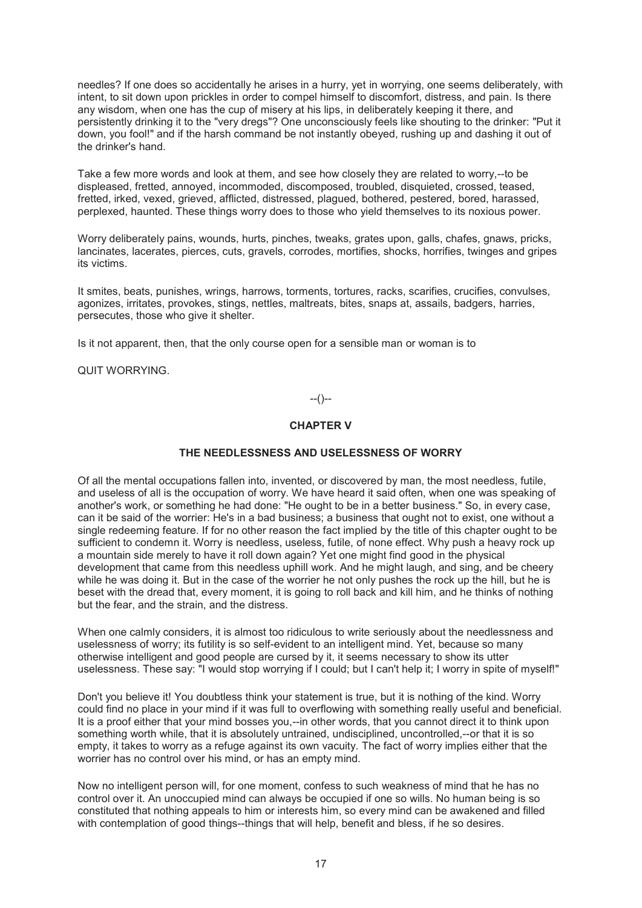needles? If one does so accidentally he arises in a hurry, yet in worrying, one seems deliberately, with intent, to sit down upon prickles in order to compel himself to discomfort, distress, and pain. Is there any wisdom, when one has the cup of misery at his lips, in deliberately keeping it there, and persistently drinking it to the "very dregs"? One unconsciously feels like shouting to the drinker: "Put it down, you fool!" and if the harsh command be not instantly obeyed, rushing up and dashing it out of the drinker's hand.

Take a few more words and look at them, and see how closely they are related to worry,--to be displeased, fretted, annoyed, incommoded, discomposed, troubled, disquieted, crossed, teased, fretted, irked, vexed, grieved, afflicted, distressed, plagued, bothered, pestered, bored, harassed, perplexed, haunted. These things worry does to those who yield themselves to its noxious power.

Worry deliberately pains, wounds, hurts, pinches, tweaks, grates upon, galls, chafes, gnaws, pricks, lancinates, lacerates, pierces, cuts, gravels, corrodes, mortifies, shocks, horrifies, twinges and gripes its victims.

It smites, beats, punishes, wrings, harrows, torments, tortures, racks, scarifies, crucifies, convulses, agonizes, irritates, provokes, stings, nettles, maltreats, bites, snaps at, assails, badgers, harries, persecutes, those who give it shelter.

Is it not apparent, then, that the only course open for a sensible man or woman is to

QUIT WORRYING.

# --()--

# **CHAPTER V**

### **THE NEEDLESSNESS AND USELESSNESS OF WORRY**

Of all the mental occupations fallen into, invented, or discovered by man, the most needless, futile, and useless of all is the occupation of worry. We have heard it said often, when one was speaking of another's work, or something he had done: "He ought to be in a better business." So, in every case, can it be said of the worrier: He's in a bad business; a business that ought not to exist, one without a single redeeming feature. If for no other reason the fact implied by the title of this chapter ought to be sufficient to condemn it. Worry is needless, useless, futile, of none effect. Why push a heavy rock up a mountain side merely to have it roll down again? Yet one might find good in the physical development that came from this needless uphill work. And he might laugh, and sing, and be cheery while he was doing it. But in the case of the worrier he not only pushes the rock up the hill, but he is beset with the dread that, every moment, it is going to roll back and kill him, and he thinks of nothing but the fear, and the strain, and the distress.

When one calmly considers, it is almost too ridiculous to write seriously about the needlessness and uselessness of worry; its futility is so self-evident to an intelligent mind. Yet, because so many otherwise intelligent and good people are cursed by it, it seems necessary to show its utter uselessness. These say: "I would stop worrying if I could; but I can't help it; I worry in spite of myself!"

Don't you believe it! You doubtless think your statement is true, but it is nothing of the kind. Worry could find no place in your mind if it was full to overflowing with something really useful and beneficial. It is a proof either that your mind bosses you,--in other words, that you cannot direct it to think upon something worth while, that it is absolutely untrained, undisciplined, uncontrolled,--or that it is so empty, it takes to worry as a refuge against its own vacuity. The fact of worry implies either that the worrier has no control over his mind, or has an empty mind.

Now no intelligent person will, for one moment, confess to such weakness of mind that he has no control over it. An unoccupied mind can always be occupied if one so wills. No human being is so constituted that nothing appeals to him or interests him, so every mind can be awakened and filled with contemplation of good things--things that will help, benefit and bless, if he so desires.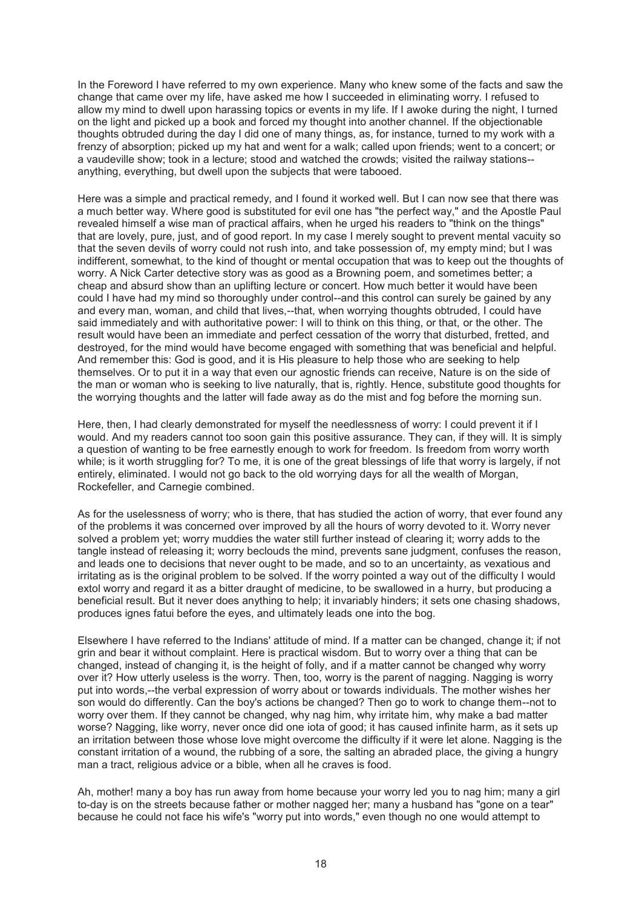In the Foreword I have referred to my own experience. Many who knew some of the facts and saw the change that came over my life, have asked me how I succeeded in eliminating worry. I refused to allow my mind to dwell upon harassing topics or events in my life. If I awoke during the night, I turned on the light and picked up a book and forced my thought into another channel. If the objectionable thoughts obtruded during the day I did one of many things, as, for instance, turned to my work with a frenzy of absorption; picked up my hat and went for a walk; called upon friends; went to a concert; or a vaudeville show; took in a lecture; stood and watched the crowds; visited the railway stations- anything, everything, but dwell upon the subjects that were tabooed.

Here was a simple and practical remedy, and I found it worked well. But I can now see that there was a much better way. Where good is substituted for evil one has "the perfect way," and the Apostle Paul revealed himself a wise man of practical affairs, when he urged his readers to "think on the things" that are lovely, pure, just, and of good report. In my case I merely sought to prevent mental vacuity so that the seven devils of worry could not rush into, and take possession of, my empty mind; but I was indifferent, somewhat, to the kind of thought or mental occupation that was to keep out the thoughts of worry. A Nick Carter detective story was as good as a Browning poem, and sometimes better; a cheap and absurd show than an uplifting lecture or concert. How much better it would have been could I have had my mind so thoroughly under control--and this control can surely be gained by any and every man, woman, and child that lives,--that, when worrying thoughts obtruded, I could have said immediately and with authoritative power: I will to think on this thing, or that, or the other. The result would have been an immediate and perfect cessation of the worry that disturbed, fretted, and destroyed, for the mind would have become engaged with something that was beneficial and helpful. And remember this: God is good, and it is His pleasure to help those who are seeking to help themselves. Or to put it in a way that even our agnostic friends can receive, Nature is on the side of the man or woman who is seeking to live naturally, that is, rightly. Hence, substitute good thoughts for the worrying thoughts and the latter will fade away as do the mist and fog before the morning sun.

Here, then, I had clearly demonstrated for myself the needlessness of worry: I could prevent it if I would. And my readers cannot too soon gain this positive assurance. They can, if they will. It is simply a question of wanting to be free earnestly enough to work for freedom. Is freedom from worry worth while; is it worth struggling for? To me, it is one of the great blessings of life that worry is largely, if not entirely, eliminated. I would not go back to the old worrying days for all the wealth of Morgan, Rockefeller, and Carnegie combined.

As for the uselessness of worry; who is there, that has studied the action of worry, that ever found any of the problems it was concerned over improved by all the hours of worry devoted to it. Worry never solved a problem yet; worry muddies the water still further instead of clearing it; worry adds to the tangle instead of releasing it; worry beclouds the mind, prevents sane judgment, confuses the reason, and leads one to decisions that never ought to be made, and so to an uncertainty, as vexatious and irritating as is the original problem to be solved. If the worry pointed a way out of the difficulty I would extol worry and regard it as a bitter draught of medicine, to be swallowed in a hurry, but producing a beneficial result. But it never does anything to help; it invariably hinders; it sets one chasing shadows, produces ignes fatui before the eyes, and ultimately leads one into the bog.

Elsewhere I have referred to the Indians' attitude of mind. If a matter can be changed, change it; if not grin and bear it without complaint. Here is practical wisdom. But to worry over a thing that can be changed, instead of changing it, is the height of folly, and if a matter cannot be changed why worry over it? How utterly useless is the worry. Then, too, worry is the parent of nagging. Nagging is worry put into words,--the verbal expression of worry about or towards individuals. The mother wishes her son would do differently. Can the boy's actions be changed? Then go to work to change them--not to worry over them. If they cannot be changed, why nag him, why irritate him, why make a bad matter worse? Nagging, like worry, never once did one iota of good; it has caused infinite harm, as it sets up an irritation between those whose love might overcome the difficulty if it were let alone. Nagging is the constant irritation of a wound, the rubbing of a sore, the salting an abraded place, the giving a hungry man a tract, religious advice or a bible, when all he craves is food.

Ah, mother! many a boy has run away from home because your worry led you to nag him; many a girl to-day is on the streets because father or mother nagged her; many a husband has "gone on a tear" because he could not face his wife's "worry put into words," even though no one would attempt to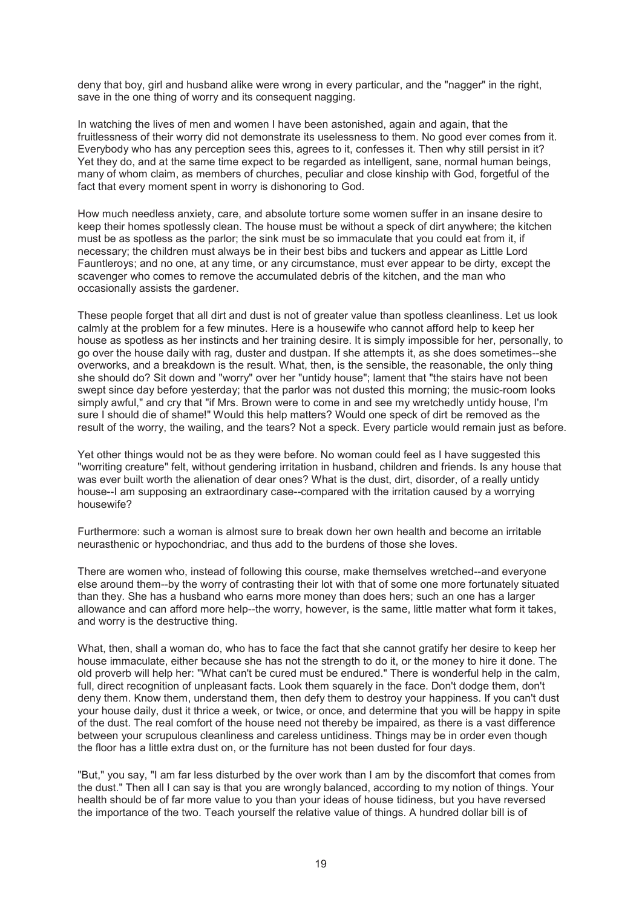deny that boy, girl and husband alike were wrong in every particular, and the "nagger" in the right, save in the one thing of worry and its consequent nagging.

In watching the lives of men and women I have been astonished, again and again, that the fruitlessness of their worry did not demonstrate its uselessness to them. No good ever comes from it. Everybody who has any perception sees this, agrees to it, confesses it. Then why still persist in it? Yet they do, and at the same time expect to be regarded as intelligent, sane, normal human beings, many of whom claim, as members of churches, peculiar and close kinship with God, forgetful of the fact that every moment spent in worry is dishonoring to God.

How much needless anxiety, care, and absolute torture some women suffer in an insane desire to keep their homes spotlessly clean. The house must be without a speck of dirt anywhere; the kitchen must be as spotless as the parlor; the sink must be so immaculate that you could eat from it, if necessary; the children must always be in their best bibs and tuckers and appear as Little Lord Fauntleroys; and no one, at any time, or any circumstance, must ever appear to be dirty, except the scavenger who comes to remove the accumulated debris of the kitchen, and the man who occasionally assists the gardener.

These people forget that all dirt and dust is not of greater value than spotless cleanliness. Let us look calmly at the problem for a few minutes. Here is a housewife who cannot afford help to keep her house as spotless as her instincts and her training desire. It is simply impossible for her, personally, to go over the house daily with rag, duster and dustpan. If she attempts it, as she does sometimes--she overworks, and a breakdown is the result. What, then, is the sensible, the reasonable, the only thing she should do? Sit down and "worry" over her "untidy house"; lament that "the stairs have not been swept since day before yesterday; that the parlor was not dusted this morning; the music-room looks simply awful," and cry that "if Mrs. Brown were to come in and see my wretchedly untidy house, I'm sure I should die of shame!" Would this help matters? Would one speck of dirt be removed as the result of the worry, the wailing, and the tears? Not a speck. Every particle would remain just as before.

Yet other things would not be as they were before. No woman could feel as I have suggested this "worriting creature" felt, without gendering irritation in husband, children and friends. Is any house that was ever built worth the alienation of dear ones? What is the dust, dirt, disorder, of a really untidy house--I am supposing an extraordinary case--compared with the irritation caused by a worrying housewife?

Furthermore: such a woman is almost sure to break down her own health and become an irritable neurasthenic or hypochondriac, and thus add to the burdens of those she loves.

There are women who, instead of following this course, make themselves wretched--and everyone else around them--by the worry of contrasting their lot with that of some one more fortunately situated than they. She has a husband who earns more money than does hers; such an one has a larger allowance and can afford more help--the worry, however, is the same, little matter what form it takes, and worry is the destructive thing.

What, then, shall a woman do, who has to face the fact that she cannot gratify her desire to keep her house immaculate, either because she has not the strength to do it, or the money to hire it done. The old proverb will help her: "What can't be cured must be endured." There is wonderful help in the calm, full, direct recognition of unpleasant facts. Look them squarely in the face. Don't dodge them, don't deny them. Know them, understand them, then defy them to destroy your happiness. If you can't dust your house daily, dust it thrice a week, or twice, or once, and determine that you will be happy in spite of the dust. The real comfort of the house need not thereby be impaired, as there is a vast difference between your scrupulous cleanliness and careless untidiness. Things may be in order even though the floor has a little extra dust on, or the furniture has not been dusted for four days.

"But," you say, "I am far less disturbed by the over work than I am by the discomfort that comes from the dust." Then all I can say is that you are wrongly balanced, according to my notion of things. Your health should be of far more value to you than your ideas of house tidiness, but you have reversed the importance of the two. Teach yourself the relative value of things. A hundred dollar bill is of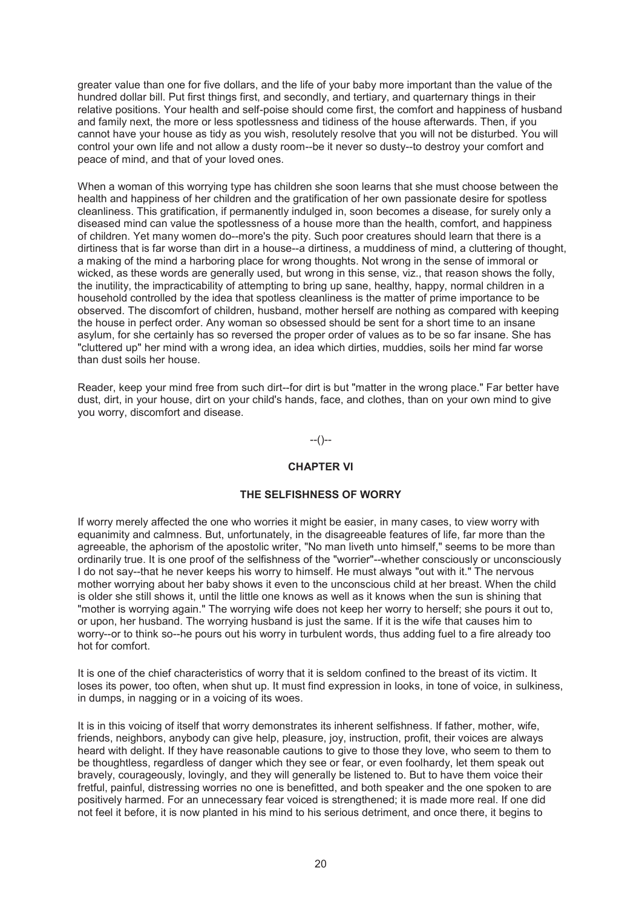greater value than one for five dollars, and the life of your baby more important than the value of the hundred dollar bill. Put first things first, and secondly, and tertiary, and quarternary things in their relative positions. Your health and self-poise should come first, the comfort and happiness of husband and family next, the more or less spotlessness and tidiness of the house afterwards. Then, if you cannot have your house as tidy as you wish, resolutely resolve that you will not be disturbed. You will control your own life and not allow a dusty room--be it never so dusty--to destroy your comfort and peace of mind, and that of your loved ones.

When a woman of this worrying type has children she soon learns that she must choose between the health and happiness of her children and the gratification of her own passionate desire for spotless cleanliness. This gratification, if permanently indulged in, soon becomes a disease, for surely only a diseased mind can value the spotlessness of a house more than the health, comfort, and happiness of children. Yet many women do--more's the pity. Such poor creatures should learn that there is a dirtiness that is far worse than dirt in a house--a dirtiness, a muddiness of mind, a cluttering of thought, a making of the mind a harboring place for wrong thoughts. Not wrong in the sense of immoral or wicked, as these words are generally used, but wrong in this sense, viz., that reason shows the folly, the inutility, the impracticability of attempting to bring up sane, healthy, happy, normal children in a household controlled by the idea that spotless cleanliness is the matter of prime importance to be observed. The discomfort of children, husband, mother herself are nothing as compared with keeping the house in perfect order. Any woman so obsessed should be sent for a short time to an insane asylum, for she certainly has so reversed the proper order of values as to be so far insane. She has "cluttered up" her mind with a wrong idea, an idea which dirties, muddies, soils her mind far worse than dust soils her house.

Reader, keep your mind free from such dirt--for dirt is but "matter in the wrong place." Far better have dust, dirt, in your house, dirt on your child's hands, face, and clothes, than on your own mind to give you worry, discomfort and disease.

--()--

# **CHAPTER VI**

### **THE SELFISHNESS OF WORRY**

If worry merely affected the one who worries it might be easier, in many cases, to view worry with equanimity and calmness. But, unfortunately, in the disagreeable features of life, far more than the agreeable, the aphorism of the apostolic writer, "No man liveth unto himself," seems to be more than ordinarily true. It is one proof of the selfishness of the "worrier"--whether consciously or unconsciously I do not say--that he never keeps his worry to himself. He must always "out with it." The nervous mother worrying about her baby shows it even to the unconscious child at her breast. When the child is older she still shows it, until the little one knows as well as it knows when the sun is shining that "mother is worrying again." The worrying wife does not keep her worry to herself; she pours it out to, or upon, her husband. The worrying husband is just the same. If it is the wife that causes him to worry--or to think so--he pours out his worry in turbulent words, thus adding fuel to a fire already too hot for comfort.

It is one of the chief characteristics of worry that it is seldom confined to the breast of its victim. It loses its power, too often, when shut up. It must find expression in looks, in tone of voice, in sulkiness, in dumps, in nagging or in a voicing of its woes.

It is in this voicing of itself that worry demonstrates its inherent selfishness. If father, mother, wife, friends, neighbors, anybody can give help, pleasure, joy, instruction, profit, their voices are always heard with delight. If they have reasonable cautions to give to those they love, who seem to them to be thoughtless, regardless of danger which they see or fear, or even foolhardy, let them speak out bravely, courageously, lovingly, and they will generally be listened to. But to have them voice their fretful, painful, distressing worries no one is benefitted, and both speaker and the one spoken to are positively harmed. For an unnecessary fear voiced is strengthened; it is made more real. If one did not feel it before, it is now planted in his mind to his serious detriment, and once there, it begins to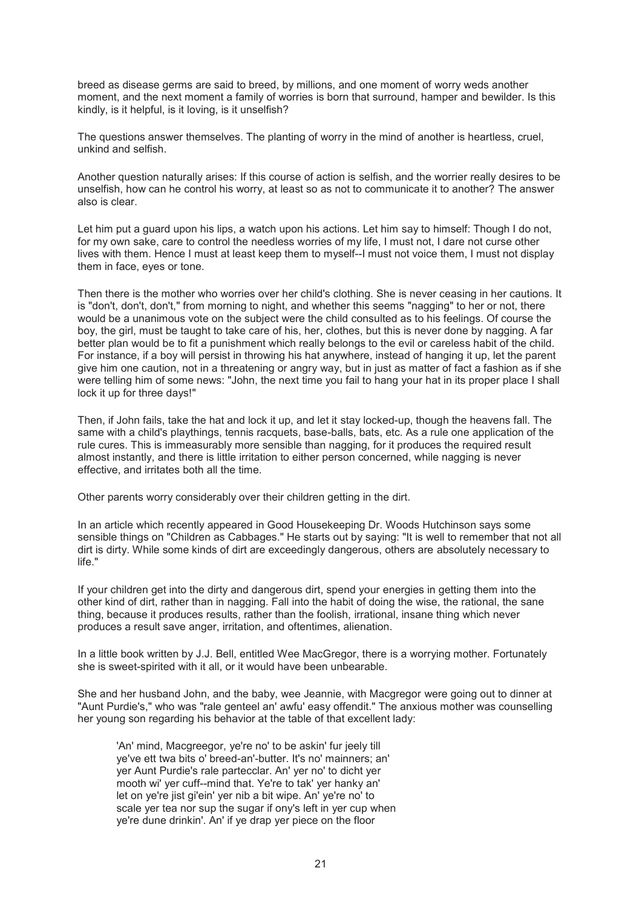breed as disease germs are said to breed, by millions, and one moment of worry weds another moment, and the next moment a family of worries is born that surround, hamper and bewilder. Is this kindly, is it helpful, is it loving, is it unselfish?

The questions answer themselves. The planting of worry in the mind of another is heartless, cruel, unkind and selfish.

Another question naturally arises: If this course of action is selfish, and the worrier really desires to be unselfish, how can he control his worry, at least so as not to communicate it to another? The answer also is clear.

Let him put a guard upon his lips, a watch upon his actions. Let him say to himself: Though I do not, for my own sake, care to control the needless worries of my life, I must not, I dare not curse other lives with them. Hence I must at least keep them to myself--I must not voice them, I must not display them in face, eyes or tone.

Then there is the mother who worries over her child's clothing. She is never ceasing in her cautions. It is "don't, don't, don't," from morning to night, and whether this seems "nagging" to her or not, there would be a unanimous vote on the subject were the child consulted as to his feelings. Of course the boy, the girl, must be taught to take care of his, her, clothes, but this is never done by nagging. A far better plan would be to fit a punishment which really belongs to the evil or careless habit of the child. For instance, if a boy will persist in throwing his hat anywhere, instead of hanging it up, let the parent give him one caution, not in a threatening or angry way, but in just as matter of fact a fashion as if she were telling him of some news: "John, the next time you fail to hang your hat in its proper place I shall lock it up for three days!"

Then, if John fails, take the hat and lock it up, and let it stay locked-up, though the heavens fall. The same with a child's playthings, tennis racquets, base-balls, bats, etc. As a rule one application of the rule cures. This is immeasurably more sensible than nagging, for it produces the required result almost instantly, and there is little irritation to either person concerned, while nagging is never effective, and irritates both all the time.

Other parents worry considerably over their children getting in the dirt.

In an article which recently appeared in Good Housekeeping Dr. Woods Hutchinson says some sensible things on "Children as Cabbages." He starts out by saying: "It is well to remember that not all dirt is dirty. While some kinds of dirt are exceedingly dangerous, others are absolutely necessary to life."

If your children get into the dirty and dangerous dirt, spend your energies in getting them into the other kind of dirt, rather than in nagging. Fall into the habit of doing the wise, the rational, the sane thing, because it produces results, rather than the foolish, irrational, insane thing which never produces a result save anger, irritation, and oftentimes, alienation.

In a little book written by J.J. Bell, entitled Wee MacGregor, there is a worrying mother. Fortunately she is sweet-spirited with it all, or it would have been unbearable.

She and her husband John, and the baby, wee Jeannie, with Macgregor were going out to dinner at "Aunt Purdie's," who was "rale genteel an' awfu' easy offendit." The anxious mother was counselling her young son regarding his behavior at the table of that excellent lady:

'An' mind, Macgreegor, ye're no' to be askin' fur jeely till ye've ett twa bits o' breed-an'-butter. It's no' mainners; an' yer Aunt Purdie's rale partecclar. An' yer no' to dicht yer mooth wi' yer cuff--mind that. Ye're to tak' yer hanky an' let on ye're jist gi'ein' yer nib a bit wipe. An' ye're no' to scale yer tea nor sup the sugar if ony's left in yer cup when ye're dune drinkin'. An' if ye drap yer piece on the floor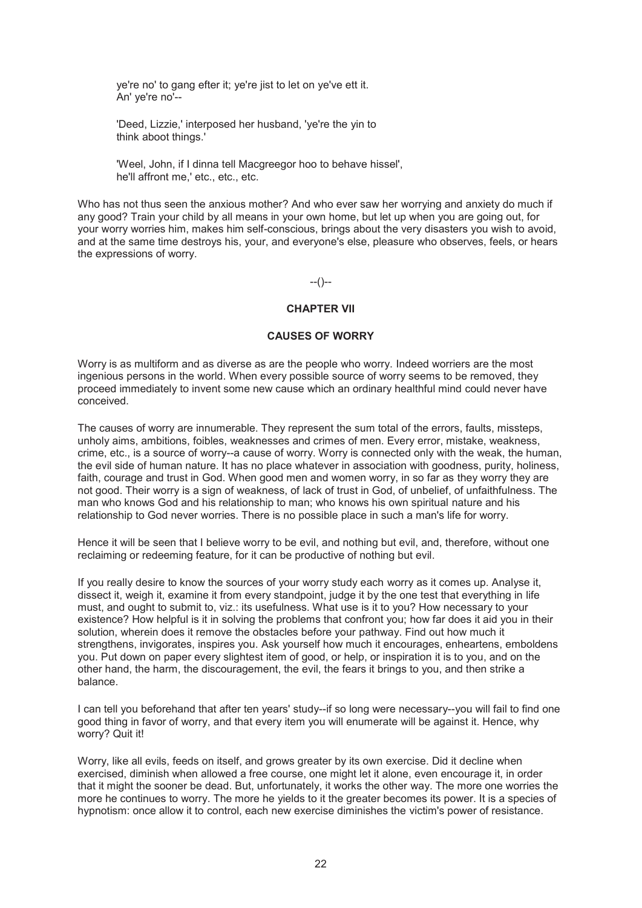ye're no' to gang efter it; ye're jist to let on ye've ett it. An' ye're no'--

'Deed, Lizzie,' interposed her husband, 'ye're the yin to think aboot things.'

'Weel, John, if I dinna tell Macgreegor hoo to behave hissel', he'll affront me,' etc., etc., etc.

Who has not thus seen the anxious mother? And who ever saw her worrying and anxiety do much if any good? Train your child by all means in your own home, but let up when you are going out, for your worry worries him, makes him self-conscious, brings about the very disasters you wish to avoid, and at the same time destroys his, your, and everyone's else, pleasure who observes, feels, or hears the expressions of worry.

--()--

# **CHAPTER VII**

#### **CAUSES OF WORRY**

Worry is as multiform and as diverse as are the people who worry. Indeed worriers are the most ingenious persons in the world. When every possible source of worry seems to be removed, they proceed immediately to invent some new cause which an ordinary healthful mind could never have conceived.

The causes of worry are innumerable. They represent the sum total of the errors, faults, missteps, unholy aims, ambitions, foibles, weaknesses and crimes of men. Every error, mistake, weakness, crime, etc., is a source of worry--a cause of worry. Worry is connected only with the weak, the human, the evil side of human nature. It has no place whatever in association with goodness, purity, holiness, faith, courage and trust in God. When good men and women worry, in so far as they worry they are not good. Their worry is a sign of weakness, of lack of trust in God, of unbelief, of unfaithfulness. The man who knows God and his relationship to man; who knows his own spiritual nature and his relationship to God never worries. There is no possible place in such a man's life for worry.

Hence it will be seen that I believe worry to be evil, and nothing but evil, and, therefore, without one reclaiming or redeeming feature, for it can be productive of nothing but evil.

If you really desire to know the sources of your worry study each worry as it comes up. Analyse it, dissect it, weigh it, examine it from every standpoint, judge it by the one test that everything in life must, and ought to submit to, viz.: its usefulness. What use is it to you? How necessary to your existence? How helpful is it in solving the problems that confront you; how far does it aid you in their solution, wherein does it remove the obstacles before your pathway. Find out how much it strengthens, invigorates, inspires you. Ask yourself how much it encourages, enheartens, emboldens you. Put down on paper every slightest item of good, or help, or inspiration it is to you, and on the other hand, the harm, the discouragement, the evil, the fears it brings to you, and then strike a balance.

I can tell you beforehand that after ten years' study--if so long were necessary--you will fail to find one good thing in favor of worry, and that every item you will enumerate will be against it. Hence, why worry? Quit it!

Worry, like all evils, feeds on itself, and grows greater by its own exercise. Did it decline when exercised, diminish when allowed a free course, one might let it alone, even encourage it, in order that it might the sooner be dead. But, unfortunately, it works the other way. The more one worries the more he continues to worry. The more he yields to it the greater becomes its power. It is a species of hypnotism: once allow it to control, each new exercise diminishes the victim's power of resistance.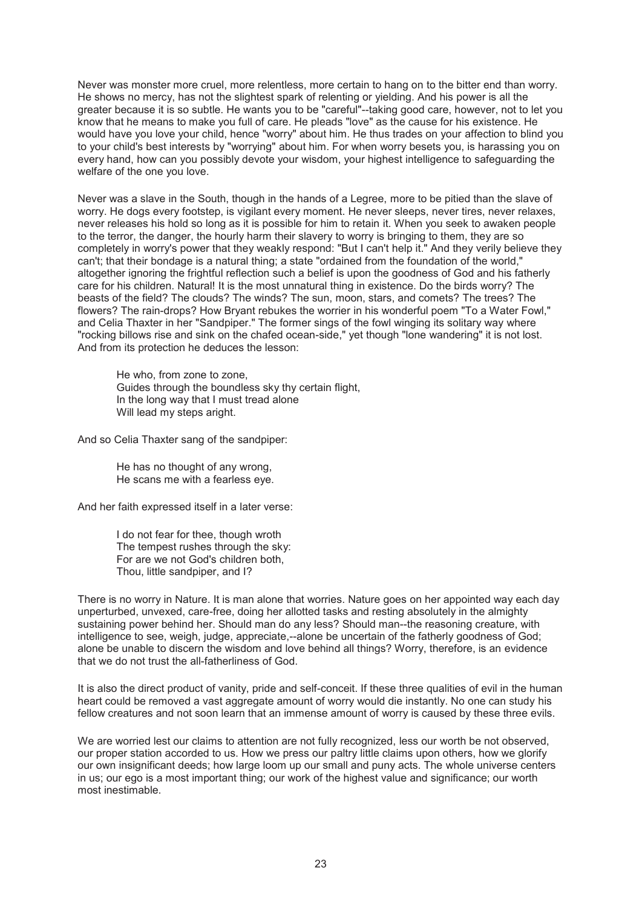Never was monster more cruel, more relentless, more certain to hang on to the bitter end than worry. He shows no mercy, has not the slightest spark of relenting or yielding. And his power is all the greater because it is so subtle. He wants you to be "careful"--taking good care, however, not to let you know that he means to make you full of care. He pleads "love" as the cause for his existence. He would have you love your child, hence "worry" about him. He thus trades on your affection to blind you to your child's best interests by "worrying" about him. For when worry besets you, is harassing you on every hand, how can you possibly devote your wisdom, your highest intelligence to safeguarding the welfare of the one you love.

Never was a slave in the South, though in the hands of a Legree, more to be pitied than the slave of worry. He dogs every footstep, is vigilant every moment. He never sleeps, never tires, never relaxes, never releases his hold so long as it is possible for him to retain it. When you seek to awaken people to the terror, the danger, the hourly harm their slavery to worry is bringing to them, they are so completely in worry's power that they weakly respond: "But I can't help it." And they verily believe they can't; that their bondage is a natural thing; a state "ordained from the foundation of the world," altogether ignoring the frightful reflection such a belief is upon the goodness of God and his fatherly care for his children. Natural! It is the most unnatural thing in existence. Do the birds worry? The beasts of the field? The clouds? The winds? The sun, moon, stars, and comets? The trees? The flowers? The rain-drops? How Bryant rebukes the worrier in his wonderful poem "To a Water Fowl," and Celia Thaxter in her "Sandpiper." The former sings of the fowl winging its solitary way where "rocking billows rise and sink on the chafed ocean-side," yet though "lone wandering" it is not lost. And from its protection he deduces the lesson:

He who, from zone to zone, Guides through the boundless sky thy certain flight, In the long way that I must tread alone Will lead my steps aright.

And so Celia Thaxter sang of the sandpiper:

He has no thought of any wrong, He scans me with a fearless eye.

And her faith expressed itself in a later verse:

I do not fear for thee, though wroth The tempest rushes through the sky: For are we not God's children both, Thou, little sandpiper, and I?

There is no worry in Nature. It is man alone that worries. Nature goes on her appointed way each day unperturbed, unvexed, care-free, doing her allotted tasks and resting absolutely in the almighty sustaining power behind her. Should man do any less? Should man--the reasoning creature, with intelligence to see, weigh, judge, appreciate,--alone be uncertain of the fatherly goodness of God; alone be unable to discern the wisdom and love behind all things? Worry, therefore, is an evidence that we do not trust the all-fatherliness of God.

It is also the direct product of vanity, pride and self-conceit. If these three qualities of evil in the human heart could be removed a vast aggregate amount of worry would die instantly. No one can study his fellow creatures and not soon learn that an immense amount of worry is caused by these three evils.

We are worried lest our claims to attention are not fully recognized, less our worth be not observed, our proper station accorded to us. How we press our paltry little claims upon others, how we glorify our own insignificant deeds; how large loom up our small and puny acts. The whole universe centers in us; our ego is a most important thing; our work of the highest value and significance; our worth most inestimable.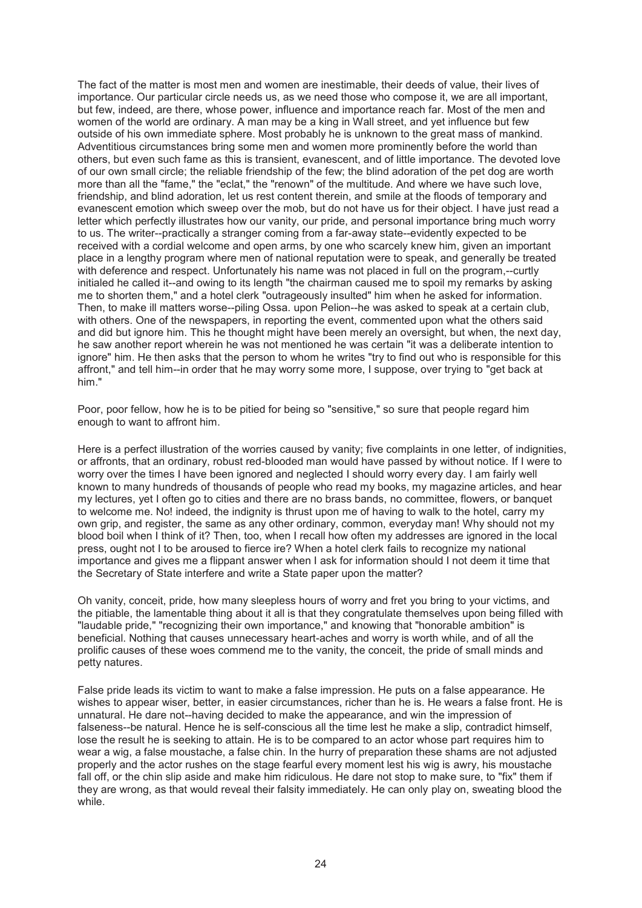The fact of the matter is most men and women are inestimable, their deeds of value, their lives of importance. Our particular circle needs us, as we need those who compose it, we are all important, but few, indeed, are there, whose power, influence and importance reach far. Most of the men and women of the world are ordinary. A man may be a king in Wall street, and yet influence but few outside of his own immediate sphere. Most probably he is unknown to the great mass of mankind. Adventitious circumstances bring some men and women more prominently before the world than others, but even such fame as this is transient, evanescent, and of little importance. The devoted love of our own small circle; the reliable friendship of the few; the blind adoration of the pet dog are worth more than all the "fame," the "eclat," the "renown" of the multitude. And where we have such love, friendship, and blind adoration, let us rest content therein, and smile at the floods of temporary and evanescent emotion which sweep over the mob, but do not have us for their object. I have just read a letter which perfectly illustrates how our vanity, our pride, and personal importance bring much worry to us. The writer--practically a stranger coming from a far-away state--evidently expected to be received with a cordial welcome and open arms, by one who scarcely knew him, given an important place in a lengthy program where men of national reputation were to speak, and generally be treated with deference and respect. Unfortunately his name was not placed in full on the program,--curtly initialed he called it--and owing to its length "the chairman caused me to spoil my remarks by asking me to shorten them," and a hotel clerk "outrageously insulted" him when he asked for information. Then, to make ill matters worse--piling Ossa. upon Pelion--he was asked to speak at a certain club, with others. One of the newspapers, in reporting the event, commented upon what the others said and did but ignore him. This he thought might have been merely an oversight, but when, the next day, he saw another report wherein he was not mentioned he was certain "it was a deliberate intention to ignore" him. He then asks that the person to whom he writes "try to find out who is responsible for this affront," and tell him--in order that he may worry some more, I suppose, over trying to "get back at him."

Poor, poor fellow, how he is to be pitied for being so "sensitive," so sure that people regard him enough to want to affront him.

Here is a perfect illustration of the worries caused by vanity; five complaints in one letter, of indignities, or affronts, that an ordinary, robust red-blooded man would have passed by without notice. If I were to worry over the times I have been ignored and neglected I should worry every day. I am fairly well known to many hundreds of thousands of people who read my books, my magazine articles, and hear my lectures, yet I often go to cities and there are no brass bands, no committee, flowers, or banquet to welcome me. No! indeed, the indignity is thrust upon me of having to walk to the hotel, carry my own grip, and register, the same as any other ordinary, common, everyday man! Why should not my blood boil when I think of it? Then, too, when I recall how often my addresses are ignored in the local press, ought not I to be aroused to fierce ire? When a hotel clerk fails to recognize my national importance and gives me a flippant answer when I ask for information should I not deem it time that the Secretary of State interfere and write a State paper upon the matter?

Oh vanity, conceit, pride, how many sleepless hours of worry and fret you bring to your victims, and the pitiable, the lamentable thing about it all is that they congratulate themselves upon being filled with "laudable pride," "recognizing their own importance," and knowing that "honorable ambition" is beneficial. Nothing that causes unnecessary heart-aches and worry is worth while, and of all the prolific causes of these woes commend me to the vanity, the conceit, the pride of small minds and petty natures.

False pride leads its victim to want to make a false impression. He puts on a false appearance. He wishes to appear wiser, better, in easier circumstances, richer than he is. He wears a false front. He is unnatural. He dare not--having decided to make the appearance, and win the impression of falseness--be natural. Hence he is self-conscious all the time lest he make a slip, contradict himself, lose the result he is seeking to attain. He is to be compared to an actor whose part requires him to wear a wig, a false moustache, a false chin. In the hurry of preparation these shams are not adjusted properly and the actor rushes on the stage fearful every moment lest his wig is awry, his moustache fall off, or the chin slip aside and make him ridiculous. He dare not stop to make sure, to "fix" them if they are wrong, as that would reveal their falsity immediately. He can only play on, sweating blood the while.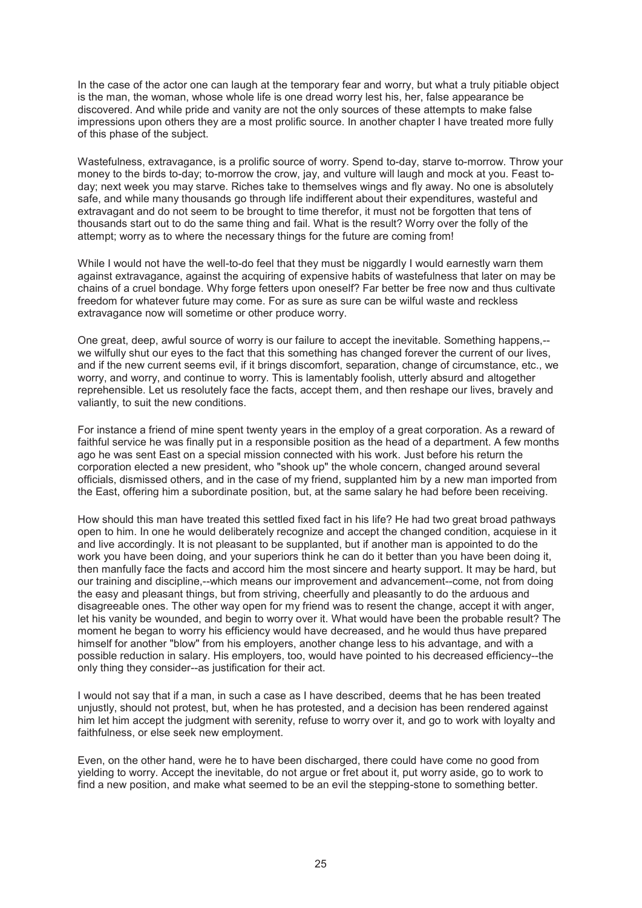In the case of the actor one can laugh at the temporary fear and worry, but what a truly pitiable object is the man, the woman, whose whole life is one dread worry lest his, her, false appearance be discovered. And while pride and vanity are not the only sources of these attempts to make false impressions upon others they are a most prolific source. In another chapter I have treated more fully of this phase of the subject.

Wastefulness, extravagance, is a prolific source of worry. Spend to-day, starve to-morrow. Throw your money to the birds to-day; to-morrow the crow, jay, and vulture will laugh and mock at you. Feast today; next week you may starve. Riches take to themselves wings and fly away. No one is absolutely safe, and while many thousands go through life indifferent about their expenditures, wasteful and extravagant and do not seem to be brought to time therefor, it must not be forgotten that tens of thousands start out to do the same thing and fail. What is the result? Worry over the folly of the attempt; worry as to where the necessary things for the future are coming from!

While I would not have the well-to-do feel that they must be niggardly I would earnestly warn them against extravagance, against the acquiring of expensive habits of wastefulness that later on may be chains of a cruel bondage. Why forge fetters upon oneself? Far better be free now and thus cultivate freedom for whatever future may come. For as sure as sure can be wilful waste and reckless extravagance now will sometime or other produce worry.

One great, deep, awful source of worry is our failure to accept the inevitable. Something happens,- we wilfully shut our eyes to the fact that this something has changed forever the current of our lives, and if the new current seems evil, if it brings discomfort, separation, change of circumstance, etc., we worry, and worry, and continue to worry. This is lamentably foolish, utterly absurd and altogether reprehensible. Let us resolutely face the facts, accept them, and then reshape our lives, bravely and valiantly, to suit the new conditions.

For instance a friend of mine spent twenty years in the employ of a great corporation. As a reward of faithful service he was finally put in a responsible position as the head of a department. A few months ago he was sent East on a special mission connected with his work. Just before his return the corporation elected a new president, who "shook up" the whole concern, changed around several officials, dismissed others, and in the case of my friend, supplanted him by a new man imported from the East, offering him a subordinate position, but, at the same salary he had before been receiving.

How should this man have treated this settled fixed fact in his life? He had two great broad pathways open to him. In one he would deliberately recognize and accept the changed condition, acquiese in it and live accordingly. It is not pleasant to be supplanted, but if another man is appointed to do the work you have been doing, and your superiors think he can do it better than you have been doing it, then manfully face the facts and accord him the most sincere and hearty support. It may be hard, but our training and discipline,--which means our improvement and advancement--come, not from doing the easy and pleasant things, but from striving, cheerfully and pleasantly to do the arduous and disagreeable ones. The other way open for my friend was to resent the change, accept it with anger, let his vanity be wounded, and begin to worry over it. What would have been the probable result? The moment he began to worry his efficiency would have decreased, and he would thus have prepared himself for another "blow" from his employers, another change less to his advantage, and with a possible reduction in salary. His employers, too, would have pointed to his decreased efficiency--the only thing they consider--as justification for their act.

I would not say that if a man, in such a case as I have described, deems that he has been treated unjustly, should not protest, but, when he has protested, and a decision has been rendered against him let him accept the judgment with serenity, refuse to worry over it, and go to work with loyalty and faithfulness, or else seek new employment.

Even, on the other hand, were he to have been discharged, there could have come no good from yielding to worry. Accept the inevitable, do not argue or fret about it, put worry aside, go to work to find a new position, and make what seemed to be an evil the stepping-stone to something better.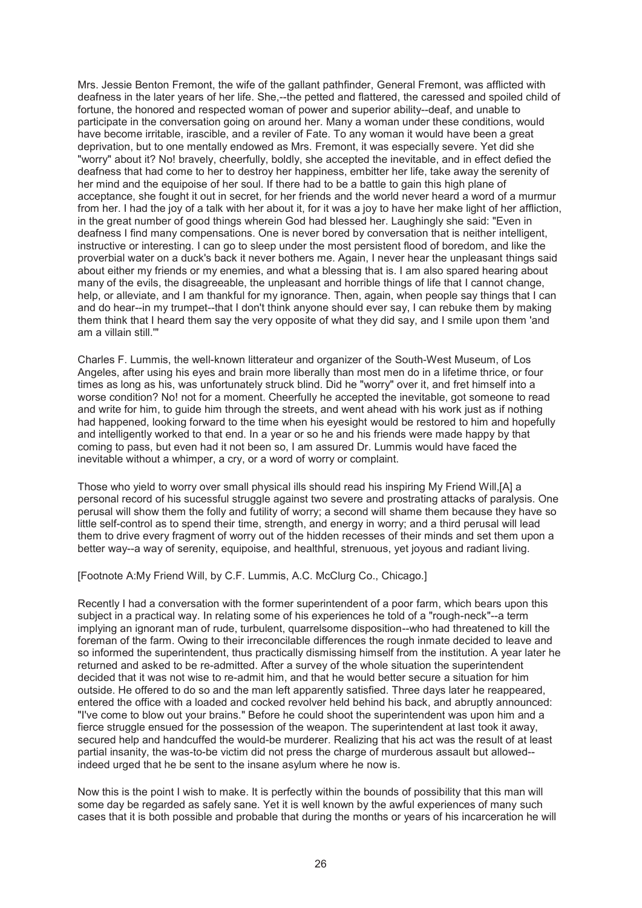Mrs. Jessie Benton Fremont, the wife of the gallant pathfinder, General Fremont, was afflicted with deafness in the later years of her life. She,--the petted and flattered, the caressed and spoiled child of fortune, the honored and respected woman of power and superior ability--deaf, and unable to participate in the conversation going on around her. Many a woman under these conditions, would have become irritable, irascible, and a reviler of Fate. To any woman it would have been a great deprivation, but to one mentally endowed as Mrs. Fremont, it was especially severe. Yet did she "worry" about it? No! bravely, cheerfully, boldly, she accepted the inevitable, and in effect defied the deafness that had come to her to destroy her happiness, embitter her life, take away the serenity of her mind and the equipoise of her soul. If there had to be a battle to gain this high plane of acceptance, she fought it out in secret, for her friends and the world never heard a word of a murmur from her. I had the joy of a talk with her about it, for it was a joy to have her make light of her affliction, in the great number of good things wherein God had blessed her. Laughingly she said: "Even in deafness I find many compensations. One is never bored by conversation that is neither intelligent, instructive or interesting. I can go to sleep under the most persistent flood of boredom, and like the proverbial water on a duck's back it never bothers me. Again, I never hear the unpleasant things said about either my friends or my enemies, and what a blessing that is. I am also spared hearing about many of the evils, the disagreeable, the unpleasant and horrible things of life that I cannot change, help, or alleviate, and I am thankful for my ignorance. Then, again, when people say things that I can and do hear--in my trumpet--that I don't think anyone should ever say, I can rebuke them by making them think that I heard them say the very opposite of what they did say, and I smile upon them 'and am a villain still.'"

Charles F. Lummis, the well-known litterateur and organizer of the South-West Museum, of Los Angeles, after using his eyes and brain more liberally than most men do in a lifetime thrice, or four times as long as his, was unfortunately struck blind. Did he "worry" over it, and fret himself into a worse condition? No! not for a moment. Cheerfully he accepted the inevitable, got someone to read and write for him, to guide him through the streets, and went ahead with his work just as if nothing had happened, looking forward to the time when his eyesight would be restored to him and hopefully and intelligently worked to that end. In a year or so he and his friends were made happy by that coming to pass, but even had it not been so, I am assured Dr. Lummis would have faced the inevitable without a whimper, a cry, or a word of worry or complaint.

Those who yield to worry over small physical ills should read his inspiring My Friend Will,[A] a personal record of his sucessful struggle against two severe and prostrating attacks of paralysis. One perusal will show them the folly and futility of worry; a second will shame them because they have so little self-control as to spend their time, strength, and energy in worry; and a third perusal will lead them to drive every fragment of worry out of the hidden recesses of their minds and set them upon a better way--a way of serenity, equipoise, and healthful, strenuous, yet joyous and radiant living.

[Footnote A:My Friend Will, by C.F. Lummis, A.C. McClurg Co., Chicago.]

Recently I had a conversation with the former superintendent of a poor farm, which bears upon this subject in a practical way. In relating some of his experiences he told of a "rough-neck"--a term implying an ignorant man of rude, turbulent, quarrelsome disposition--who had threatened to kill the foreman of the farm. Owing to their irreconcilable differences the rough inmate decided to leave and so informed the superintendent, thus practically dismissing himself from the institution. A year later he returned and asked to be re-admitted. After a survey of the whole situation the superintendent decided that it was not wise to re-admit him, and that he would better secure a situation for him outside. He offered to do so and the man left apparently satisfied. Three days later he reappeared, entered the office with a loaded and cocked revolver held behind his back, and abruptly announced: "I've come to blow out your brains." Before he could shoot the superintendent was upon him and a fierce struggle ensued for the possession of the weapon. The superintendent at last took it away, secured help and handcuffed the would-be murderer. Realizing that his act was the result of at least partial insanity, the was-to-be victim did not press the charge of murderous assault but allowed- indeed urged that he be sent to the insane asylum where he now is.

Now this is the point I wish to make. It is perfectly within the bounds of possibility that this man will some day be regarded as safely sane. Yet it is well known by the awful experiences of many such cases that it is both possible and probable that during the months or years of his incarceration he will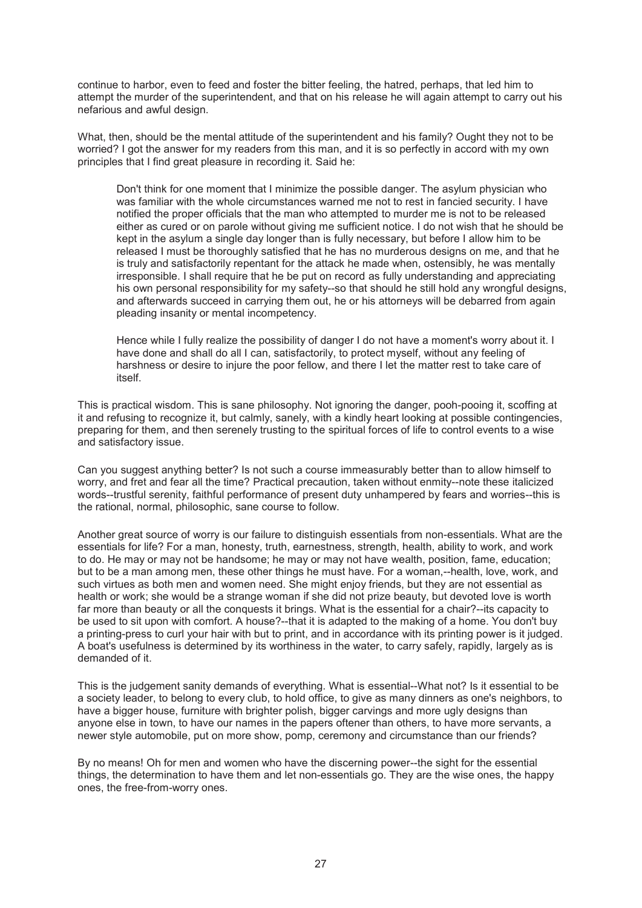continue to harbor, even to feed and foster the bitter feeling, the hatred, perhaps, that led him to attempt the murder of the superintendent, and that on his release he will again attempt to carry out his nefarious and awful design.

What, then, should be the mental attitude of the superintendent and his family? Ought they not to be worried? I got the answer for my readers from this man, and it is so perfectly in accord with my own principles that I find great pleasure in recording it. Said he:

Don't think for one moment that I minimize the possible danger. The asylum physician who was familiar with the whole circumstances warned me not to rest in fancied security. I have notified the proper officials that the man who attempted to murder me is not to be released either as cured or on parole without giving me sufficient notice. I do not wish that he should be kept in the asylum a single day longer than is fully necessary, but before I allow him to be released I must be thoroughly satisfied that he has no murderous designs on me, and that he is truly and satisfactorily repentant for the attack he made when, ostensibly, he was mentally irresponsible. I shall require that he be put on record as fully understanding and appreciating his own personal responsibility for my safety--so that should he still hold any wrongful designs, and afterwards succeed in carrying them out, he or his attorneys will be debarred from again pleading insanity or mental incompetency.

Hence while I fully realize the possibility of danger I do not have a moment's worry about it. I have done and shall do all I can, satisfactorily, to protect myself, without any feeling of harshness or desire to injure the poor fellow, and there I let the matter rest to take care of itself.

This is practical wisdom. This is sane philosophy. Not ignoring the danger, pooh-pooing it, scoffing at it and refusing to recognize it, but calmly, sanely, with a kindly heart looking at possible contingencies, preparing for them, and then serenely trusting to the spiritual forces of life to control events to a wise and satisfactory issue.

Can you suggest anything better? Is not such a course immeasurably better than to allow himself to worry, and fret and fear all the time? Practical precaution, taken without enmity--note these italicized words--trustful serenity, faithful performance of present duty unhampered by fears and worries--this is the rational, normal, philosophic, sane course to follow.

Another great source of worry is our failure to distinguish essentials from non-essentials. What are the essentials for life? For a man, honesty, truth, earnestness, strength, health, ability to work, and work to do. He may or may not be handsome; he may or may not have wealth, position, fame, education; but to be a man among men, these other things he must have. For a woman,--health, love, work, and such virtues as both men and women need. She might enjoy friends, but they are not essential as health or work; she would be a strange woman if she did not prize beauty, but devoted love is worth far more than beauty or all the conquests it brings. What is the essential for a chair?--its capacity to be used to sit upon with comfort. A house?--that it is adapted to the making of a home. You don't buy a printing-press to curl your hair with but to print, and in accordance with its printing power is it judged. A boat's usefulness is determined by its worthiness in the water, to carry safely, rapidly, largely as is demanded of it.

This is the judgement sanity demands of everything. What is essential--What not? Is it essential to be a society leader, to belong to every club, to hold office, to give as many dinners as one's neighbors, to have a bigger house, furniture with brighter polish, bigger carvings and more ugly designs than anyone else in town, to have our names in the papers oftener than others, to have more servants, a newer style automobile, put on more show, pomp, ceremony and circumstance than our friends?

By no means! Oh for men and women who have the discerning power--the sight for the essential things, the determination to have them and let non-essentials go. They are the wise ones, the happy ones, the free-from-worry ones.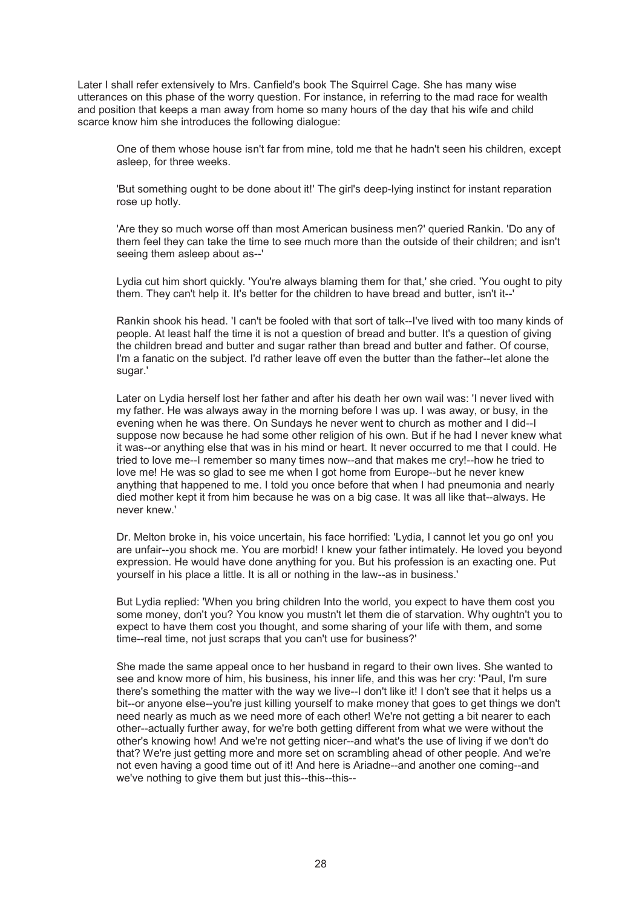Later I shall refer extensively to Mrs. Canfield's book The Squirrel Cage. She has many wise utterances on this phase of the worry question. For instance, in referring to the mad race for wealth and position that keeps a man away from home so many hours of the day that his wife and child scarce know him she introduces the following dialogue:

One of them whose house isn't far from mine, told me that he hadn't seen his children, except asleep, for three weeks.

'But something ought to be done about it!' The girl's deep-lying instinct for instant reparation rose up hotly.

'Are they so much worse off than most American business men?' queried Rankin. 'Do any of them feel they can take the time to see much more than the outside of their children; and isn't seeing them asleep about as--'

Lydia cut him short quickly. 'You're always blaming them for that,' she cried. 'You ought to pity them. They can't help it. It's better for the children to have bread and butter, isn't it--'

Rankin shook his head. 'I can't be fooled with that sort of talk--I've lived with too many kinds of people. At least half the time it is not a question of bread and butter. It's a question of giving the children bread and butter and sugar rather than bread and butter and father. Of course, I'm a fanatic on the subject. I'd rather leave off even the butter than the father--let alone the sugar.'

Later on Lydia herself lost her father and after his death her own wail was: 'I never lived with my father. He was always away in the morning before I was up. I was away, or busy, in the evening when he was there. On Sundays he never went to church as mother and I did--I suppose now because he had some other religion of his own. But if he had I never knew what it was--or anything else that was in his mind or heart. It never occurred to me that I could. He tried to love me--I remember so many times now--and that makes me cry!--how he tried to love me! He was so glad to see me when I got home from Europe--but he never knew anything that happened to me. I told you once before that when I had pneumonia and nearly died mother kept it from him because he was on a big case. It was all like that--always. He never knew.'

Dr. Melton broke in, his voice uncertain, his face horrified: 'Lydia, I cannot let you go on! you are unfair--you shock me. You are morbid! I knew your father intimately. He loved you beyond expression. He would have done anything for you. But his profession is an exacting one. Put yourself in his place a little. It is all or nothing in the law--as in business.'

But Lydia replied: 'When you bring children Into the world, you expect to have them cost you some money, don't you? You know you mustn't let them die of starvation. Why oughtn't you to expect to have them cost you thought, and some sharing of your life with them, and some time--real time, not just scraps that you can't use for business?'

She made the same appeal once to her husband in regard to their own lives. She wanted to see and know more of him, his business, his inner life, and this was her cry: 'Paul, I'm sure there's something the matter with the way we live--I don't like it! I don't see that it helps us a bit--or anyone else--you're just killing yourself to make money that goes to get things we don't need nearly as much as we need more of each other! We're not getting a bit nearer to each other--actually further away, for we're both getting different from what we were without the other's knowing how! And we're not getting nicer--and what's the use of living if we don't do that? We're just getting more and more set on scrambling ahead of other people. And we're not even having a good time out of it! And here is Ariadne--and another one coming--and we've nothing to give them but just this--this--this--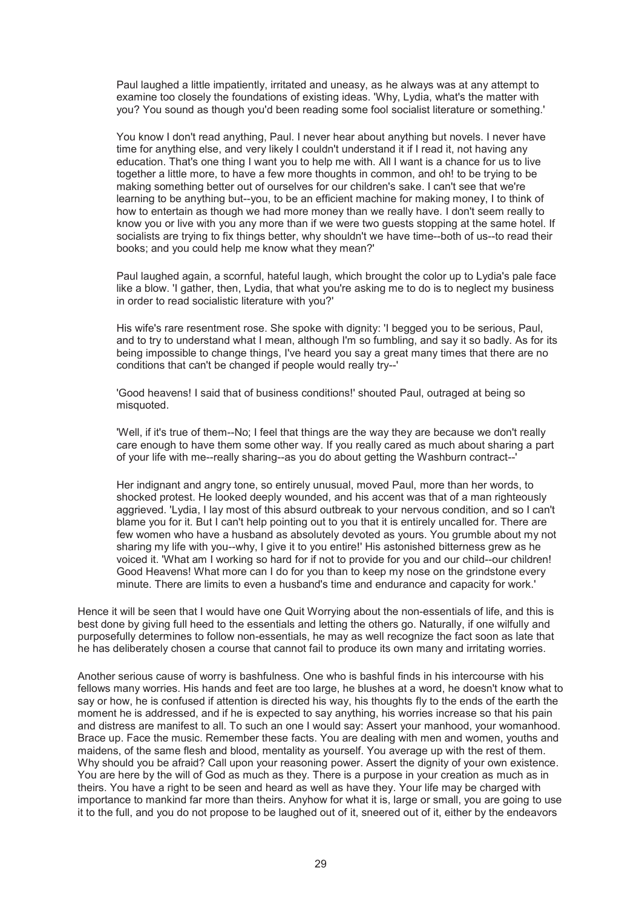Paul laughed a little impatiently, irritated and uneasy, as he always was at any attempt to examine too closely the foundations of existing ideas. 'Why, Lydia, what's the matter with you? You sound as though you'd been reading some fool socialist literature or something.'

You know I don't read anything, Paul. I never hear about anything but novels. I never have time for anything else, and very likely I couldn't understand it if I read it, not having any education. That's one thing I want you to help me with. All I want is a chance for us to live together a little more, to have a few more thoughts in common, and oh! to be trying to be making something better out of ourselves for our children's sake. I can't see that we're learning to be anything but--you, to be an efficient machine for making money, I to think of how to entertain as though we had more money than we really have. I don't seem really to know you or live with you any more than if we were two guests stopping at the same hotel. If socialists are trying to fix things better, why shouldn't we have time--both of us--to read their books; and you could help me know what they mean?'

Paul laughed again, a scornful, hateful laugh, which brought the color up to Lydia's pale face like a blow. 'I gather, then, Lydia, that what you're asking me to do is to neglect my business in order to read socialistic literature with you?'

His wife's rare resentment rose. She spoke with dignity: 'I begged you to be serious, Paul, and to try to understand what I mean, although I'm so fumbling, and say it so badly. As for its being impossible to change things, I've heard you say a great many times that there are no conditions that can't be changed if people would really try--'

'Good heavens! I said that of business conditions!' shouted Paul, outraged at being so misquoted.

'Well, if it's true of them--No; I feel that things are the way they are because we don't really care enough to have them some other way. If you really cared as much about sharing a part of your life with me--really sharing--as you do about getting the Washburn contract--'

Her indignant and angry tone, so entirely unusual, moved Paul, more than her words, to shocked protest. He looked deeply wounded, and his accent was that of a man righteously aggrieved. 'Lydia, I lay most of this absurd outbreak to your nervous condition, and so I can't blame you for it. But I can't help pointing out to you that it is entirely uncalled for. There are few women who have a husband as absolutely devoted as yours. You grumble about my not sharing my life with you--why, I give it to you entire!' His astonished bitterness grew as he voiced it. 'What am I working so hard for if not to provide for you and our child--our children! Good Heavens! What more can I do for you than to keep my nose on the grindstone every minute. There are limits to even a husband's time and endurance and capacity for work.'

Hence it will be seen that I would have one Quit Worrying about the non-essentials of life, and this is best done by giving full heed to the essentials and letting the others go. Naturally, if one wilfully and purposefully determines to follow non-essentials, he may as well recognize the fact soon as late that he has deliberately chosen a course that cannot fail to produce its own many and irritating worries.

Another serious cause of worry is bashfulness. One who is bashful finds in his intercourse with his fellows many worries. His hands and feet are too large, he blushes at a word, he doesn't know what to say or how, he is confused if attention is directed his way, his thoughts fly to the ends of the earth the moment he is addressed, and if he is expected to say anything, his worries increase so that his pain and distress are manifest to all. To such an one I would say: Assert your manhood, your womanhood. Brace up. Face the music. Remember these facts. You are dealing with men and women, youths and maidens, of the same flesh and blood, mentality as yourself. You average up with the rest of them. Why should you be afraid? Call upon your reasoning power. Assert the dignity of your own existence. You are here by the will of God as much as they. There is a purpose in your creation as much as in theirs. You have a right to be seen and heard as well as have they. Your life may be charged with importance to mankind far more than theirs. Anyhow for what it is, large or small, you are going to use it to the full, and you do not propose to be laughed out of it, sneered out of it, either by the endeavors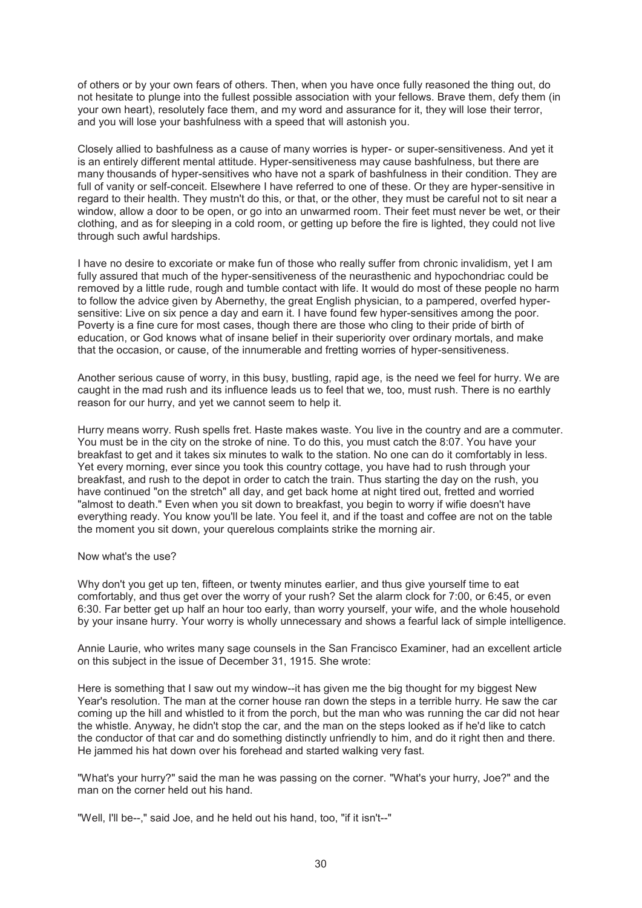of others or by your own fears of others. Then, when you have once fully reasoned the thing out, do not hesitate to plunge into the fullest possible association with your fellows. Brave them, defy them (in your own heart), resolutely face them, and my word and assurance for it, they will lose their terror, and you will lose your bashfulness with a speed that will astonish you.

Closely allied to bashfulness as a cause of many worries is hyper- or super-sensitiveness. And yet it is an entirely different mental attitude. Hyper-sensitiveness may cause bashfulness, but there are many thousands of hyper-sensitives who have not a spark of bashfulness in their condition. They are full of vanity or self-conceit. Elsewhere I have referred to one of these. Or they are hyper-sensitive in regard to their health. They mustn't do this, or that, or the other, they must be careful not to sit near a window, allow a door to be open, or go into an unwarmed room. Their feet must never be wet, or their clothing, and as for sleeping in a cold room, or getting up before the fire is lighted, they could not live through such awful hardships.

I have no desire to excoriate or make fun of those who really suffer from chronic invalidism, yet I am fully assured that much of the hyper-sensitiveness of the neurasthenic and hypochondriac could be removed by a little rude, rough and tumble contact with life. It would do most of these people no harm to follow the advice given by Abernethy, the great English physician, to a pampered, overfed hypersensitive: Live on six pence a day and earn it. I have found few hyper-sensitives among the poor. Poverty is a fine cure for most cases, though there are those who cling to their pride of birth of education, or God knows what of insane belief in their superiority over ordinary mortals, and make that the occasion, or cause, of the innumerable and fretting worries of hyper-sensitiveness.

Another serious cause of worry, in this busy, bustling, rapid age, is the need we feel for hurry. We are caught in the mad rush and its influence leads us to feel that we, too, must rush. There is no earthly reason for our hurry, and yet we cannot seem to help it.

Hurry means worry. Rush spells fret. Haste makes waste. You live in the country and are a commuter. You must be in the city on the stroke of nine. To do this, you must catch the 8:07. You have your breakfast to get and it takes six minutes to walk to the station. No one can do it comfortably in less. Yet every morning, ever since you took this country cottage, you have had to rush through your breakfast, and rush to the depot in order to catch the train. Thus starting the day on the rush, you have continued "on the stretch" all day, and get back home at night tired out, fretted and worried "almost to death." Even when you sit down to breakfast, you begin to worry if wifie doesn't have everything ready. You know you'll be late. You feel it, and if the toast and coffee are not on the table the moment you sit down, your querelous complaints strike the morning air.

#### Now what's the use?

Why don't you get up ten, fifteen, or twenty minutes earlier, and thus give yourself time to eat comfortably, and thus get over the worry of your rush? Set the alarm clock for 7:00, or 6:45, or even 6:30. Far better get up half an hour too early, than worry yourself, your wife, and the whole household by your insane hurry. Your worry is wholly unnecessary and shows a fearful lack of simple intelligence.

Annie Laurie, who writes many sage counsels in the San Francisco Examiner, had an excellent article on this subject in the issue of December 31, 1915. She wrote:

Here is something that I saw out my window--it has given me the big thought for my biggest New Year's resolution. The man at the corner house ran down the steps in a terrible hurry. He saw the car coming up the hill and whistled to it from the porch, but the man who was running the car did not hear the whistle. Anyway, he didn't stop the car, and the man on the steps looked as if he'd like to catch the conductor of that car and do something distinctly unfriendly to him, and do it right then and there. He jammed his hat down over his forehead and started walking very fast.

"What's your hurry?" said the man he was passing on the corner. "What's your hurry, Joe?" and the man on the corner held out his hand.

"Well, I'll be--," said Joe, and he held out his hand, too, "if it isn't--"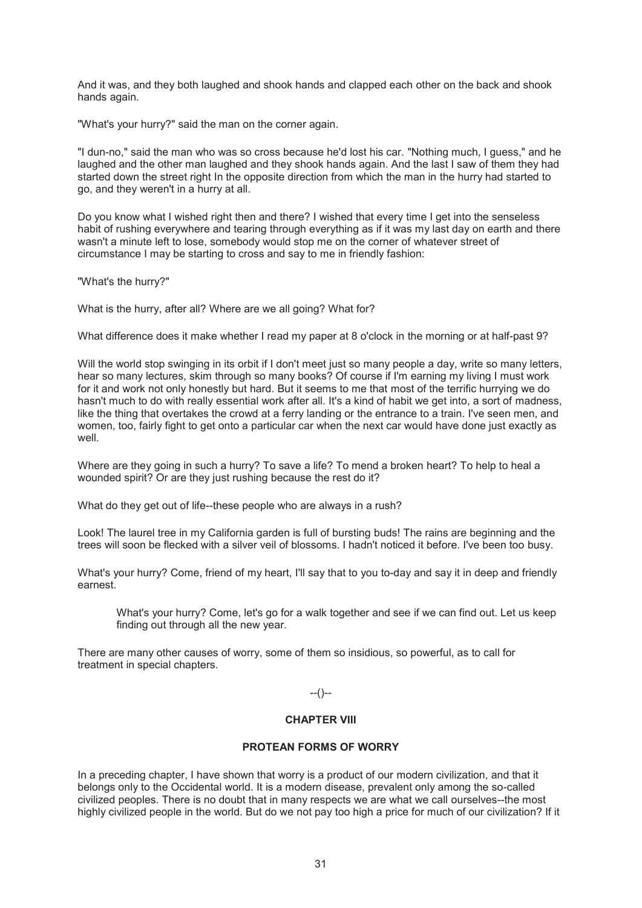And it was, and they both laughed and shook hands and clapped each other on the back and shook hands again.

"What's your hurry?" said the man on the corner again.

"I dun-no," said the man who was so cross because he'd lost his car. "Nothing much, I guess," and he laughed and the other man laughed and they shook hands again. And the last I saw of them they had started down the street right In the opposite direction from which the man in the hurry had started to go, and they weren't in a hurry at all.

Do you know what I wished right then and there? I wished that every time I get into the senseless habit of rushing everywhere and tearing through everything as if it was my last day on earth and there wasn't a minute left to lose, somebody would stop me on the corner of whatever street of circumstance I may be starting to cross and say to me in friendly fashion:

"What's the hurry?"

What is the hurry, after all? Where are we all going? What for?

What difference does it make whether I read my paper at 8 o'clock in the morning or at half-past 9?

Will the world stop swinging in its orbit if I don't meet just so many people a day, write so many letters, hear so many lectures, skim through so many books? Of course if I'm earning my living I must work for it and work not only honestly but hard. But it seems to me that most of the terrific hurrying we do hasn't much to do with really essential work after all. It's a kind of habit we get into, a sort of madness, like the thing that overtakes the crowd at a ferry landing or the entrance to a train. I've seen men, and women, too, fairly fight to get onto a particular car when the next car would have done just exactly as well.

Where are they going in such a hurry? To save a life? To mend a broken heart? To help to heal a wounded spirit? Or are they just rushing because the rest do it?

What do they get out of life--these people who are always in a rush?

Look! The laurel tree in my California garden is full of bursting buds! The rains are beginning and the trees will soon be flecked with a silver veil of blossoms. I hadn't noticed it before. I've been too busy.

What's your hurry? Come, friend of my heart, I'll say that to you to-day and say it in deep and friendly earnest.

What's your hurry? Come, let's go for a walk together and see if we can find out. Let us keep finding out through all the new year.

There are many other causes of worry, some of them so insidious, so powerful, as to call for treatment in special chapters.

 $-(-)$ 

# **CHAPTER VIII**

#### **PROTEAN FORMS OF WORRY**

In a preceding chapter, I have shown that worry is a product of our modern civilization, and that it belongs only to the Occidental world. It is a modern disease, prevalent only among the so-called civilized peoples. There is no doubt that in many respects we are what we call ourselves--the most highly civilized people in the world. But do we not pay too high a price for much of our civilization? If it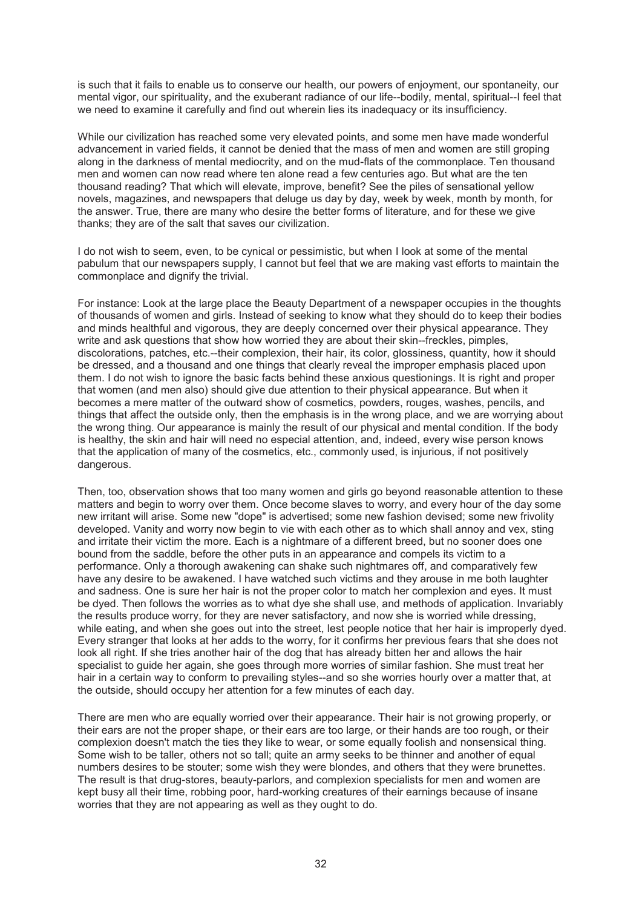is such that it fails to enable us to conserve our health, our powers of enjoyment, our spontaneity, our mental vigor, our spirituality, and the exuberant radiance of our life--bodily, mental, spiritual--I feel that we need to examine it carefully and find out wherein lies its inadequacy or its insufficiency.

While our civilization has reached some very elevated points, and some men have made wonderful advancement in varied fields, it cannot be denied that the mass of men and women are still groping along in the darkness of mental mediocrity, and on the mud-flats of the commonplace. Ten thousand men and women can now read where ten alone read a few centuries ago. But what are the ten thousand reading? That which will elevate, improve, benefit? See the piles of sensational yellow novels, magazines, and newspapers that deluge us day by day, week by week, month by month, for the answer. True, there are many who desire the better forms of literature, and for these we give thanks; they are of the salt that saves our civilization.

I do not wish to seem, even, to be cynical or pessimistic, but when I look at some of the mental pabulum that our newspapers supply, I cannot but feel that we are making vast efforts to maintain the commonplace and dignify the trivial.

For instance: Look at the large place the Beauty Department of a newspaper occupies in the thoughts of thousands of women and girls. Instead of seeking to know what they should do to keep their bodies and minds healthful and vigorous, they are deeply concerned over their physical appearance. They write and ask questions that show how worried they are about their skin--freckles, pimples, discolorations, patches, etc.--their complexion, their hair, its color, glossiness, quantity, how it should be dressed, and a thousand and one things that clearly reveal the improper emphasis placed upon them. I do not wish to ignore the basic facts behind these anxious questionings. It is right and proper that women (and men also) should give due attention to their physical appearance. But when it becomes a mere matter of the outward show of cosmetics, powders, rouges, washes, pencils, and things that affect the outside only, then the emphasis is in the wrong place, and we are worrying about the wrong thing. Our appearance is mainly the result of our physical and mental condition. If the body is healthy, the skin and hair will need no especial attention, and, indeed, every wise person knows that the application of many of the cosmetics, etc., commonly used, is injurious, if not positively dangerous.

Then, too, observation shows that too many women and girls go beyond reasonable attention to these matters and begin to worry over them. Once become slaves to worry, and every hour of the day some new irritant will arise. Some new "dope" is advertised; some new fashion devised; some new frivolity developed. Vanity and worry now begin to vie with each other as to which shall annoy and vex, sting and irritate their victim the more. Each is a nightmare of a different breed, but no sooner does one bound from the saddle, before the other puts in an appearance and compels its victim to a performance. Only a thorough awakening can shake such nightmares off, and comparatively few have any desire to be awakened. I have watched such victims and they arouse in me both laughter and sadness. One is sure her hair is not the proper color to match her complexion and eyes. It must be dyed. Then follows the worries as to what dye she shall use, and methods of application. Invariably the results produce worry, for they are never satisfactory, and now she is worried while dressing, while eating, and when she goes out into the street, lest people notice that her hair is improperly dyed. Every stranger that looks at her adds to the worry, for it confirms her previous fears that she does not look all right. If she tries another hair of the dog that has already bitten her and allows the hair specialist to guide her again, she goes through more worries of similar fashion. She must treat her hair in a certain way to conform to prevailing styles--and so she worries hourly over a matter that, at the outside, should occupy her attention for a few minutes of each day.

There are men who are equally worried over their appearance. Their hair is not growing properly, or their ears are not the proper shape, or their ears are too large, or their hands are too rough, or their complexion doesn't match the ties they like to wear, or some equally foolish and nonsensical thing. Some wish to be taller, others not so tall; quite an army seeks to be thinner and another of equal numbers desires to be stouter; some wish they were blondes, and others that they were brunettes. The result is that drug-stores, beauty-parlors, and complexion specialists for men and women are kept busy all their time, robbing poor, hard-working creatures of their earnings because of insane worries that they are not appearing as well as they ought to do.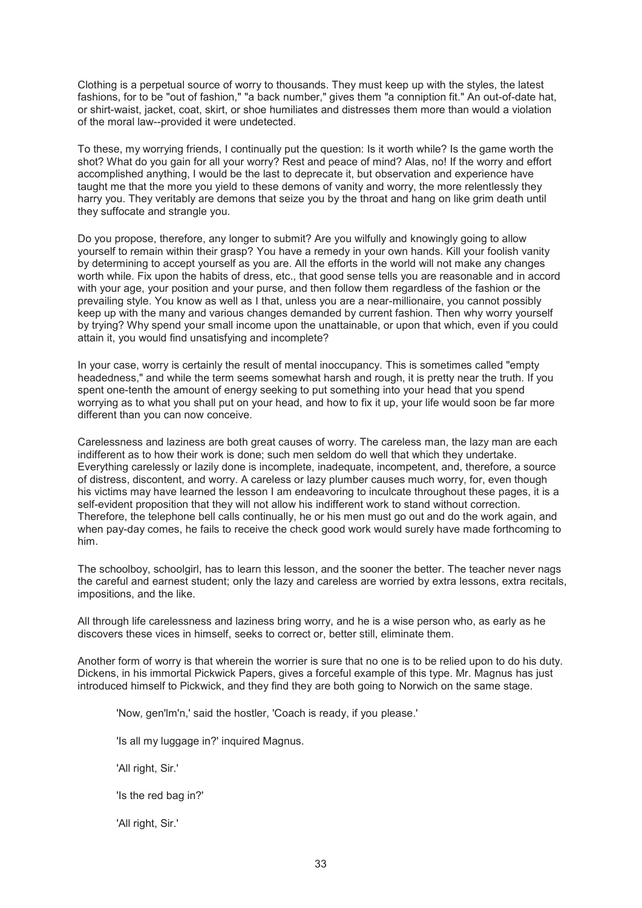Clothing is a perpetual source of worry to thousands. They must keep up with the styles, the latest fashions, for to be "out of fashion," "a back number," gives them "a conniption fit." An out-of-date hat, or shirt-waist, jacket, coat, skirt, or shoe humiliates and distresses them more than would a violation of the moral law--provided it were undetected.

To these, my worrying friends, I continually put the question: Is it worth while? Is the game worth the shot? What do you gain for all your worry? Rest and peace of mind? Alas, no! If the worry and effort accomplished anything, I would be the last to deprecate it, but observation and experience have taught me that the more you yield to these demons of vanity and worry, the more relentlessly they harry you. They veritably are demons that seize you by the throat and hang on like grim death until they suffocate and strangle you.

Do you propose, therefore, any longer to submit? Are you wilfully and knowingly going to allow yourself to remain within their grasp? You have a remedy in your own hands. Kill your foolish vanity by determining to accept yourself as you are. All the efforts in the world will not make any changes worth while. Fix upon the habits of dress, etc., that good sense tells you are reasonable and in accord with your age, your position and your purse, and then follow them regardless of the fashion or the prevailing style. You know as well as I that, unless you are a near-millionaire, you cannot possibly keep up with the many and various changes demanded by current fashion. Then why worry yourself by trying? Why spend your small income upon the unattainable, or upon that which, even if you could attain it, you would find unsatisfying and incomplete?

In your case, worry is certainly the result of mental inoccupancy. This is sometimes called "empty headedness," and while the term seems somewhat harsh and rough, it is pretty near the truth. If you spent one-tenth the amount of energy seeking to put something into your head that you spend worrying as to what you shall put on your head, and how to fix it up, your life would soon be far more different than you can now conceive.

Carelessness and laziness are both great causes of worry. The careless man, the lazy man are each indifferent as to how their work is done; such men seldom do well that which they undertake. Everything carelessly or lazily done is incomplete, inadequate, incompetent, and, therefore, a source of distress, discontent, and worry. A careless or lazy plumber causes much worry, for, even though his victims may have learned the lesson I am endeavoring to inculcate throughout these pages, it is a self-evident proposition that they will not allow his indifferent work to stand without correction. Therefore, the telephone bell calls continually, he or his men must go out and do the work again, and when pay-day comes, he fails to receive the check good work would surely have made forthcoming to him.

The schoolboy, schoolgirl, has to learn this lesson, and the sooner the better. The teacher never nags the careful and earnest student; only the lazy and careless are worried by extra lessons, extra recitals, impositions, and the like.

All through life carelessness and laziness bring worry, and he is a wise person who, as early as he discovers these vices in himself, seeks to correct or, better still, eliminate them.

Another form of worry is that wherein the worrier is sure that no one is to be relied upon to do his duty. Dickens, in his immortal Pickwick Papers, gives a forceful example of this type. Mr. Magnus has just introduced himself to Pickwick, and they find they are both going to Norwich on the same stage.

'Now, gen'lm'n,' said the hostler, 'Coach is ready, if you please.'

'Is all my luggage in?' inquired Magnus.

'All right, Sir.'

'Is the red bag in?'

'All right, Sir.'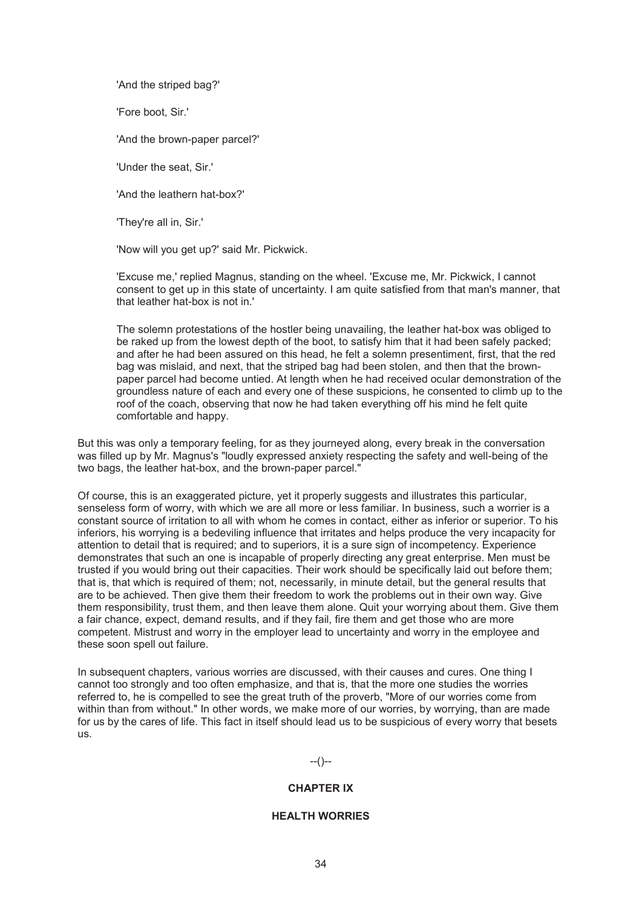'And the striped bag?'

'Fore boot, Sir.'

'And the brown-paper parcel?'

'Under the seat, Sir.'

'And the leathern hat-box?'

'They're all in, Sir.'

'Now will you get up?' said Mr. Pickwick.

'Excuse me,' replied Magnus, standing on the wheel. 'Excuse me, Mr. Pickwick, I cannot consent to get up in this state of uncertainty. I am quite satisfied from that man's manner, that that leather hat-box is not in.'

The solemn protestations of the hostler being unavailing, the leather hat-box was obliged to be raked up from the lowest depth of the boot, to satisfy him that it had been safely packed; and after he had been assured on this head, he felt a solemn presentiment, first, that the red bag was mislaid, and next, that the striped bag had been stolen, and then that the brownpaper parcel had become untied. At length when he had received ocular demonstration of the groundless nature of each and every one of these suspicions, he consented to climb up to the roof of the coach, observing that now he had taken everything off his mind he felt quite comfortable and happy.

But this was only a temporary feeling, for as they journeyed along, every break in the conversation was filled up by Mr. Magnus's "loudly expressed anxiety respecting the safety and well-being of the two bags, the leather hat-box, and the brown-paper parcel."

Of course, this is an exaggerated picture, yet it properly suggests and illustrates this particular, senseless form of worry, with which we are all more or less familiar. In business, such a worrier is a constant source of irritation to all with whom he comes in contact, either as inferior or superior. To his inferiors, his worrying is a bedeviling influence that irritates and helps produce the very incapacity for attention to detail that is required; and to superiors, it is a sure sign of incompetency. Experience demonstrates that such an one is incapable of properly directing any great enterprise. Men must be trusted if you would bring out their capacities. Their work should be specifically laid out before them; that is, that which is required of them; not, necessarily, in minute detail, but the general results that are to be achieved. Then give them their freedom to work the problems out in their own way. Give them responsibility, trust them, and then leave them alone. Quit your worrying about them. Give them a fair chance, expect, demand results, and if they fail, fire them and get those who are more competent. Mistrust and worry in the employer lead to uncertainty and worry in the employee and these soon spell out failure.

In subsequent chapters, various worries are discussed, with their causes and cures. One thing I cannot too strongly and too often emphasize, and that is, that the more one studies the worries referred to, he is compelled to see the great truth of the proverb, "More of our worries come from within than from without." In other words, we make more of our worries, by worrying, than are made for us by the cares of life. This fact in itself should lead us to be suspicious of every worry that besets us.

# --()--

# **CHAPTER IX**

# **HEALTH WORRIES**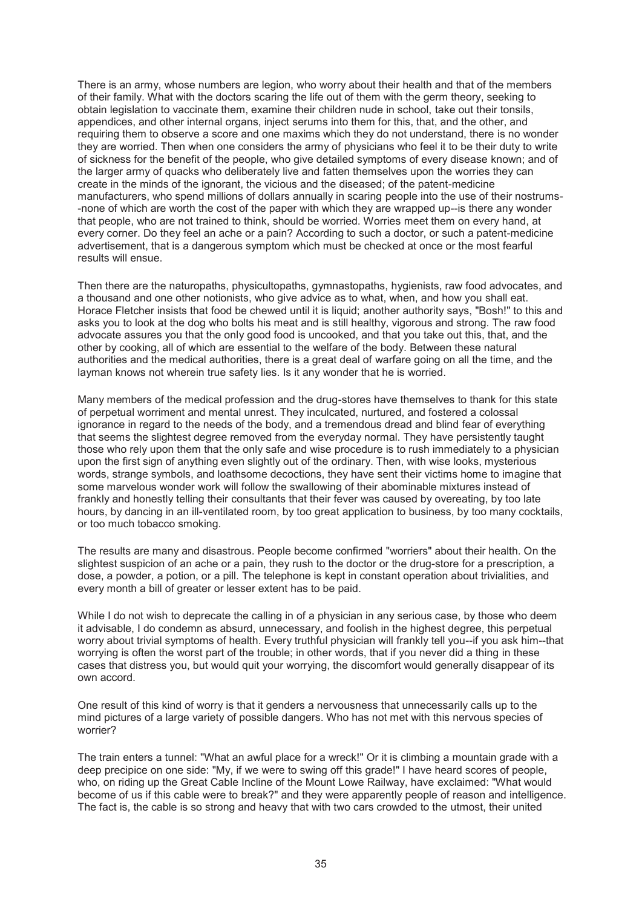There is an army, whose numbers are legion, who worry about their health and that of the members of their family. What with the doctors scaring the life out of them with the germ theory, seeking to obtain legislation to vaccinate them, examine their children nude in school, take out their tonsils, appendices, and other internal organs, inject serums into them for this, that, and the other, and requiring them to observe a score and one maxims which they do not understand, there is no wonder they are worried. Then when one considers the army of physicians who feel it to be their duty to write of sickness for the benefit of the people, who give detailed symptoms of every disease known; and of the larger army of quacks who deliberately live and fatten themselves upon the worries they can create in the minds of the ignorant, the vicious and the diseased; of the patent-medicine manufacturers, who spend millions of dollars annually in scaring people into the use of their nostrums- -none of which are worth the cost of the paper with which they are wrapped up--is there any wonder that people, who are not trained to think, should be worried. Worries meet them on every hand, at every corner. Do they feel an ache or a pain? According to such a doctor, or such a patent-medicine advertisement, that is a dangerous symptom which must be checked at once or the most fearful results will ensue.

Then there are the naturopaths, physicultopaths, gymnastopaths, hygienists, raw food advocates, and a thousand and one other notionists, who give advice as to what, when, and how you shall eat. Horace Fletcher insists that food be chewed until it is liquid; another authority says, "Bosh!" to this and asks you to look at the dog who bolts his meat and is still healthy, vigorous and strong. The raw food advocate assures you that the only good food is uncooked, and that you take out this, that, and the other by cooking, all of which are essential to the welfare of the body. Between these natural authorities and the medical authorities, there is a great deal of warfare going on all the time, and the layman knows not wherein true safety lies. Is it any wonder that he is worried.

Many members of the medical profession and the drug-stores have themselves to thank for this state of perpetual worriment and mental unrest. They inculcated, nurtured, and fostered a colossal ignorance in regard to the needs of the body, and a tremendous dread and blind fear of everything that seems the slightest degree removed from the everyday normal. They have persistently taught those who rely upon them that the only safe and wise procedure is to rush immediately to a physician upon the first sign of anything even slightly out of the ordinary. Then, with wise looks, mysterious words, strange symbols, and loathsome decoctions, they have sent their victims home to imagine that some marvelous wonder work will follow the swallowing of their abominable mixtures instead of frankly and honestly telling their consultants that their fever was caused by overeating, by too late hours, by dancing in an ill-ventilated room, by too great application to business, by too many cocktails, or too much tobacco smoking.

The results are many and disastrous. People become confirmed "worriers" about their health. On the slightest suspicion of an ache or a pain, they rush to the doctor or the drug-store for a prescription, a dose, a powder, a potion, or a pill. The telephone is kept in constant operation about trivialities, and every month a bill of greater or lesser extent has to be paid.

While I do not wish to deprecate the calling in of a physician in any serious case, by those who deem it advisable, I do condemn as absurd, unnecessary, and foolish in the highest degree, this perpetual worry about trivial symptoms of health. Every truthful physician will frankly tell you--if you ask him--that worrying is often the worst part of the trouble; in other words, that if you never did a thing in these cases that distress you, but would quit your worrying, the discomfort would generally disappear of its own accord.

One result of this kind of worry is that it genders a nervousness that unnecessarily calls up to the mind pictures of a large variety of possible dangers. Who has not met with this nervous species of worrier?

The train enters a tunnel: "What an awful place for a wreck!" Or it is climbing a mountain grade with a deep precipice on one side: "My, if we were to swing off this grade!" I have heard scores of people, who, on riding up the Great Cable Incline of the Mount Lowe Railway, have exclaimed: "What would become of us if this cable were to break?" and they were apparently people of reason and intelligence. The fact is, the cable is so strong and heavy that with two cars crowded to the utmost, their united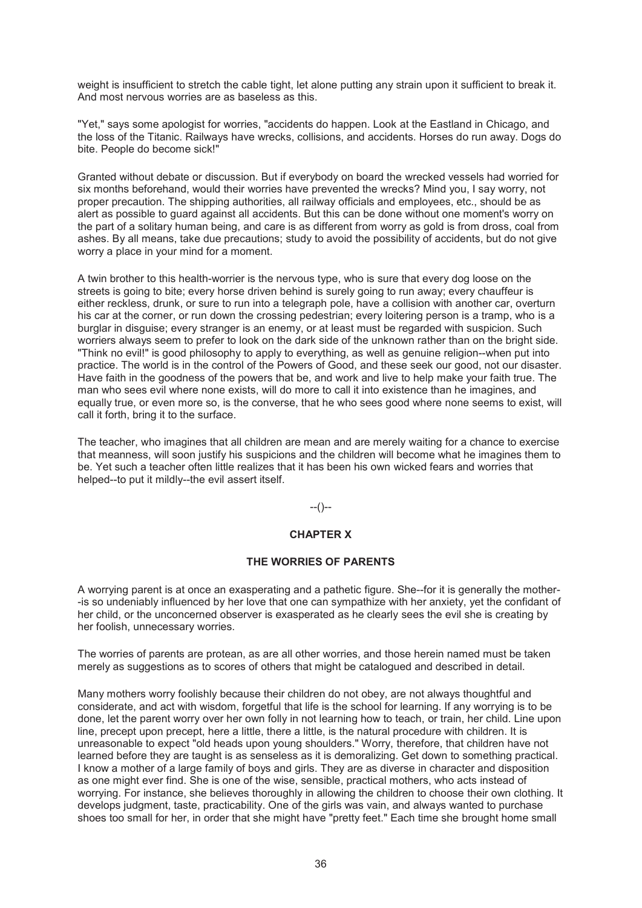weight is insufficient to stretch the cable tight, let alone putting any strain upon it sufficient to break it. And most nervous worries are as baseless as this.

"Yet," says some apologist for worries, "accidents do happen. Look at the Eastland in Chicago, and the loss of the Titanic. Railways have wrecks, collisions, and accidents. Horses do run away. Dogs do bite. People do become sick!"

Granted without debate or discussion. But if everybody on board the wrecked vessels had worried for six months beforehand, would their worries have prevented the wrecks? Mind you, I say worry, not proper precaution. The shipping authorities, all railway officials and employees, etc., should be as alert as possible to guard against all accidents. But this can be done without one moment's worry on the part of a solitary human being, and care is as different from worry as gold is from dross, coal from ashes. By all means, take due precautions; study to avoid the possibility of accidents, but do not give worry a place in your mind for a moment.

A twin brother to this health-worrier is the nervous type, who is sure that every dog loose on the streets is going to bite; every horse driven behind is surely going to run away; every chauffeur is either reckless, drunk, or sure to run into a telegraph pole, have a collision with another car, overturn his car at the corner, or run down the crossing pedestrian; every loitering person is a tramp, who is a burglar in disguise; every stranger is an enemy, or at least must be regarded with suspicion. Such worriers always seem to prefer to look on the dark side of the unknown rather than on the bright side. "Think no evil!" is good philosophy to apply to everything, as well as genuine religion--when put into practice. The world is in the control of the Powers of Good, and these seek our good, not our disaster. Have faith in the goodness of the powers that be, and work and live to help make your faith true. The man who sees evil where none exists, will do more to call it into existence than he imagines, and equally true, or even more so, is the converse, that he who sees good where none seems to exist, will call it forth, bring it to the surface.

The teacher, who imagines that all children are mean and are merely waiting for a chance to exercise that meanness, will soon justify his suspicions and the children will become what he imagines them to be. Yet such a teacher often little realizes that it has been his own wicked fears and worries that helped--to put it mildly--the evil assert itself.

# --()--

# **CHAPTER X**

# **THE WORRIES OF PARENTS**

A worrying parent is at once an exasperating and a pathetic figure. She--for it is generally the mother- -is so undeniably influenced by her love that one can sympathize with her anxiety, yet the confidant of her child, or the unconcerned observer is exasperated as he clearly sees the evil she is creating by her foolish, unnecessary worries.

The worries of parents are protean, as are all other worries, and those herein named must be taken merely as suggestions as to scores of others that might be catalogued and described in detail.

Many mothers worry foolishly because their children do not obey, are not always thoughtful and considerate, and act with wisdom, forgetful that life is the school for learning. If any worrying is to be done, let the parent worry over her own folly in not learning how to teach, or train, her child. Line upon line, precept upon precept, here a little, there a little, is the natural procedure with children. It is unreasonable to expect "old heads upon young shoulders." Worry, therefore, that children have not learned before they are taught is as senseless as it is demoralizing. Get down to something practical. I know a mother of a large family of boys and girls. They are as diverse in character and disposition as one might ever find. She is one of the wise, sensible, practical mothers, who acts instead of worrying. For instance, she believes thoroughly in allowing the children to choose their own clothing. It develops judgment, taste, practicability. One of the girls was vain, and always wanted to purchase shoes too small for her, in order that she might have "pretty feet." Each time she brought home small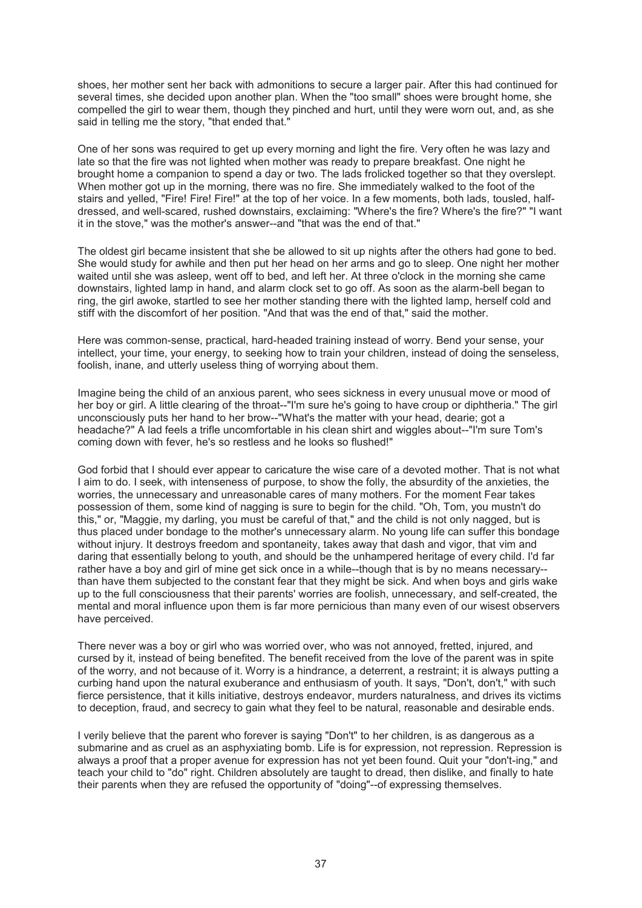shoes, her mother sent her back with admonitions to secure a larger pair. After this had continued for several times, she decided upon another plan. When the "too small" shoes were brought home, she compelled the girl to wear them, though they pinched and hurt, until they were worn out, and, as she said in telling me the story, "that ended that."

One of her sons was required to get up every morning and light the fire. Very often he was lazy and late so that the fire was not lighted when mother was ready to prepare breakfast. One night he brought home a companion to spend a day or two. The lads frolicked together so that they overslept. When mother got up in the morning, there was no fire. She immediately walked to the foot of the stairs and yelled, "Fire! Fire! Fire!" at the top of her voice. In a few moments, both lads, tousled, halfdressed, and well-scared, rushed downstairs, exclaiming: "Where's the fire? Where's the fire?" "I want it in the stove," was the mother's answer--and "that was the end of that."

The oldest girl became insistent that she be allowed to sit up nights after the others had gone to bed. She would study for awhile and then put her head on her arms and go to sleep. One night her mother waited until she was asleep, went off to bed, and left her. At three o'clock in the morning she came downstairs, lighted lamp in hand, and alarm clock set to go off. As soon as the alarm-bell began to ring, the girl awoke, startled to see her mother standing there with the lighted lamp, herself cold and stiff with the discomfort of her position. "And that was the end of that," said the mother.

Here was common-sense, practical, hard-headed training instead of worry. Bend your sense, your intellect, your time, your energy, to seeking how to train your children, instead of doing the senseless, foolish, inane, and utterly useless thing of worrying about them.

Imagine being the child of an anxious parent, who sees sickness in every unusual move or mood of her boy or girl. A little clearing of the throat--"I'm sure he's going to have croup or diphtheria." The girl unconsciously puts her hand to her brow--"What's the matter with your head, dearie; got a headache?" A lad feels a trifle uncomfortable in his clean shirt and wiggles about--"I'm sure Tom's coming down with fever, he's so restless and he looks so flushed!"

God forbid that I should ever appear to caricature the wise care of a devoted mother. That is not what I aim to do. I seek, with intenseness of purpose, to show the folly, the absurdity of the anxieties, the worries, the unnecessary and unreasonable cares of many mothers. For the moment Fear takes possession of them, some kind of nagging is sure to begin for the child. "Oh, Tom, you mustn't do this," or, "Maggie, my darling, you must be careful of that," and the child is not only nagged, but is thus placed under bondage to the mother's unnecessary alarm. No young life can suffer this bondage without injury. It destroys freedom and spontaneity, takes away that dash and vigor, that vim and daring that essentially belong to youth, and should be the unhampered heritage of every child. I'd far rather have a boy and girl of mine get sick once in a while--though that is by no means necessary- than have them subjected to the constant fear that they might be sick. And when boys and girls wake up to the full consciousness that their parents' worries are foolish, unnecessary, and self-created, the mental and moral influence upon them is far more pernicious than many even of our wisest observers have perceived.

There never was a boy or girl who was worried over, who was not annoyed, fretted, injured, and cursed by it, instead of being benefited. The benefit received from the love of the parent was in spite of the worry, and not because of it. Worry is a hindrance, a deterrent, a restraint; it is always putting a curbing hand upon the natural exuberance and enthusiasm of youth. It says, "Don't, don't," with such fierce persistence, that it kills initiative, destroys endeavor, murders naturalness, and drives its victims to deception, fraud, and secrecy to gain what they feel to be natural, reasonable and desirable ends.

I verily believe that the parent who forever is saying "Don't" to her children, is as dangerous as a submarine and as cruel as an asphyxiating bomb. Life is for expression, not repression. Repression is always a proof that a proper avenue for expression has not yet been found. Quit your "don't-ing," and teach your child to "do" right. Children absolutely are taught to dread, then dislike, and finally to hate their parents when they are refused the opportunity of "doing"--of expressing themselves.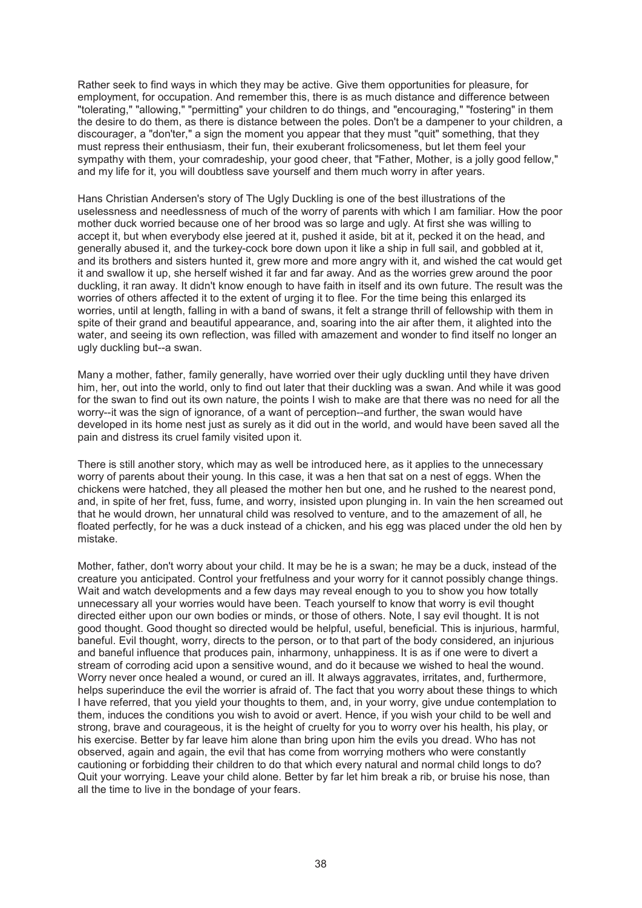Rather seek to find ways in which they may be active. Give them opportunities for pleasure, for employment, for occupation. And remember this, there is as much distance and difference between "tolerating," "allowing," "permitting" your children to do things, and "encouraging," "fostering" in them the desire to do them, as there is distance between the poles. Don't be a dampener to your children, a discourager, a "don'ter," a sign the moment you appear that they must "quit" something, that they must repress their enthusiasm, their fun, their exuberant frolicsomeness, but let them feel your sympathy with them, your comradeship, your good cheer, that "Father, Mother, is a jolly good fellow," and my life for it, you will doubtless save yourself and them much worry in after years.

Hans Christian Andersen's story of The Ugly Duckling is one of the best illustrations of the uselessness and needlessness of much of the worry of parents with which I am familiar. How the poor mother duck worried because one of her brood was so large and ugly. At first she was willing to accept it, but when everybody else jeered at it, pushed it aside, bit at it, pecked it on the head, and generally abused it, and the turkey-cock bore down upon it like a ship in full sail, and gobbled at it, and its brothers and sisters hunted it, grew more and more angry with it, and wished the cat would get it and swallow it up, she herself wished it far and far away. And as the worries grew around the poor duckling, it ran away. It didn't know enough to have faith in itself and its own future. The result was the worries of others affected it to the extent of urging it to flee. For the time being this enlarged its worries, until at length, falling in with a band of swans, it felt a strange thrill of fellowship with them in spite of their grand and beautiful appearance, and, soaring into the air after them, it alighted into the water, and seeing its own reflection, was filled with amazement and wonder to find itself no longer an ugly duckling but--a swan.

Many a mother, father, family generally, have worried over their ugly duckling until they have driven him, her, out into the world, only to find out later that their duckling was a swan. And while it was good for the swan to find out its own nature, the points I wish to make are that there was no need for all the worry--it was the sign of ignorance, of a want of perception--and further, the swan would have developed in its home nest just as surely as it did out in the world, and would have been saved all the pain and distress its cruel family visited upon it.

There is still another story, which may as well be introduced here, as it applies to the unnecessary worry of parents about their young. In this case, it was a hen that sat on a nest of eggs. When the chickens were hatched, they all pleased the mother hen but one, and he rushed to the nearest pond, and, in spite of her fret, fuss, fume, and worry, insisted upon plunging in. In vain the hen screamed out that he would drown, her unnatural child was resolved to venture, and to the amazement of all, he floated perfectly, for he was a duck instead of a chicken, and his egg was placed under the old hen by mistake.

Mother, father, don't worry about your child. It may be he is a swan; he may be a duck, instead of the creature you anticipated. Control your fretfulness and your worry for it cannot possibly change things. Wait and watch developments and a few days may reveal enough to you to show you how totally unnecessary all your worries would have been. Teach yourself to know that worry is evil thought directed either upon our own bodies or minds, or those of others. Note, I say evil thought. It is not good thought. Good thought so directed would be helpful, useful, beneficial. This is injurious, harmful, baneful. Evil thought, worry, directs to the person, or to that part of the body considered, an injurious and baneful influence that produces pain, inharmony, unhappiness. It is as if one were to divert a stream of corroding acid upon a sensitive wound, and do it because we wished to heal the wound. Worry never once healed a wound, or cured an ill. It always aggravates, irritates, and, furthermore, helps superinduce the evil the worrier is afraid of. The fact that you worry about these things to which I have referred, that you yield your thoughts to them, and, in your worry, give undue contemplation to them, induces the conditions you wish to avoid or avert. Hence, if you wish your child to be well and strong, brave and courageous, it is the height of cruelty for you to worry over his health, his play, or his exercise. Better by far leave him alone than bring upon him the evils you dread. Who has not observed, again and again, the evil that has come from worrying mothers who were constantly cautioning or forbidding their children to do that which every natural and normal child longs to do? Quit your worrying. Leave your child alone. Better by far let him break a rib, or bruise his nose, than all the time to live in the bondage of your fears.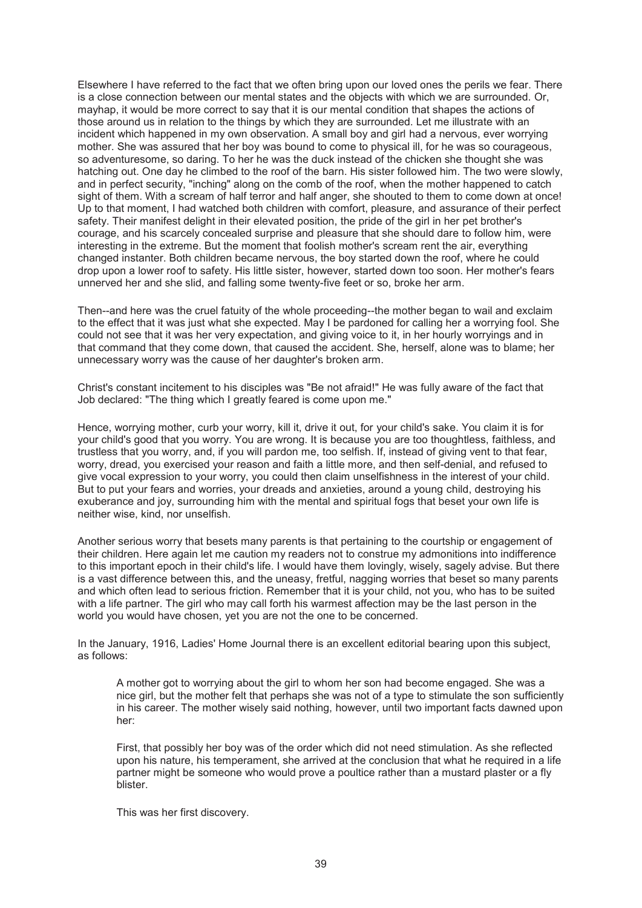Elsewhere I have referred to the fact that we often bring upon our loved ones the perils we fear. There is a close connection between our mental states and the objects with which we are surrounded. Or, mayhap, it would be more correct to say that it is our mental condition that shapes the actions of those around us in relation to the things by which they are surrounded. Let me illustrate with an incident which happened in my own observation. A small boy and girl had a nervous, ever worrying mother. She was assured that her boy was bound to come to physical ill, for he was so courageous, so adventuresome, so daring. To her he was the duck instead of the chicken she thought she was hatching out. One day he climbed to the roof of the barn. His sister followed him. The two were slowly, and in perfect security, "inching" along on the comb of the roof, when the mother happened to catch sight of them. With a scream of half terror and half anger, she shouted to them to come down at once! Up to that moment, I had watched both children with comfort, pleasure, and assurance of their perfect safety. Their manifest delight in their elevated position, the pride of the girl in her pet brother's courage, and his scarcely concealed surprise and pleasure that she should dare to follow him, were interesting in the extreme. But the moment that foolish mother's scream rent the air, everything changed instanter. Both children became nervous, the boy started down the roof, where he could drop upon a lower roof to safety. His little sister, however, started down too soon. Her mother's fears unnerved her and she slid, and falling some twenty-five feet or so, broke her arm.

Then--and here was the cruel fatuity of the whole proceeding--the mother began to wail and exclaim to the effect that it was just what she expected. May I be pardoned for calling her a worrying fool. She could not see that it was her very expectation, and giving voice to it, in her hourly worryings and in that command that they come down, that caused the accident. She, herself, alone was to blame; her unnecessary worry was the cause of her daughter's broken arm.

Christ's constant incitement to his disciples was "Be not afraid!" He was fully aware of the fact that Job declared: "The thing which I greatly feared is come upon me."

Hence, worrying mother, curb your worry, kill it, drive it out, for your child's sake. You claim it is for your child's good that you worry. You are wrong. It is because you are too thoughtless, faithless, and trustless that you worry, and, if you will pardon me, too selfish. If, instead of giving vent to that fear, worry, dread, you exercised your reason and faith a little more, and then self-denial, and refused to give vocal expression to your worry, you could then claim unselfishness in the interest of your child. But to put your fears and worries, your dreads and anxieties, around a young child, destroying his exuberance and joy, surrounding him with the mental and spiritual fogs that beset your own life is neither wise, kind, nor unselfish.

Another serious worry that besets many parents is that pertaining to the courtship or engagement of their children. Here again let me caution my readers not to construe my admonitions into indifference to this important epoch in their child's life. I would have them lovingly, wisely, sagely advise. But there is a vast difference between this, and the uneasy, fretful, nagging worries that beset so many parents and which often lead to serious friction. Remember that it is your child, not you, who has to be suited with a life partner. The girl who may call forth his warmest affection may be the last person in the world you would have chosen, yet you are not the one to be concerned.

In the January, 1916, Ladies' Home Journal there is an excellent editorial bearing upon this subject, as follows:

A mother got to worrying about the girl to whom her son had become engaged. She was a nice girl, but the mother felt that perhaps she was not of a type to stimulate the son sufficiently in his career. The mother wisely said nothing, however, until two important facts dawned upon her:

First, that possibly her boy was of the order which did not need stimulation. As she reflected upon his nature, his temperament, she arrived at the conclusion that what he required in a life partner might be someone who would prove a poultice rather than a mustard plaster or a fly blister.

This was her first discovery.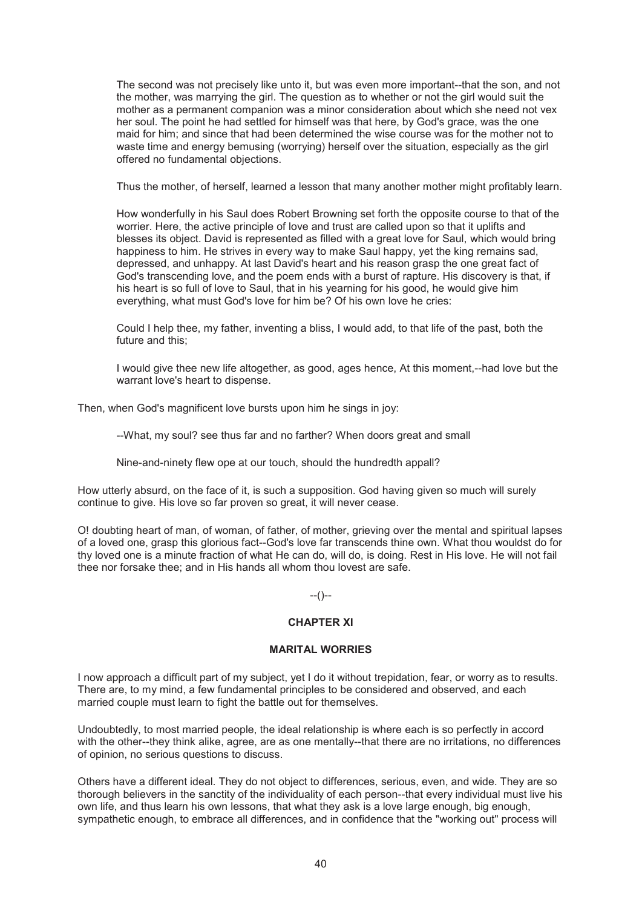The second was not precisely like unto it, but was even more important--that the son, and not the mother, was marrying the girl. The question as to whether or not the girl would suit the mother as a permanent companion was a minor consideration about which she need not vex her soul. The point he had settled for himself was that here, by God's grace, was the one maid for him; and since that had been determined the wise course was for the mother not to waste time and energy bemusing (worrying) herself over the situation, especially as the girl offered no fundamental objections.

Thus the mother, of herself, learned a lesson that many another mother might profitably learn.

How wonderfully in his Saul does Robert Browning set forth the opposite course to that of the worrier. Here, the active principle of love and trust are called upon so that it uplifts and blesses its object. David is represented as filled with a great love for Saul, which would bring happiness to him. He strives in every way to make Saul happy, yet the king remains sad, depressed, and unhappy. At last David's heart and his reason grasp the one great fact of God's transcending love, and the poem ends with a burst of rapture. His discovery is that, if his heart is so full of love to Saul, that in his yearning for his good, he would give him everything, what must God's love for him be? Of his own love he cries:

Could I help thee, my father, inventing a bliss, I would add, to that life of the past, both the future and this;

I would give thee new life altogether, as good, ages hence, At this moment,--had love but the warrant love's heart to dispense.

Then, when God's magnificent love bursts upon him he sings in joy:

--What, my soul? see thus far and no farther? When doors great and small

Nine-and-ninety flew ope at our touch, should the hundredth appall?

How utterly absurd, on the face of it, is such a supposition. God having given so much will surely continue to give. His love so far proven so great, it will never cease.

O! doubting heart of man, of woman, of father, of mother, grieving over the mental and spiritual lapses of a loved one, grasp this glorious fact--God's love far transcends thine own. What thou wouldst do for thy loved one is a minute fraction of what He can do, will do, is doing. Rest in His love. He will not fail thee nor forsake thee; and in His hands all whom thou lovest are safe.

 $-(-)$ 

# **CHAPTER XI**

# **MARITAL WORRIES**

I now approach a difficult part of my subject, yet I do it without trepidation, fear, or worry as to results. There are, to my mind, a few fundamental principles to be considered and observed, and each married couple must learn to fight the battle out for themselves.

Undoubtedly, to most married people, the ideal relationship is where each is so perfectly in accord with the other--they think alike, agree, are as one mentally--that there are no irritations, no differences of opinion, no serious questions to discuss.

Others have a different ideal. They do not object to differences, serious, even, and wide. They are so thorough believers in the sanctity of the individuality of each person--that every individual must live his own life, and thus learn his own lessons, that what they ask is a love large enough, big enough, sympathetic enough, to embrace all differences, and in confidence that the "working out" process will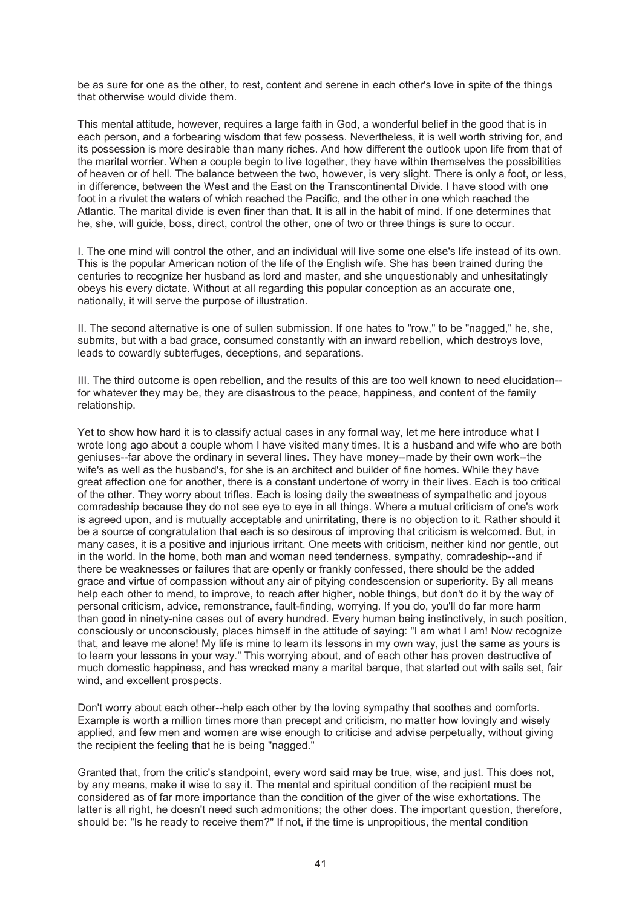be as sure for one as the other, to rest, content and serene in each other's love in spite of the things that otherwise would divide them.

This mental attitude, however, requires a large faith in God, a wonderful belief in the good that is in each person, and a forbearing wisdom that few possess. Nevertheless, it is well worth striving for, and its possession is more desirable than many riches. And how different the outlook upon life from that of the marital worrier. When a couple begin to live together, they have within themselves the possibilities of heaven or of hell. The balance between the two, however, is very slight. There is only a foot, or less, in difference, between the West and the East on the Transcontinental Divide. I have stood with one foot in a rivulet the waters of which reached the Pacific, and the other in one which reached the Atlantic. The marital divide is even finer than that. It is all in the habit of mind. If one determines that he, she, will guide, boss, direct, control the other, one of two or three things is sure to occur.

I. The one mind will control the other, and an individual will live some one else's life instead of its own. This is the popular American notion of the life of the English wife. She has been trained during the centuries to recognize her husband as lord and master, and she unquestionably and unhesitatingly obeys his every dictate. Without at all regarding this popular conception as an accurate one, nationally, it will serve the purpose of illustration.

II. The second alternative is one of sullen submission. If one hates to "row," to be "nagged," he, she, submits, but with a bad grace, consumed constantly with an inward rebellion, which destroys love, leads to cowardly subterfuges, deceptions, and separations.

III. The third outcome is open rebellion, and the results of this are too well known to need elucidation- for whatever they may be, they are disastrous to the peace, happiness, and content of the family relationship.

Yet to show how hard it is to classify actual cases in any formal way, let me here introduce what I wrote long ago about a couple whom I have visited many times. It is a husband and wife who are both geniuses--far above the ordinary in several lines. They have money--made by their own work--the wife's as well as the husband's, for she is an architect and builder of fine homes. While they have great affection one for another, there is a constant undertone of worry in their lives. Each is too critical of the other. They worry about trifles. Each is losing daily the sweetness of sympathetic and joyous comradeship because they do not see eye to eye in all things. Where a mutual criticism of one's work is agreed upon, and is mutually acceptable and unirritating, there is no objection to it. Rather should it be a source of congratulation that each is so desirous of improving that criticism is welcomed. But, in many cases, it is a positive and injurious irritant. One meets with criticism, neither kind nor gentle, out in the world. In the home, both man and woman need tenderness, sympathy, comradeship--and if there be weaknesses or failures that are openly or frankly confessed, there should be the added grace and virtue of compassion without any air of pitying condescension or superiority. By all means help each other to mend, to improve, to reach after higher, noble things, but don't do it by the way of personal criticism, advice, remonstrance, fault-finding, worrying. If you do, you'll do far more harm than good in ninety-nine cases out of every hundred. Every human being instinctively, in such position, consciously or unconsciously, places himself in the attitude of saying: "I am what I am! Now recognize that, and leave me alone! My life is mine to learn its lessons in my own way, just the same as yours is to learn your lessons in your way." This worrying about, and of each other has proven destructive of much domestic happiness, and has wrecked many a marital barque, that started out with sails set, fair wind, and excellent prospects.

Don't worry about each other--help each other by the loving sympathy that soothes and comforts. Example is worth a million times more than precept and criticism, no matter how lovingly and wisely applied, and few men and women are wise enough to criticise and advise perpetually, without giving the recipient the feeling that he is being "nagged."

Granted that, from the critic's standpoint, every word said may be true, wise, and just. This does not, by any means, make it wise to say it. The mental and spiritual condition of the recipient must be considered as of far more importance than the condition of the giver of the wise exhortations. The latter is all right, he doesn't need such admonitions; the other does. The important question, therefore, should be: "Is he ready to receive them?" If not, if the time is unpropitious, the mental condition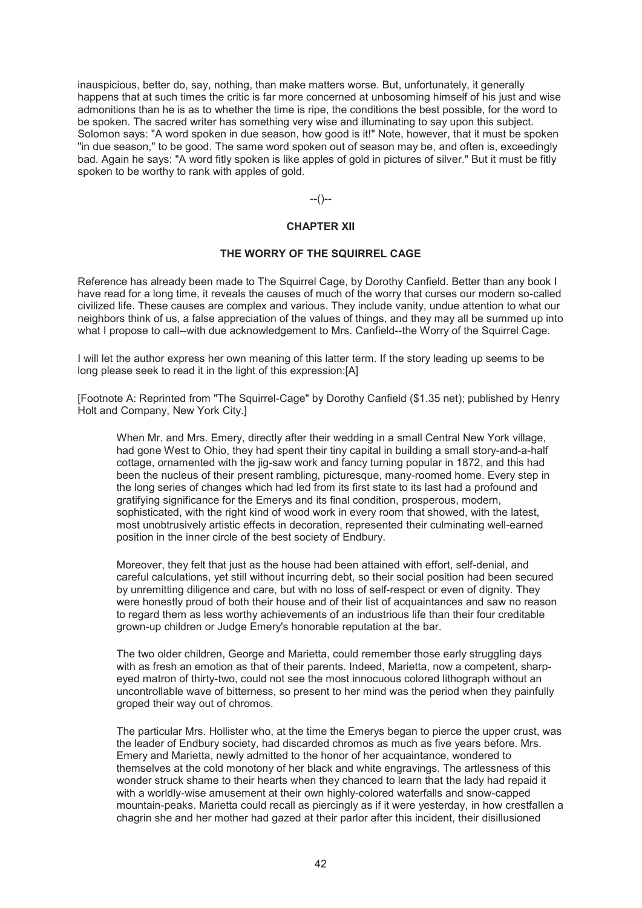inauspicious, better do, say, nothing, than make matters worse. But, unfortunately, it generally happens that at such times the critic is far more concerned at unbosoming himself of his just and wise admonitions than he is as to whether the time is ripe, the conditions the best possible, for the word to be spoken. The sacred writer has something very wise and illuminating to say upon this subject. Solomon says: "A word spoken in due season, how good is it!" Note, however, that it must be spoken "in due season," to be good. The same word spoken out of season may be, and often is, exceedingly bad. Again he says: "A word fitly spoken is like apples of gold in pictures of silver." But it must be fitly spoken to be worthy to rank with apples of gold.

 $-(-)$ 

# **CHAPTER XII**

#### **THE WORRY OF THE SQUIRREL CAGE**

Reference has already been made to The Squirrel Cage, by Dorothy Canfield. Better than any book I have read for a long time, it reveals the causes of much of the worry that curses our modern so-called civilized life. These causes are complex and various. They include vanity, undue attention to what our neighbors think of us, a false appreciation of the values of things, and they may all be summed up into what I propose to call--with due acknowledgement to Mrs. Canfield--the Worry of the Squirrel Cage.

I will let the author express her own meaning of this latter term. If the story leading up seems to be long please seek to read it in the light of this expression:[A]

[Footnote A: Reprinted from "The Squirrel-Cage" by Dorothy Canfield (\$1.35 net); published by Henry Holt and Company, New York City.]

When Mr. and Mrs. Emery, directly after their wedding in a small Central New York village, had gone West to Ohio, they had spent their tiny capital in building a small story-and-a-half cottage, ornamented with the jig-saw work and fancy turning popular in 1872, and this had been the nucleus of their present rambling, picturesque, many-roomed home. Every step in the long series of changes which had led from its first state to its last had a profound and gratifying significance for the Emerys and its final condition, prosperous, modern, sophisticated, with the right kind of wood work in every room that showed, with the latest, most unobtrusively artistic effects in decoration, represented their culminating well-earned position in the inner circle of the best society of Endbury.

Moreover, they felt that just as the house had been attained with effort, self-denial, and careful calculations, yet still without incurring debt, so their social position had been secured by unremitting diligence and care, but with no loss of self-respect or even of dignity. They were honestly proud of both their house and of their list of acquaintances and saw no reason to regard them as less worthy achievements of an industrious life than their four creditable grown-up children or Judge Emery's honorable reputation at the bar.

The two older children, George and Marietta, could remember those early struggling days with as fresh an emotion as that of their parents. Indeed, Marietta, now a competent, sharpeyed matron of thirty-two, could not see the most innocuous colored lithograph without an uncontrollable wave of bitterness, so present to her mind was the period when they painfully groped their way out of chromos.

The particular Mrs. Hollister who, at the time the Emerys began to pierce the upper crust, was the leader of Endbury society, had discarded chromos as much as five years before. Mrs. Emery and Marietta, newly admitted to the honor of her acquaintance, wondered to themselves at the cold monotony of her black and white engravings. The artlessness of this wonder struck shame to their hearts when they chanced to learn that the lady had repaid it with a worldly-wise amusement at their own highly-colored waterfalls and snow-capped mountain-peaks. Marietta could recall as piercingly as if it were yesterday, in how crestfallen a chagrin she and her mother had gazed at their parlor after this incident, their disillusioned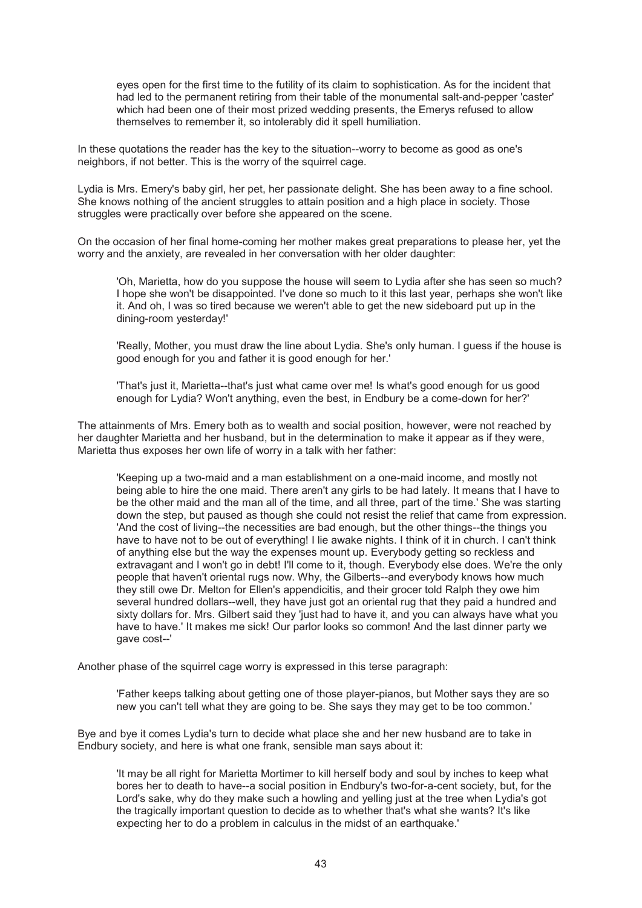eyes open for the first time to the futility of its claim to sophistication. As for the incident that had led to the permanent retiring from their table of the monumental salt-and-pepper 'caster' which had been one of their most prized wedding presents, the Emerys refused to allow themselves to remember it, so intolerably did it spell humiliation.

In these quotations the reader has the key to the situation--worry to become as good as one's neighbors, if not better. This is the worry of the squirrel cage.

Lydia is Mrs. Emery's baby girl, her pet, her passionate delight. She has been away to a fine school. She knows nothing of the ancient struggles to attain position and a high place in society. Those struggles were practically over before she appeared on the scene.

On the occasion of her final home-coming her mother makes great preparations to please her, yet the worry and the anxiety, are revealed in her conversation with her older daughter:

'Oh, Marietta, how do you suppose the house will seem to Lydia after she has seen so much? I hope she won't be disappointed. I've done so much to it this last year, perhaps she won't like it. And oh, I was so tired because we weren't able to get the new sideboard put up in the dining-room yesterday!'

'Really, Mother, you must draw the line about Lydia. She's only human. I guess if the house is good enough for you and father it is good enough for her.'

'That's just it, Marietta--that's just what came over me! Is what's good enough for us good enough for Lydia? Won't anything, even the best, in Endbury be a come-down for her?'

The attainments of Mrs. Emery both as to wealth and social position, however, were not reached by her daughter Marietta and her husband, but in the determination to make it appear as if they were, Marietta thus exposes her own life of worry in a talk with her father:

'Keeping up a two-maid and a man establishment on a one-maid income, and mostly not being able to hire the one maid. There aren't any girls to be had lately. It means that I have to be the other maid and the man all of the time, and all three, part of the time.' She was starting down the step, but paused as though she could not resist the relief that came from expression. 'And the cost of living--the necessities are bad enough, but the other things--the things you have to have not to be out of everything! I lie awake nights. I think of it in church. I can't think of anything else but the way the expenses mount up. Everybody getting so reckless and extravagant and I won't go in debt! I'll come to it, though. Everybody else does. We're the only people that haven't oriental rugs now. Why, the Gilberts--and everybody knows how much they still owe Dr. Melton for Ellen's appendicitis, and their grocer told Ralph they owe him several hundred dollars--well, they have just got an oriental rug that they paid a hundred and sixty dollars for. Mrs. Gilbert said they 'just had to have it, and you can always have what you have to have.' It makes me sick! Our parlor looks so common! And the last dinner party we gave cost--'

Another phase of the squirrel cage worry is expressed in this terse paragraph:

'Father keeps talking about getting one of those player-pianos, but Mother says they are so new you can't tell what they are going to be. She says they may get to be too common.'

Bye and bye it comes Lydia's turn to decide what place she and her new husband are to take in Endbury society, and here is what one frank, sensible man says about it:

'It may be all right for Marietta Mortimer to kill herself body and soul by inches to keep what bores her to death to have--a social position in Endbury's two-for-a-cent society, but, for the Lord's sake, why do they make such a howling and yelling just at the tree when Lydia's got the tragically important question to decide as to whether that's what she wants? It's like expecting her to do a problem in calculus in the midst of an earthquake.'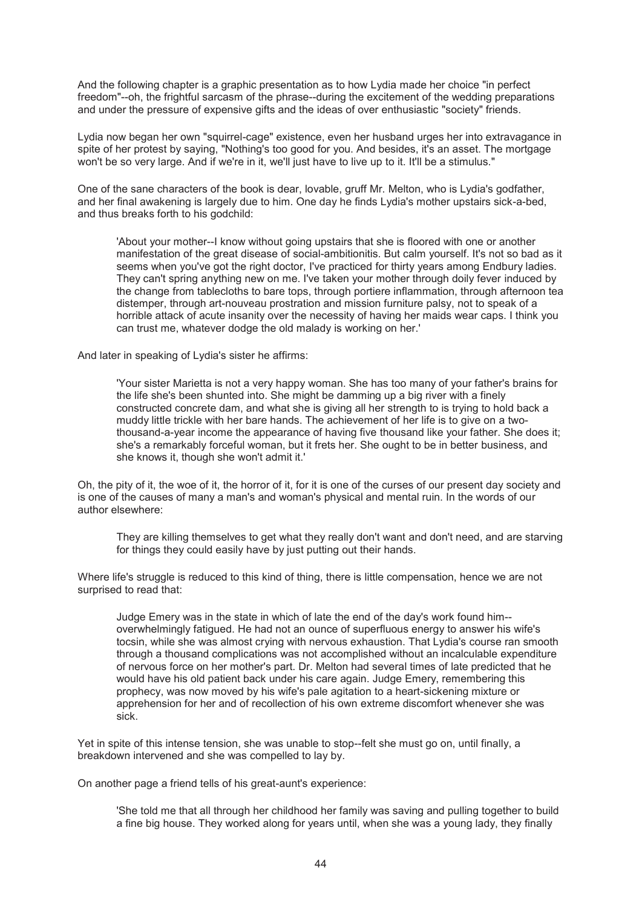And the following chapter is a graphic presentation as to how Lydia made her choice "in perfect freedom"--oh, the frightful sarcasm of the phrase--during the excitement of the wedding preparations and under the pressure of expensive gifts and the ideas of over enthusiastic "society" friends.

Lydia now began her own "squirrel-cage" existence, even her husband urges her into extravagance in spite of her protest by saying, "Nothing's too good for you. And besides, it's an asset. The mortgage won't be so very large. And if we're in it, we'll just have to live up to it. It'll be a stimulus."

One of the sane characters of the book is dear, lovable, gruff Mr. Melton, who is Lydia's godfather, and her final awakening is largely due to him. One day he finds Lydia's mother upstairs sick-a-bed, and thus breaks forth to his godchild:

'About your mother--I know without going upstairs that she is floored with one or another manifestation of the great disease of social-ambitionitis. But calm yourself. It's not so bad as it seems when you've got the right doctor, I've practiced for thirty years among Endbury ladies. They can't spring anything new on me. I've taken your mother through doily fever induced by the change from tablecloths to bare tops, through portiere inflammation, through afternoon tea distemper, through art-nouveau prostration and mission furniture palsy, not to speak of a horrible attack of acute insanity over the necessity of having her maids wear caps. I think you can trust me, whatever dodge the old malady is working on her.'

And later in speaking of Lydia's sister he affirms:

'Your sister Marietta is not a very happy woman. She has too many of your father's brains for the life she's been shunted into. She might be damming up a big river with a finely constructed concrete dam, and what she is giving all her strength to is trying to hold back a muddy little trickle with her bare hands. The achievement of her life is to give on a twothousand-a-year income the appearance of having five thousand like your father. She does it; she's a remarkably forceful woman, but it frets her. She ought to be in better business, and she knows it, though she won't admit it.'

Oh, the pity of it, the woe of it, the horror of it, for it is one of the curses of our present day society and is one of the causes of many a man's and woman's physical and mental ruin. In the words of our author elsewhere:

They are killing themselves to get what they really don't want and don't need, and are starving for things they could easily have by just putting out their hands.

Where life's struggle is reduced to this kind of thing, there is little compensation, hence we are not surprised to read that:

Judge Emery was in the state in which of late the end of the day's work found him- overwhelmingly fatigued. He had not an ounce of superfluous energy to answer his wife's tocsin, while she was almost crying with nervous exhaustion. That Lydia's course ran smooth through a thousand complications was not accomplished without an incalculable expenditure of nervous force on her mother's part. Dr. Melton had several times of late predicted that he would have his old patient back under his care again. Judge Emery, remembering this prophecy, was now moved by his wife's pale agitation to a heart-sickening mixture or apprehension for her and of recollection of his own extreme discomfort whenever she was sick.

Yet in spite of this intense tension, she was unable to stop--felt she must go on, until finally, a breakdown intervened and she was compelled to lay by.

On another page a friend tells of his great-aunt's experience:

'She told me that all through her childhood her family was saving and pulling together to build a fine big house. They worked along for years until, when she was a young lady, they finally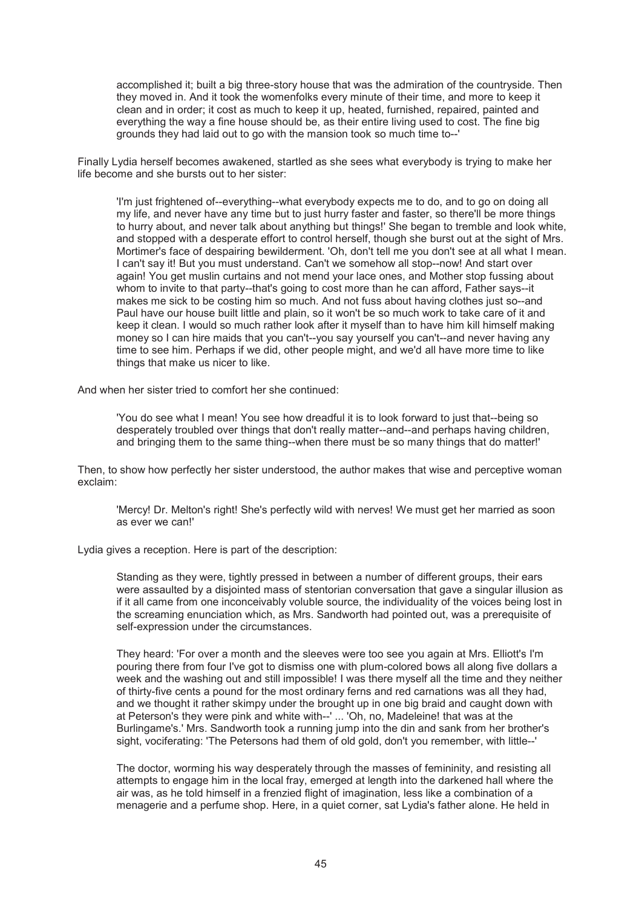accomplished it; built a big three-story house that was the admiration of the countryside. Then they moved in. And it took the womenfolks every minute of their time, and more to keep it clean and in order; it cost as much to keep it up, heated, furnished, repaired, painted and everything the way a fine house should be, as their entire living used to cost. The fine big grounds they had laid out to go with the mansion took so much time to--'

Finally Lydia herself becomes awakened, startled as she sees what everybody is trying to make her life become and she bursts out to her sister:

'I'm just frightened of--everything--what everybody expects me to do, and to go on doing all my life, and never have any time but to just hurry faster and faster, so there'll be more things to hurry about, and never talk about anything but things!' She began to tremble and look white, and stopped with a desperate effort to control herself, though she burst out at the sight of Mrs. Mortimer's face of despairing bewilderment. 'Oh, don't tell me you don't see at all what I mean. I can't say it! But you must understand. Can't we somehow all stop--now! And start over again! You get muslin curtains and not mend your lace ones, and Mother stop fussing about whom to invite to that party--that's going to cost more than he can afford. Father savs--it makes me sick to be costing him so much. And not fuss about having clothes just so--and Paul have our house built little and plain, so it won't be so much work to take care of it and keep it clean. I would so much rather look after it myself than to have him kill himself making money so I can hire maids that you can't--you say yourself you can't--and never having any time to see him. Perhaps if we did, other people might, and we'd all have more time to like things that make us nicer to like.

And when her sister tried to comfort her she continued:

'You do see what I mean! You see how dreadful it is to look forward to just that--being so desperately troubled over things that don't really matter--and--and perhaps having children, and bringing them to the same thing--when there must be so many things that do matter!'

Then, to show how perfectly her sister understood, the author makes that wise and perceptive woman exclaim:

'Mercy! Dr. Melton's right! She's perfectly wild with nerves! We must get her married as soon as ever we can!'

Lydia gives a reception. Here is part of the description:

Standing as they were, tightly pressed in between a number of different groups, their ears were assaulted by a disjointed mass of stentorian conversation that gave a singular illusion as if it all came from one inconceivably voluble source, the individuality of the voices being lost in the screaming enunciation which, as Mrs. Sandworth had pointed out, was a prerequisite of self-expression under the circumstances.

They heard: 'For over a month and the sleeves were too see you again at Mrs. Elliott's I'm pouring there from four I've got to dismiss one with plum-colored bows all along five dollars a week and the washing out and still impossible! I was there myself all the time and they neither of thirty-five cents a pound for the most ordinary ferns and red carnations was all they had, and we thought it rather skimpy under the brought up in one big braid and caught down with at Peterson's they were pink and white with--' ... 'Oh, no, Madeleine! that was at the Burlingame's.' Mrs. Sandworth took a running jump into the din and sank from her brother's sight, vociferating: 'The Petersons had them of old gold, don't you remember, with little--'

The doctor, worming his way desperately through the masses of femininity, and resisting all attempts to engage him in the local fray, emerged at length into the darkened hall where the air was, as he told himself in a frenzied flight of imagination, less like a combination of a menagerie and a perfume shop. Here, in a quiet corner, sat Lydia's father alone. He held in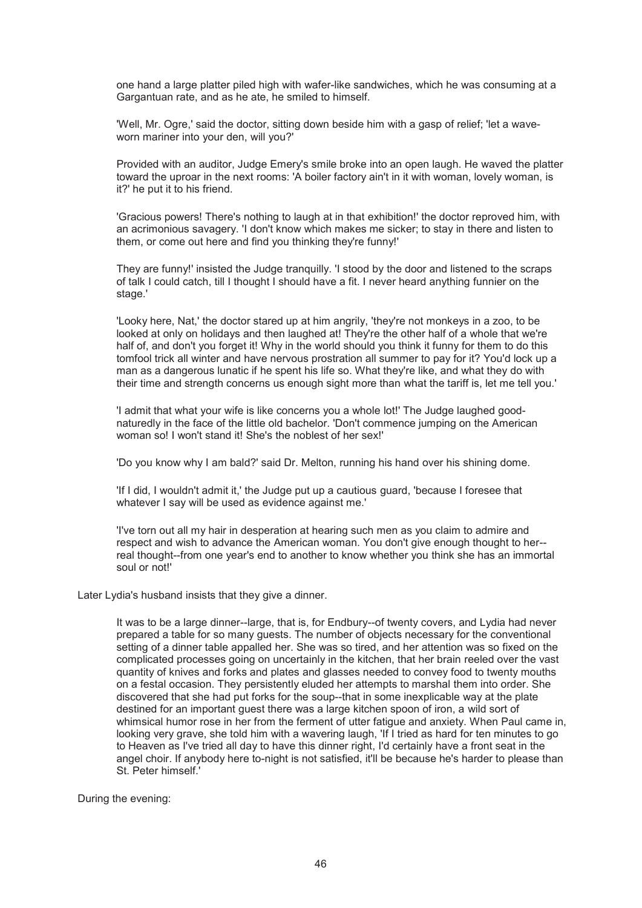one hand a large platter piled high with wafer-like sandwiches, which he was consuming at a Gargantuan rate, and as he ate, he smiled to himself.

'Well, Mr. Ogre,' said the doctor, sitting down beside him with a gasp of relief; 'let a waveworn mariner into your den, will you?'

Provided with an auditor, Judge Emery's smile broke into an open laugh. He waved the platter toward the uproar in the next rooms: 'A boiler factory ain't in it with woman, lovely woman, is it?' he put it to his friend.

'Gracious powers! There's nothing to laugh at in that exhibition!' the doctor reproved him, with an acrimonious savagery. 'I don't know which makes me sicker; to stay in there and listen to them, or come out here and find you thinking they're funny!'

They are funny!' insisted the Judge tranquilly. 'I stood by the door and listened to the scraps of talk I could catch, till I thought I should have a fit. I never heard anything funnier on the stage.'

'Looky here, Nat,' the doctor stared up at him angrily, 'they're not monkeys in a zoo, to be looked at only on holidays and then laughed at! They're the other half of a whole that we're half of, and don't you forget it! Why in the world should you think it funny for them to do this tomfool trick all winter and have nervous prostration all summer to pay for it? You'd lock up a man as a dangerous lunatic if he spent his life so. What they're like, and what they do with their time and strength concerns us enough sight more than what the tariff is, let me tell you.'

'I admit that what your wife is like concerns you a whole lot!' The Judge laughed goodnaturedly in the face of the little old bachelor. 'Don't commence jumping on the American woman so! I won't stand it! She's the noblest of her sex!'

'Do you know why I am bald?' said Dr. Melton, running his hand over his shining dome.

'If I did, I wouldn't admit it,' the Judge put up a cautious guard, 'because I foresee that whatever I say will be used as evidence against me.'

'I've torn out all my hair in desperation at hearing such men as you claim to admire and respect and wish to advance the American woman. You don't give enough thought to her- real thought--from one year's end to another to know whether you think she has an immortal soul or not!'

Later Lydia's husband insists that they give a dinner.

It was to be a large dinner--large, that is, for Endbury--of twenty covers, and Lydia had never prepared a table for so many guests. The number of objects necessary for the conventional setting of a dinner table appalled her. She was so tired, and her attention was so fixed on the complicated processes going on uncertainly in the kitchen, that her brain reeled over the vast quantity of knives and forks and plates and glasses needed to convey food to twenty mouths on a festal occasion. They persistently eluded her attempts to marshal them into order. She discovered that she had put forks for the soup--that in some inexplicable way at the plate destined for an important guest there was a large kitchen spoon of iron, a wild sort of whimsical humor rose in her from the ferment of utter fatigue and anxiety. When Paul came in, looking very grave, she told him with a wavering laugh, 'If I tried as hard for ten minutes to go to Heaven as I've tried all day to have this dinner right, I'd certainly have a front seat in the angel choir. If anybody here to-night is not satisfied, it'll be because he's harder to please than St. Peter himself.'

During the evening: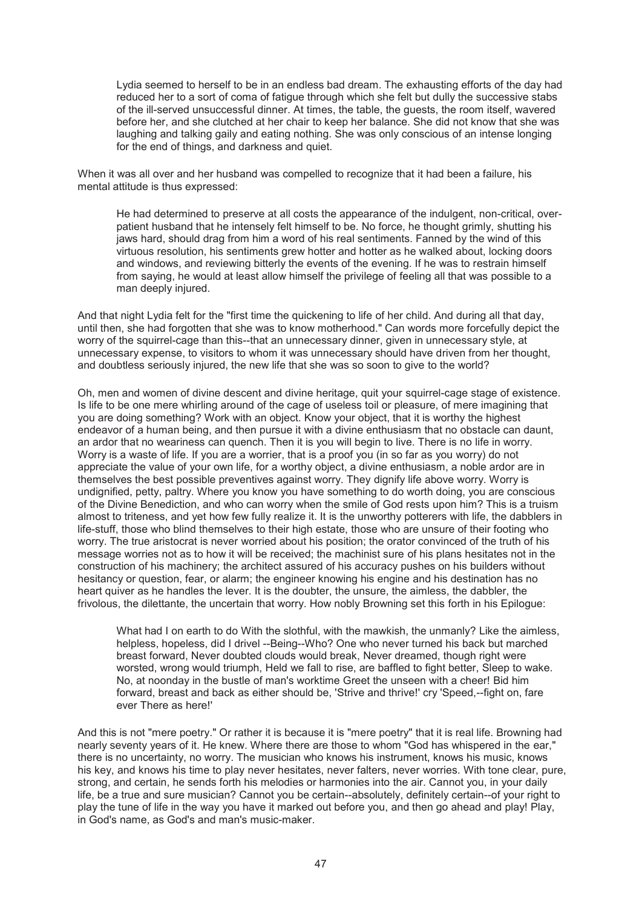Lydia seemed to herself to be in an endless bad dream. The exhausting efforts of the day had reduced her to a sort of coma of fatigue through which she felt but dully the successive stabs of the ill-served unsuccessful dinner. At times, the table, the guests, the room itself, wavered before her, and she clutched at her chair to keep her balance. She did not know that she was laughing and talking gaily and eating nothing. She was only conscious of an intense longing for the end of things, and darkness and quiet.

When it was all over and her husband was compelled to recognize that it had been a failure, his mental attitude is thus expressed:

He had determined to preserve at all costs the appearance of the indulgent, non-critical, overpatient husband that he intensely felt himself to be. No force, he thought grimly, shutting his jaws hard, should drag from him a word of his real sentiments. Fanned by the wind of this virtuous resolution, his sentiments grew hotter and hotter as he walked about, locking doors and windows, and reviewing bitterly the events of the evening. If he was to restrain himself from saying, he would at least allow himself the privilege of feeling all that was possible to a man deeply injured.

And that night Lydia felt for the "first time the quickening to life of her child. And during all that day, until then, she had forgotten that she was to know motherhood." Can words more forcefully depict the worry of the squirrel-cage than this--that an unnecessary dinner, given in unnecessary style, at unnecessary expense, to visitors to whom it was unnecessary should have driven from her thought, and doubtless seriously injured, the new life that she was so soon to give to the world?

Oh, men and women of divine descent and divine heritage, quit your squirrel-cage stage of existence. Is life to be one mere whirling around of the cage of useless toil or pleasure, of mere imagining that you are doing something? Work with an object. Know your object, that it is worthy the highest endeavor of a human being, and then pursue it with a divine enthusiasm that no obstacle can daunt, an ardor that no weariness can quench. Then it is you will begin to live. There is no life in worry. Worry is a waste of life. If you are a worrier, that is a proof you (in so far as you worry) do not appreciate the value of your own life, for a worthy object, a divine enthusiasm, a noble ardor are in themselves the best possible preventives against worry. They dignify life above worry. Worry is undignified, petty, paltry. Where you know you have something to do worth doing, you are conscious of the Divine Benediction, and who can worry when the smile of God rests upon him? This is a truism almost to triteness, and yet how few fully realize it. It is the unworthy potterers with life, the dabblers in life-stuff, those who blind themselves to their high estate, those who are unsure of their footing who worry. The true aristocrat is never worried about his position; the orator convinced of the truth of his message worries not as to how it will be received; the machinist sure of his plans hesitates not in the construction of his machinery; the architect assured of his accuracy pushes on his builders without hesitancy or question, fear, or alarm; the engineer knowing his engine and his destination has no heart quiver as he handles the lever. It is the doubter, the unsure, the aimless, the dabbler, the frivolous, the dilettante, the uncertain that worry. How nobly Browning set this forth in his Epilogue:

What had I on earth to do With the slothful, with the mawkish, the unmanly? Like the aimless, helpless, hopeless, did I drivel --Being--Who? One who never turned his back but marched breast forward, Never doubted clouds would break, Never dreamed, though right were worsted, wrong would triumph, Held we fall to rise, are baffled to fight better, Sleep to wake. No, at noonday in the bustle of man's worktime Greet the unseen with a cheer! Bid him forward, breast and back as either should be, 'Strive and thrive!' cry 'Speed,--fight on, fare ever There as here!'

And this is not "mere poetry." Or rather it is because it is "mere poetry" that it is real life. Browning had nearly seventy years of it. He knew. Where there are those to whom "God has whispered in the ear," there is no uncertainty, no worry. The musician who knows his instrument, knows his music, knows his key, and knows his time to play never hesitates, never falters, never worries. With tone clear, pure, strong, and certain, he sends forth his melodies or harmonies into the air. Cannot you, in your daily life, be a true and sure musician? Cannot you be certain--absolutely, definitely certain--of your right to play the tune of life in the way you have it marked out before you, and then go ahead and play! Play, in God's name, as God's and man's music-maker.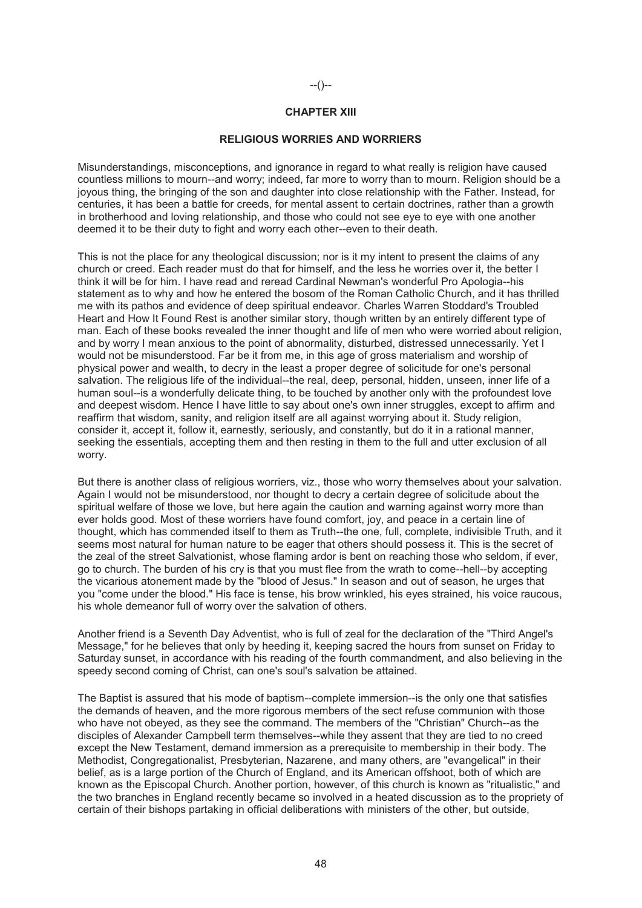# --()--

# **CHAPTER XIII**

#### **RELIGIOUS WORRIES AND WORRIERS**

Misunderstandings, misconceptions, and ignorance in regard to what really is religion have caused countless millions to mourn--and worry; indeed, far more to worry than to mourn. Religion should be a joyous thing, the bringing of the son and daughter into close relationship with the Father. Instead, for centuries, it has been a battle for creeds, for mental assent to certain doctrines, rather than a growth in brotherhood and loving relationship, and those who could not see eye to eye with one another deemed it to be their duty to fight and worry each other--even to their death.

This is not the place for any theological discussion; nor is it my intent to present the claims of any church or creed. Each reader must do that for himself, and the less he worries over it, the better I think it will be for him. I have read and reread Cardinal Newman's wonderful Pro Apologia--his statement as to why and how he entered the bosom of the Roman Catholic Church, and it has thrilled me with its pathos and evidence of deep spiritual endeavor. Charles Warren Stoddard's Troubled Heart and How It Found Rest is another similar story, though written by an entirely different type of man. Each of these books revealed the inner thought and life of men who were worried about religion, and by worry I mean anxious to the point of abnormality, disturbed, distressed unnecessarily. Yet I would not be misunderstood. Far be it from me, in this age of gross materialism and worship of physical power and wealth, to decry in the least a proper degree of solicitude for one's personal salvation. The religious life of the individual--the real, deep, personal, hidden, unseen, inner life of a human soul--is a wonderfully delicate thing, to be touched by another only with the profoundest love and deepest wisdom. Hence I have little to say about one's own inner struggles, except to affirm and reaffirm that wisdom, sanity, and religion itself are all against worrying about it. Study religion, consider it, accept it, follow it, earnestly, seriously, and constantly, but do it in a rational manner, seeking the essentials, accepting them and then resting in them to the full and utter exclusion of all worry.

But there is another class of religious worriers, viz., those who worry themselves about your salvation. Again I would not be misunderstood, nor thought to decry a certain degree of solicitude about the spiritual welfare of those we love, but here again the caution and warning against worry more than ever holds good. Most of these worriers have found comfort, joy, and peace in a certain line of thought, which has commended itself to them as Truth--the one, full, complete, indivisible Truth, and it seems most natural for human nature to be eager that others should possess it. This is the secret of the zeal of the street Salvationist, whose flaming ardor is bent on reaching those who seldom, if ever, go to church. The burden of his cry is that you must flee from the wrath to come--hell--by accepting the vicarious atonement made by the "blood of Jesus." In season and out of season, he urges that you "come under the blood." His face is tense, his brow wrinkled, his eyes strained, his voice raucous, his whole demeanor full of worry over the salvation of others.

Another friend is a Seventh Day Adventist, who is full of zeal for the declaration of the "Third Angel's Message," for he believes that only by heeding it, keeping sacred the hours from sunset on Friday to Saturday sunset, in accordance with his reading of the fourth commandment, and also believing in the speedy second coming of Christ, can one's soul's salvation be attained.

The Baptist is assured that his mode of baptism--complete immersion--is the only one that satisfies the demands of heaven, and the more rigorous members of the sect refuse communion with those who have not obeyed, as they see the command. The members of the "Christian" Church--as the disciples of Alexander Campbell term themselves--while they assent that they are tied to no creed except the New Testament, demand immersion as a prerequisite to membership in their body. The Methodist, Congregationalist, Presbyterian, Nazarene, and many others, are "evangelical" in their belief, as is a large portion of the Church of England, and its American offshoot, both of which are known as the Episcopal Church. Another portion, however, of this church is known as "ritualistic," and the two branches in England recently became so involved in a heated discussion as to the propriety of certain of their bishops partaking in official deliberations with ministers of the other, but outside,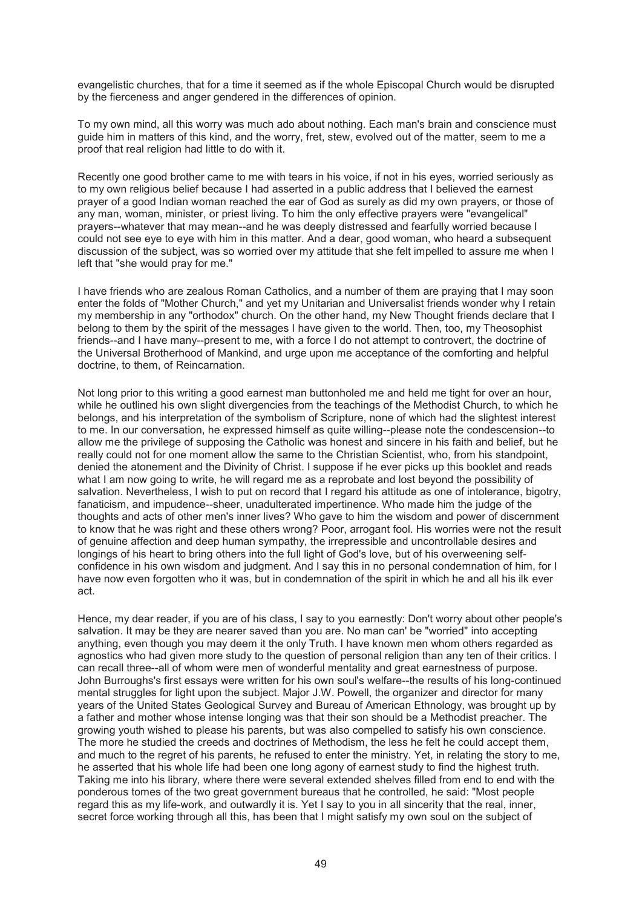evangelistic churches, that for a time it seemed as if the whole Episcopal Church would be disrupted by the fierceness and anger gendered in the differences of opinion.

To my own mind, all this worry was much ado about nothing. Each man's brain and conscience must guide him in matters of this kind, and the worry, fret, stew, evolved out of the matter, seem to me a proof that real religion had little to do with it.

Recently one good brother came to me with tears in his voice, if not in his eyes, worried seriously as to my own religious belief because I had asserted in a public address that I believed the earnest prayer of a good Indian woman reached the ear of God as surely as did my own prayers, or those of any man, woman, minister, or priest living. To him the only effective prayers were "evangelical" prayers--whatever that may mean--and he was deeply distressed and fearfully worried because I could not see eye to eye with him in this matter. And a dear, good woman, who heard a subsequent discussion of the subject, was so worried over my attitude that she felt impelled to assure me when I left that "she would pray for me."

I have friends who are zealous Roman Catholics, and a number of them are praying that I may soon enter the folds of "Mother Church," and yet my Unitarian and Universalist friends wonder why I retain my membership in any "orthodox" church. On the other hand, my New Thought friends declare that I belong to them by the spirit of the messages I have given to the world. Then, too, my Theosophist friends--and I have many--present to me, with a force I do not attempt to controvert, the doctrine of the Universal Brotherhood of Mankind, and urge upon me acceptance of the comforting and helpful doctrine, to them, of Reincarnation.

Not long prior to this writing a good earnest man buttonholed me and held me tight for over an hour, while he outlined his own slight divergencies from the teachings of the Methodist Church, to which he belongs, and his interpretation of the symbolism of Scripture, none of which had the slightest interest to me. In our conversation, he expressed himself as quite willing--please note the condescension--to allow me the privilege of supposing the Catholic was honest and sincere in his faith and belief, but he really could not for one moment allow the same to the Christian Scientist, who, from his standpoint, denied the atonement and the Divinity of Christ. I suppose if he ever picks up this booklet and reads what I am now going to write, he will regard me as a reprobate and lost beyond the possibility of salvation. Nevertheless, I wish to put on record that I regard his attitude as one of intolerance, bigotry, fanaticism, and impudence--sheer, unadulterated impertinence. Who made him the judge of the thoughts and acts of other men's inner lives? Who gave to him the wisdom and power of discernment to know that he was right and these others wrong? Poor, arrogant fool. His worries were not the result of genuine affection and deep human sympathy, the irrepressible and uncontrollable desires and longings of his heart to bring others into the full light of God's love, but of his overweening selfconfidence in his own wisdom and judgment. And I say this in no personal condemnation of him, for I have now even forgotten who it was, but in condemnation of the spirit in which he and all his ilk ever act.

Hence, my dear reader, if you are of his class, I say to you earnestly: Don't worry about other people's salvation. It may be they are nearer saved than you are. No man can' be "worried" into accepting anything, even though you may deem it the only Truth. I have known men whom others regarded as agnostics who had given more study to the question of personal religion than any ten of their critics. I can recall three--all of whom were men of wonderful mentality and great earnestness of purpose. John Burroughs's first essays were written for his own soul's welfare--the results of his long-continued mental struggles for light upon the subject. Major J.W. Powell, the organizer and director for many years of the United States Geological Survey and Bureau of American Ethnology, was brought up by a father and mother whose intense longing was that their son should be a Methodist preacher. The growing youth wished to please his parents, but was also compelled to satisfy his own conscience. The more he studied the creeds and doctrines of Methodism, the less he felt he could accept them, and much to the regret of his parents, he refused to enter the ministry. Yet, in relating the story to me, he asserted that his whole life had been one long agony of earnest study to find the highest truth. Taking me into his library, where there were several extended shelves filled from end to end with the ponderous tomes of the two great government bureaus that he controlled, he said: "Most people regard this as my life-work, and outwardly it is. Yet I say to you in all sincerity that the real, inner, secret force working through all this, has been that I might satisfy my own soul on the subject of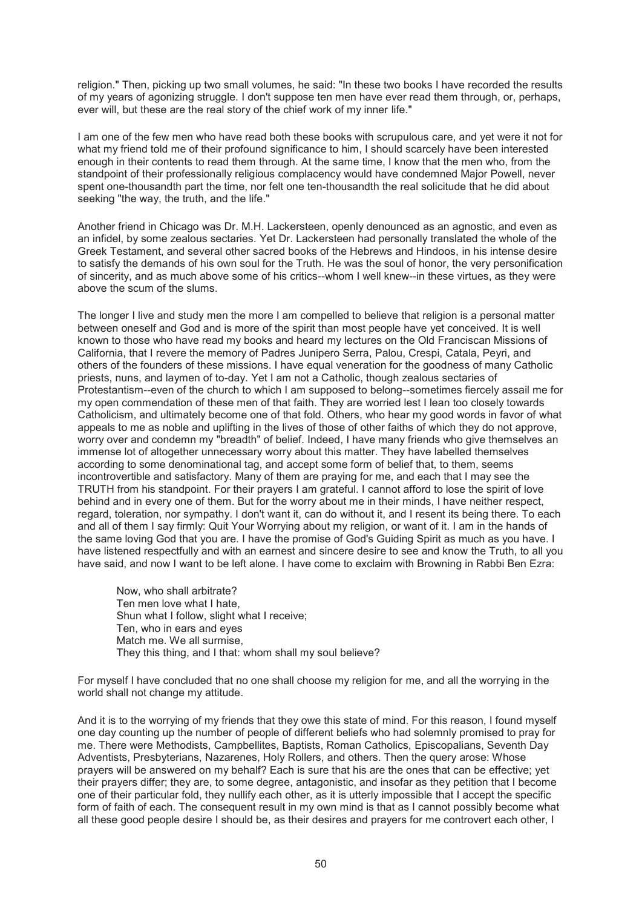religion." Then, picking up two small volumes, he said: "In these two books I have recorded the results of my years of agonizing struggle. I don't suppose ten men have ever read them through, or, perhaps, ever will, but these are the real story of the chief work of my inner life."

I am one of the few men who have read both these books with scrupulous care, and yet were it not for what my friend told me of their profound significance to him. I should scarcely have been interested enough in their contents to read them through. At the same time, I know that the men who, from the standpoint of their professionally religious complacency would have condemned Major Powell, never spent one-thousandth part the time, nor felt one ten-thousandth the real solicitude that he did about seeking "the way, the truth, and the life."

Another friend in Chicago was Dr. M.H. Lackersteen, openly denounced as an agnostic, and even as an infidel, by some zealous sectaries. Yet Dr. Lackersteen had personally translated the whole of the Greek Testament, and several other sacred books of the Hebrews and Hindoos, in his intense desire to satisfy the demands of his own soul for the Truth. He was the soul of honor, the very personification of sincerity, and as much above some of his critics--whom I well knew--in these virtues, as they were above the scum of the slums.

The longer I live and study men the more I am compelled to believe that religion is a personal matter between oneself and God and is more of the spirit than most people have yet conceived. It is well known to those who have read my books and heard my lectures on the Old Franciscan Missions of California, that I revere the memory of Padres Junipero Serra, Palou, Crespi, Catala, Peyri, and others of the founders of these missions. I have equal veneration for the goodness of many Catholic priests, nuns, and laymen of to-day. Yet I am not a Catholic, though zealous sectaries of Protestantism--even of the church to which I am supposed to belong--sometimes fiercely assail me for my open commendation of these men of that faith. They are worried lest I lean too closely towards Catholicism, and ultimately become one of that fold. Others, who hear my good words in favor of what appeals to me as noble and uplifting in the lives of those of other faiths of which they do not approve, worry over and condemn my "breadth" of belief. Indeed, I have many friends who give themselves an immense lot of altogether unnecessary worry about this matter. They have labelled themselves according to some denominational tag, and accept some form of belief that, to them, seems incontrovertible and satisfactory. Many of them are praying for me, and each that I may see the TRUTH from his standpoint. For their prayers I am grateful. I cannot afford to lose the spirit of love behind and in every one of them. But for the worry about me in their minds, I have neither respect, regard, toleration, nor sympathy. I don't want it, can do without it, and I resent its being there. To each and all of them I say firmly: Quit Your Worrying about my religion, or want of it. I am in the hands of the same loving God that you are. I have the promise of God's Guiding Spirit as much as you have. I have listened respectfully and with an earnest and sincere desire to see and know the Truth, to all you have said, and now I want to be left alone. I have come to exclaim with Browning in Rabbi Ben Ezra:

Now, who shall arbitrate? Ten men love what I hate, Shun what I follow, slight what I receive; Ten, who in ears and eyes Match me. We all surmise, They this thing, and I that: whom shall my soul believe?

For myself I have concluded that no one shall choose my religion for me, and all the worrying in the world shall not change my attitude.

And it is to the worrying of my friends that they owe this state of mind. For this reason, I found myself one day counting up the number of people of different beliefs who had solemnly promised to pray for me. There were Methodists, Campbellites, Baptists, Roman Catholics, Episcopalians, Seventh Day Adventists, Presbyterians, Nazarenes, Holy Rollers, and others. Then the query arose: Whose prayers will be answered on my behalf? Each is sure that his are the ones that can be effective; yet their prayers differ; they are, to some degree, antagonistic, and insofar as they petition that I become one of their particular fold, they nullify each other, as it is utterly impossible that I accept the specific form of faith of each. The consequent result in my own mind is that as I cannot possibly become what all these good people desire I should be, as their desires and prayers for me controvert each other, I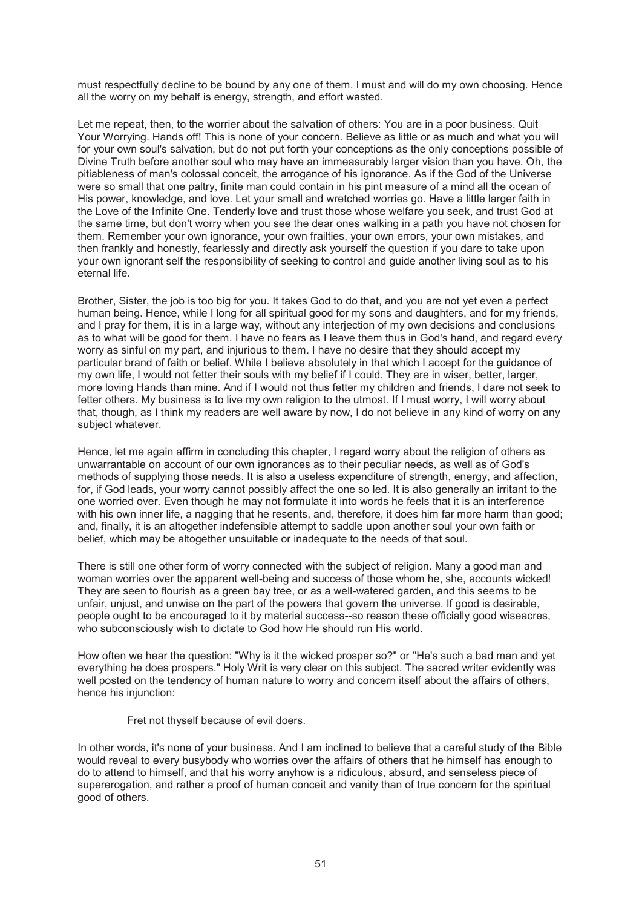must respectfully decline to be bound by any one of them. I must and will do my own choosing. Hence all the worry on my behalf is energy, strength, and effort wasted.

Let me repeat, then, to the worrier about the salvation of others: You are in a poor business. Quit Your Worrying. Hands off! This is none of your concern. Believe as little or as much and what you will for your own soul's salvation, but do not put forth your conceptions as the only conceptions possible of Divine Truth before another soul who may have an immeasurably larger vision than you have. Oh, the pitiableness of man's colossal conceit, the arrogance of his ignorance. As if the God of the Universe were so small that one paltry, finite man could contain in his pint measure of a mind all the ocean of His power, knowledge, and love. Let your small and wretched worries go. Have a little larger faith in the Love of the Infinite One. Tenderly love and trust those whose welfare you seek, and trust God at the same time, but don't worry when you see the dear ones walking in a path you have not chosen for them. Remember your own ignorance, your own frailties, your own errors, your own mistakes, and then frankly and honestly, fearlessly and directly ask yourself the question if you dare to take upon your own ignorant self the responsibility of seeking to control and guide another living soul as to his eternal life.

Brother, Sister, the job is too big for you. It takes God to do that, and you are not yet even a perfect human being. Hence, while I long for all spiritual good for my sons and daughters, and for my friends, and I pray for them, it is in a large way, without any interjection of my own decisions and conclusions as to what will be good for them. I have no fears as I leave them thus in God's hand, and regard every worry as sinful on my part, and injurious to them. I have no desire that they should accept my particular brand of faith or belief. While I believe absolutely in that which I accept for the guidance of my own life, I would not fetter their souls with my belief if I could. They are in wiser, better, larger, more loving Hands than mine. And if I would not thus fetter my children and friends, I dare not seek to fetter others. My business is to live my own religion to the utmost. If I must worry, I will worry about that, though, as I think my readers are well aware by now, I do not believe in any kind of worry on any subject whatever.

Hence, let me again affirm in concluding this chapter, I regard worry about the religion of others as unwarrantable on account of our own ignorances as to their peculiar needs, as well as of God's methods of supplying those needs. It is also a useless expenditure of strength, energy, and affection, for, if God leads, your worry cannot possibly affect the one so led. It is also generally an irritant to the one worried over. Even though he may not formulate it into words he feels that it is an interference with his own inner life, a nagging that he resents, and, therefore, it does him far more harm than good; and, finally, it is an altogether indefensible attempt to saddle upon another soul your own faith or belief, which may be altogether unsuitable or inadequate to the needs of that soul.

There is still one other form of worry connected with the subject of religion. Many a good man and woman worries over the apparent well-being and success of those whom he, she, accounts wicked! They are seen to flourish as a green bay tree, or as a well-watered garden, and this seems to be unfair, unjust, and unwise on the part of the powers that govern the universe. If good is desirable, people ought to be encouraged to it by material success--so reason these officially good wiseacres, who subconsciously wish to dictate to God how He should run His world.

How often we hear the question: "Why is it the wicked prosper so?" or "He's such a bad man and yet everything he does prospers." Holy Writ is very clear on this subject. The sacred writer evidently was well posted on the tendency of human nature to worry and concern itself about the affairs of others, hence his injunction:

Fret not thyself because of evil doers.

In other words, it's none of your business. And I am inclined to believe that a careful study of the Bible would reveal to every busybody who worries over the affairs of others that he himself has enough to do to attend to himself, and that his worry anyhow is a ridiculous, absurd, and senseless piece of supererogation, and rather a proof of human conceit and vanity than of true concern for the spiritual good of others.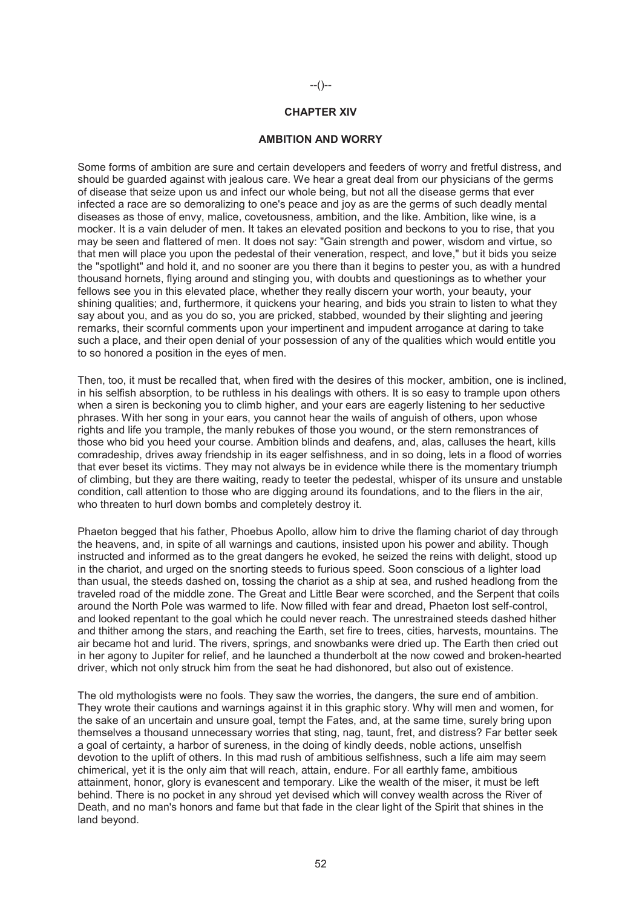# **CHAPTER XIV**

--()--

#### **AMBITION AND WORRY**

Some forms of ambition are sure and certain developers and feeders of worry and fretful distress, and should be guarded against with jealous care. We hear a great deal from our physicians of the germs of disease that seize upon us and infect our whole being, but not all the disease germs that ever infected a race are so demoralizing to one's peace and joy as are the germs of such deadly mental diseases as those of envy, malice, covetousness, ambition, and the like. Ambition, like wine, is a mocker. It is a vain deluder of men. It takes an elevated position and beckons to you to rise, that you may be seen and flattered of men. It does not say: "Gain strength and power, wisdom and virtue, so that men will place you upon the pedestal of their veneration, respect, and love," but it bids you seize the "spotlight" and hold it, and no sooner are you there than it begins to pester you, as with a hundred thousand hornets, flying around and stinging you, with doubts and questionings as to whether your fellows see you in this elevated place, whether they really discern your worth, your beauty, your shining qualities; and, furthermore, it quickens your hearing, and bids you strain to listen to what they say about you, and as you do so, you are pricked, stabbed, wounded by their slighting and jeering remarks, their scornful comments upon your impertinent and impudent arrogance at daring to take such a place, and their open denial of your possession of any of the qualities which would entitle you to so honored a position in the eyes of men.

Then, too, it must be recalled that, when fired with the desires of this mocker, ambition, one is inclined, in his selfish absorption, to be ruthless in his dealings with others. It is so easy to trample upon others when a siren is beckoning you to climb higher, and your ears are eagerly listening to her seductive phrases. With her song in your ears, you cannot hear the wails of anguish of others, upon whose rights and life you trample, the manly rebukes of those you wound, or the stern remonstrances of those who bid you heed your course. Ambition blinds and deafens, and, alas, calluses the heart, kills comradeship, drives away friendship in its eager selfishness, and in so doing, lets in a flood of worries that ever beset its victims. They may not always be in evidence while there is the momentary triumph of climbing, but they are there waiting, ready to teeter the pedestal, whisper of its unsure and unstable condition, call attention to those who are digging around its foundations, and to the fliers in the air, who threaten to hurl down bombs and completely destroy it.

Phaeton begged that his father, Phoebus Apollo, allow him to drive the flaming chariot of day through the heavens, and, in spite of all warnings and cautions, insisted upon his power and ability. Though instructed and informed as to the great dangers he evoked, he seized the reins with delight, stood up in the chariot, and urged on the snorting steeds to furious speed. Soon conscious of a lighter load than usual, the steeds dashed on, tossing the chariot as a ship at sea, and rushed headlong from the traveled road of the middle zone. The Great and Little Bear were scorched, and the Serpent that coils around the North Pole was warmed to life. Now filled with fear and dread, Phaeton lost self-control, and looked repentant to the goal which he could never reach. The unrestrained steeds dashed hither and thither among the stars, and reaching the Earth, set fire to trees, cities, harvests, mountains. The air became hot and lurid. The rivers, springs, and snowbanks were dried up. The Earth then cried out in her agony to Jupiter for relief, and he launched a thunderbolt at the now cowed and broken-hearted driver, which not only struck him from the seat he had dishonored, but also out of existence.

The old mythologists were no fools. They saw the worries, the dangers, the sure end of ambition. They wrote their cautions and warnings against it in this graphic story. Why will men and women, for the sake of an uncertain and unsure goal, tempt the Fates, and, at the same time, surely bring upon themselves a thousand unnecessary worries that sting, nag, taunt, fret, and distress? Far better seek a goal of certainty, a harbor of sureness, in the doing of kindly deeds, noble actions, unselfish devotion to the uplift of others. In this mad rush of ambitious selfishness, such a life aim may seem chimerical, yet it is the only aim that will reach, attain, endure. For all earthly fame, ambitious attainment, honor, glory is evanescent and temporary. Like the wealth of the miser, it must be left behind. There is no pocket in any shroud yet devised which will convey wealth across the River of Death, and no man's honors and fame but that fade in the clear light of the Spirit that shines in the land beyond.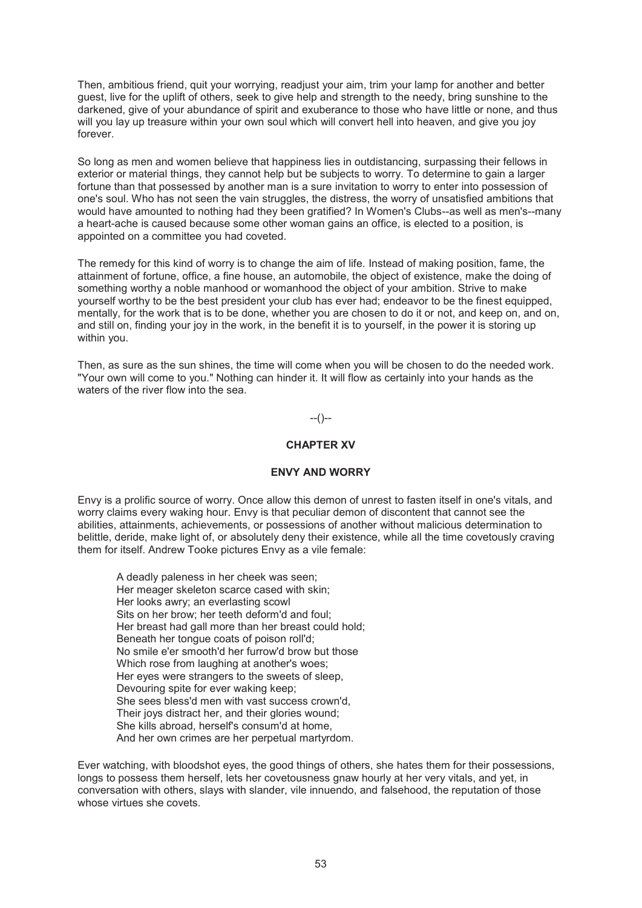Then, ambitious friend, quit your worrying, readjust your aim, trim your lamp for another and better guest, live for the uplift of others, seek to give help and strength to the needy, bring sunshine to the darkened, give of your abundance of spirit and exuberance to those who have little or none, and thus will you lay up treasure within your own soul which will convert hell into heaven, and give you joy forever.

So long as men and women believe that happiness lies in outdistancing, surpassing their fellows in exterior or material things, they cannot help but be subjects to worry. To determine to gain a larger fortune than that possessed by another man is a sure invitation to worry to enter into possession of one's soul. Who has not seen the vain struggles, the distress, the worry of unsatisfied ambitions that would have amounted to nothing had they been gratified? In Women's Clubs--as well as men's--many a heart-ache is caused because some other woman gains an office, is elected to a position, is appointed on a committee you had coveted.

The remedy for this kind of worry is to change the aim of life. Instead of making position, fame, the attainment of fortune, office, a fine house, an automobile, the object of existence, make the doing of something worthy a noble manhood or womanhood the object of your ambition. Strive to make yourself worthy to be the best president your club has ever had; endeavor to be the finest equipped, mentally, for the work that is to be done, whether you are chosen to do it or not, and keep on, and on, and still on, finding your joy in the work, in the benefit it is to yourself, in the power it is storing up within you.

Then, as sure as the sun shines, the time will come when you will be chosen to do the needed work. "Your own will come to you." Nothing can hinder it. It will flow as certainly into your hands as the waters of the river flow into the sea.

# --()--

# **CHAPTER XV**

## **ENVY AND WORRY**

Envy is a prolific source of worry. Once allow this demon of unrest to fasten itself in one's vitals, and worry claims every waking hour. Envy is that peculiar demon of discontent that cannot see the abilities, attainments, achievements, or possessions of another without malicious determination to belittle, deride, make light of, or absolutely deny their existence, while all the time covetously craving them for itself. Andrew Tooke pictures Envy as a vile female:

A deadly paleness in her cheek was seen; Her meager skeleton scarce cased with skin; Her looks awry; an everlasting scowl Sits on her brow; her teeth deform'd and foul; Her breast had gall more than her breast could hold; Beneath her tongue coats of poison roll'd; No smile e'er smooth'd her furrow'd brow but those Which rose from laughing at another's woes; Her eyes were strangers to the sweets of sleep, Devouring spite for ever waking keep; She sees bless'd men with vast success crown'd, Their joys distract her, and their glories wound; She kills abroad, herself's consum'd at home, And her own crimes are her perpetual martyrdom.

Ever watching, with bloodshot eyes, the good things of others, she hates them for their possessions, longs to possess them herself, lets her covetousness gnaw hourly at her very vitals, and yet, in conversation with others, slays with slander, vile innuendo, and falsehood, the reputation of those whose virtues she covets.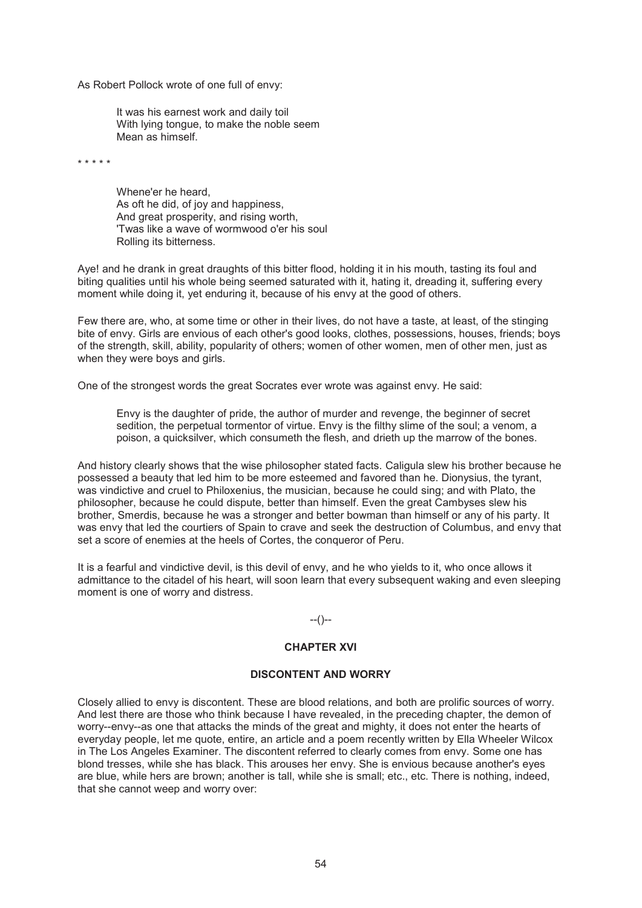As Robert Pollock wrote of one full of envy:

It was his earnest work and daily toil With lying tongue, to make the noble seem Mean as himself.

\* \* \* \* \*

Whene'er he heard, As oft he did, of joy and happiness, And great prosperity, and rising worth, 'Twas like a wave of wormwood o'er his soul Rolling its bitterness.

Aye! and he drank in great draughts of this bitter flood, holding it in his mouth, tasting its foul and biting qualities until his whole being seemed saturated with it, hating it, dreading it, suffering every moment while doing it, yet enduring it, because of his envy at the good of others.

Few there are, who, at some time or other in their lives, do not have a taste, at least, of the stinging bite of envy. Girls are envious of each other's good looks, clothes, possessions, houses, friends; boys of the strength, skill, ability, popularity of others; women of other women, men of other men, just as when they were boys and girls.

One of the strongest words the great Socrates ever wrote was against envy. He said:

Envy is the daughter of pride, the author of murder and revenge, the beginner of secret sedition, the perpetual tormentor of virtue. Envy is the filthy slime of the soul; a venom, a poison, a quicksilver, which consumeth the flesh, and drieth up the marrow of the bones.

And history clearly shows that the wise philosopher stated facts. Caligula slew his brother because he possessed a beauty that led him to be more esteemed and favored than he. Dionysius, the tyrant, was vindictive and cruel to Philoxenius, the musician, because he could sing; and with Plato, the philosopher, because he could dispute, better than himself. Even the great Cambyses slew his brother, Smerdis, because he was a stronger and better bowman than himself or any of his party. It was envy that led the courtiers of Spain to crave and seek the destruction of Columbus, and envy that set a score of enemies at the heels of Cortes, the conqueror of Peru.

It is a fearful and vindictive devil, is this devil of envy, and he who yields to it, who once allows it admittance to the citadel of his heart, will soon learn that every subsequent waking and even sleeping moment is one of worry and distress.

 $-(-)$ 

# **CHAPTER XVI**

#### **DISCONTENT AND WORRY**

Closely allied to envy is discontent. These are blood relations, and both are prolific sources of worry. And lest there are those who think because I have revealed, in the preceding chapter, the demon of worry--envy--as one that attacks the minds of the great and mighty, it does not enter the hearts of everyday people, let me quote, entire, an article and a poem recently written by Ella Wheeler Wilcox in The Los Angeles Examiner. The discontent referred to clearly comes from envy. Some one has blond tresses, while she has black. This arouses her envy. She is envious because another's eyes are blue, while hers are brown; another is tall, while she is small; etc., etc. There is nothing, indeed, that she cannot weep and worry over: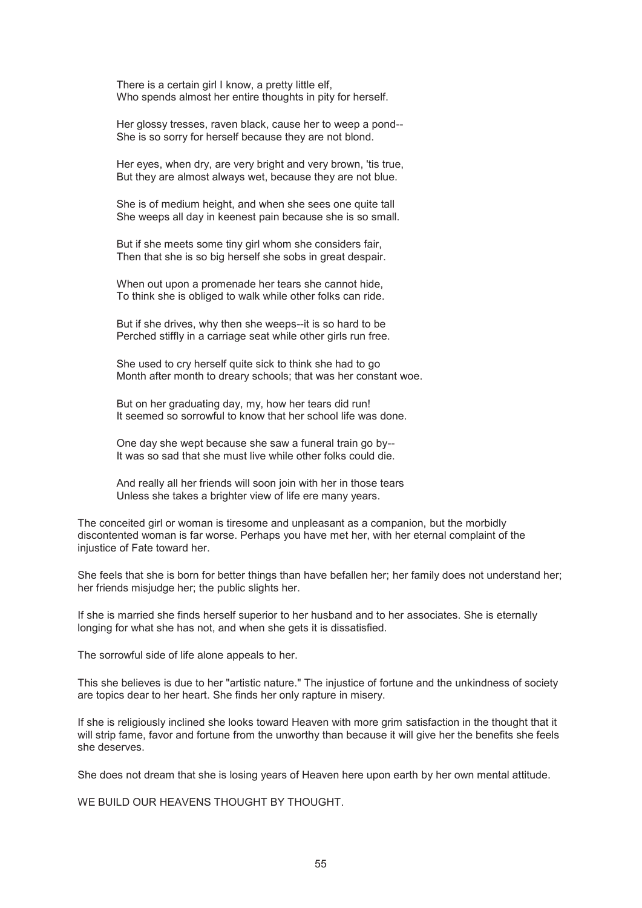There is a certain girl I know, a pretty little elf, Who spends almost her entire thoughts in pity for herself.

Her glossy tresses, raven black, cause her to weep a pond-- She is so sorry for herself because they are not blond.

Her eyes, when dry, are very bright and very brown, 'tis true, But they are almost always wet, because they are not blue.

She is of medium height, and when she sees one quite tall She weeps all day in keenest pain because she is so small.

But if she meets some tiny girl whom she considers fair, Then that she is so big herself she sobs in great despair.

When out upon a promenade her tears she cannot hide, To think she is obliged to walk while other folks can ride.

But if she drives, why then she weeps--it is so hard to be Perched stiffly in a carriage seat while other girls run free.

She used to cry herself quite sick to think she had to go Month after month to dreary schools; that was her constant woe.

But on her graduating day, my, how her tears did run! It seemed so sorrowful to know that her school life was done.

One day she wept because she saw a funeral train go by-- It was so sad that she must live while other folks could die.

And really all her friends will soon join with her in those tears Unless she takes a brighter view of life ere many years.

The conceited girl or woman is tiresome and unpleasant as a companion, but the morbidly discontented woman is far worse. Perhaps you have met her, with her eternal complaint of the injustice of Fate toward her.

She feels that she is born for better things than have befallen her; her family does not understand her; her friends misjudge her; the public slights her.

If she is married she finds herself superior to her husband and to her associates. She is eternally longing for what she has not, and when she gets it is dissatisfied.

The sorrowful side of life alone appeals to her.

This she believes is due to her "artistic nature." The injustice of fortune and the unkindness of society are topics dear to her heart. She finds her only rapture in misery.

If she is religiously inclined she looks toward Heaven with more grim satisfaction in the thought that it will strip fame, favor and fortune from the unworthy than because it will give her the benefits she feels she deserves.

She does not dream that she is losing years of Heaven here upon earth by her own mental attitude.

WE BUILD OUR HEAVENS THOUGHT BY THOUGHT.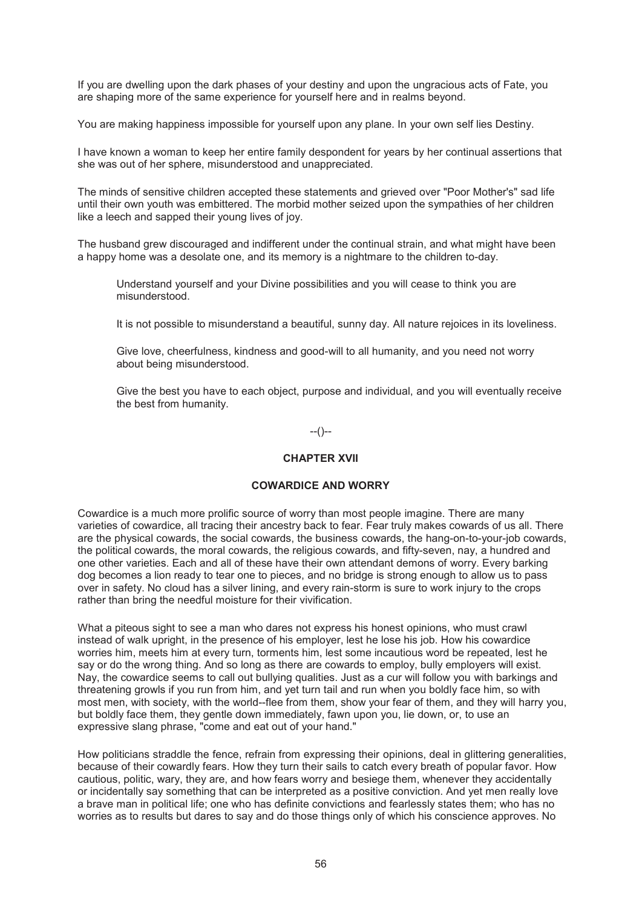If you are dwelling upon the dark phases of your destiny and upon the ungracious acts of Fate, you are shaping more of the same experience for yourself here and in realms beyond.

You are making happiness impossible for yourself upon any plane. In your own self lies Destiny.

I have known a woman to keep her entire family despondent for years by her continual assertions that she was out of her sphere, misunderstood and unappreciated.

The minds of sensitive children accepted these statements and grieved over "Poor Mother's" sad life until their own youth was embittered. The morbid mother seized upon the sympathies of her children like a leech and sapped their young lives of joy.

The husband grew discouraged and indifferent under the continual strain, and what might have been a happy home was a desolate one, and its memory is a nightmare to the children to-day.

Understand yourself and your Divine possibilities and you will cease to think you are misunderstood.

It is not possible to misunderstand a beautiful, sunny day. All nature rejoices in its loveliness.

Give love, cheerfulness, kindness and good-will to all humanity, and you need not worry about being misunderstood.

Give the best you have to each object, purpose and individual, and you will eventually receive the best from humanity.

--()--

# **CHAPTER XVII**

## **COWARDICE AND WORRY**

Cowardice is a much more prolific source of worry than most people imagine. There are many varieties of cowardice, all tracing their ancestry back to fear. Fear truly makes cowards of us all. There are the physical cowards, the social cowards, the business cowards, the hang-on-to-your-job cowards, the political cowards, the moral cowards, the religious cowards, and fifty-seven, nay, a hundred and one other varieties. Each and all of these have their own attendant demons of worry. Every barking dog becomes a lion ready to tear one to pieces, and no bridge is strong enough to allow us to pass over in safety. No cloud has a silver lining, and every rain-storm is sure to work injury to the crops rather than bring the needful moisture for their vivification.

What a piteous sight to see a man who dares not express his honest opinions, who must crawl instead of walk upright, in the presence of his employer, lest he lose his job. How his cowardice worries him, meets him at every turn, torments him, lest some incautious word be repeated, lest he say or do the wrong thing. And so long as there are cowards to employ, bully employers will exist. Nay, the cowardice seems to call out bullying qualities. Just as a cur will follow you with barkings and threatening growls if you run from him, and yet turn tail and run when you boldly face him, so with most men, with society, with the world--flee from them, show your fear of them, and they will harry you, but boldly face them, they gentle down immediately, fawn upon you, lie down, or, to use an expressive slang phrase, "come and eat out of your hand."

How politicians straddle the fence, refrain from expressing their opinions, deal in glittering generalities, because of their cowardly fears. How they turn their sails to catch every breath of popular favor. How cautious, politic, wary, they are, and how fears worry and besiege them, whenever they accidentally or incidentally say something that can be interpreted as a positive conviction. And yet men really love a brave man in political life; one who has definite convictions and fearlessly states them; who has no worries as to results but dares to say and do those things only of which his conscience approves. No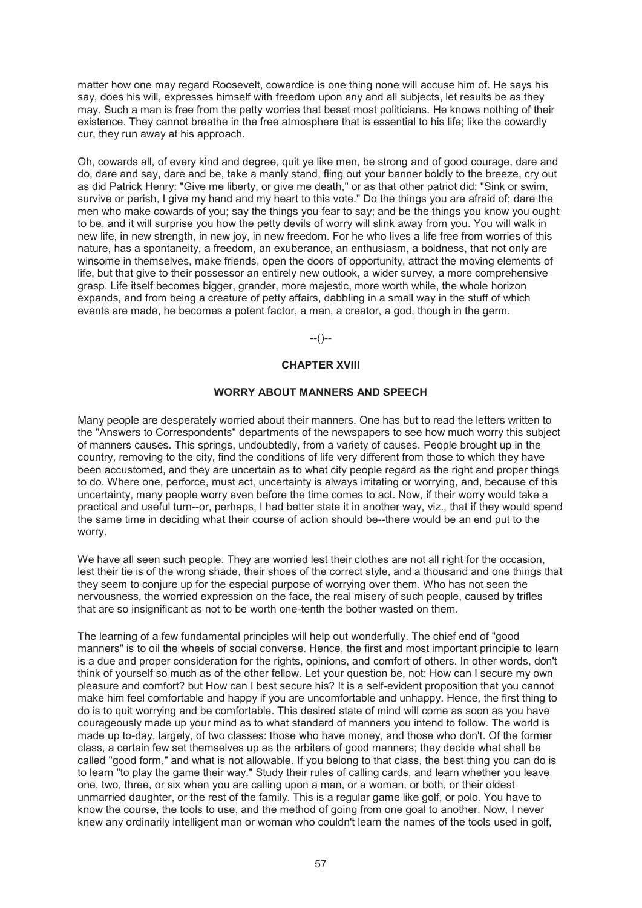matter how one may regard Roosevelt, cowardice is one thing none will accuse him of. He says his say, does his will, expresses himself with freedom upon any and all subjects, let results be as they may. Such a man is free from the petty worries that beset most politicians. He knows nothing of their existence. They cannot breathe in the free atmosphere that is essential to his life; like the cowardly cur, they run away at his approach.

Oh, cowards all, of every kind and degree, quit ye like men, be strong and of good courage, dare and do, dare and say, dare and be, take a manly stand, fling out your banner boldly to the breeze, cry out as did Patrick Henry: "Give me liberty, or give me death," or as that other patriot did: "Sink or swim, survive or perish, I give my hand and my heart to this vote." Do the things you are afraid of; dare the men who make cowards of you; say the things you fear to say; and be the things you know you ought to be, and it will surprise you how the petty devils of worry will slink away from you. You will walk in new life, in new strength, in new joy, in new freedom. For he who lives a life free from worries of this nature, has a spontaneity, a freedom, an exuberance, an enthusiasm, a boldness, that not only are winsome in themselves, make friends, open the doors of opportunity, attract the moving elements of life, but that give to their possessor an entirely new outlook, a wider survey, a more comprehensive grasp. Life itself becomes bigger, grander, more majestic, more worth while, the whole horizon expands, and from being a creature of petty affairs, dabbling in a small way in the stuff of which events are made, he becomes a potent factor, a man, a creator, a god, though in the germ.

 $-(-)$ 

# **CHAPTER XVIII**

#### **WORRY ABOUT MANNERS AND SPEECH**

Many people are desperately worried about their manners. One has but to read the letters written to the "Answers to Correspondents" departments of the newspapers to see how much worry this subject of manners causes. This springs, undoubtedly, from a variety of causes. People brought up in the country, removing to the city, find the conditions of life very different from those to which they have been accustomed, and they are uncertain as to what city people regard as the right and proper things to do. Where one, perforce, must act, uncertainty is always irritating or worrying, and, because of this uncertainty, many people worry even before the time comes to act. Now, if their worry would take a practical and useful turn--or, perhaps, I had better state it in another way, viz., that if they would spend the same time in deciding what their course of action should be--there would be an end put to the worry.

We have all seen such people. They are worried lest their clothes are not all right for the occasion, lest their tie is of the wrong shade, their shoes of the correct style, and a thousand and one things that they seem to conjure up for the especial purpose of worrying over them. Who has not seen the nervousness, the worried expression on the face, the real misery of such people, caused by trifles that are so insignificant as not to be worth one-tenth the bother wasted on them.

The learning of a few fundamental principles will help out wonderfully. The chief end of "good manners" is to oil the wheels of social converse. Hence, the first and most important principle to learn is a due and proper consideration for the rights, opinions, and comfort of others. In other words, don't think of yourself so much as of the other fellow. Let your question be, not: How can I secure my own pleasure and comfort? but How can I best secure his? It is a self-evident proposition that you cannot make him feel comfortable and happy if you are uncomfortable and unhappy. Hence, the first thing to do is to quit worrying and be comfortable. This desired state of mind will come as soon as you have courageously made up your mind as to what standard of manners you intend to follow. The world is made up to-day, largely, of two classes: those who have money, and those who don't. Of the former class, a certain few set themselves up as the arbiters of good manners; they decide what shall be called "good form," and what is not allowable. If you belong to that class, the best thing you can do is to learn "to play the game their way." Study their rules of calling cards, and learn whether you leave one, two, three, or six when you are calling upon a man, or a woman, or both, or their oldest unmarried daughter, or the rest of the family. This is a regular game like golf, or polo. You have to know the course, the tools to use, and the method of going from one goal to another. Now, I never knew any ordinarily intelligent man or woman who couldn't learn the names of the tools used in golf,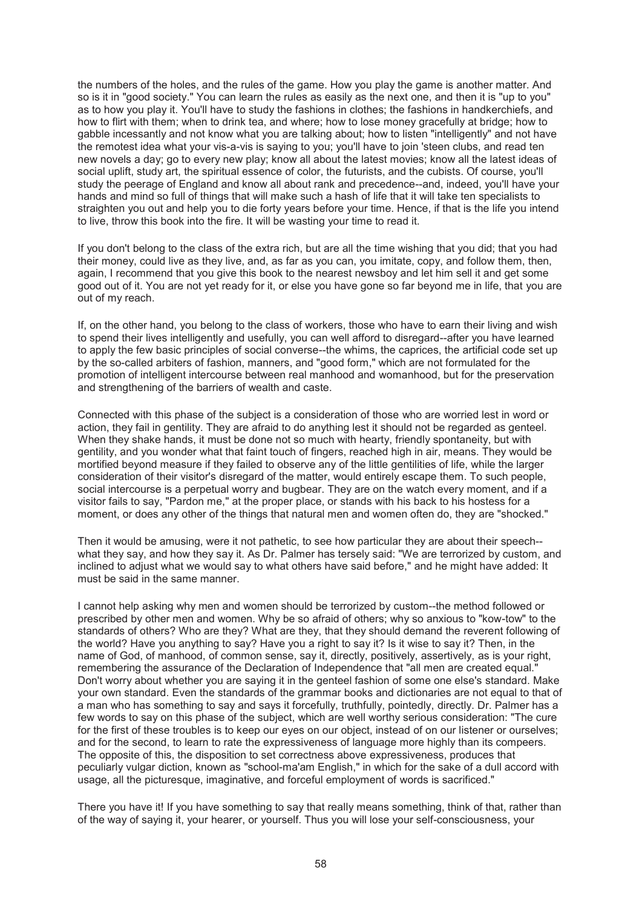the numbers of the holes, and the rules of the game. How you play the game is another matter. And so is it in "good society." You can learn the rules as easily as the next one, and then it is "up to you" as to how you play it. You'll have to study the fashions in clothes; the fashions in handkerchiefs, and how to flirt with them; when to drink tea, and where; how to lose money gracefully at bridge; how to gabble incessantly and not know what you are talking about; how to listen "intelligently" and not have the remotest idea what your vis-a-vis is saying to you; you'll have to join 'steen clubs, and read ten new novels a day; go to every new play; know all about the latest movies; know all the latest ideas of social uplift, study art, the spiritual essence of color, the futurists, and the cubists. Of course, you'll study the peerage of England and know all about rank and precedence--and, indeed, you'll have your hands and mind so full of things that will make such a hash of life that it will take ten specialists to straighten you out and help you to die forty years before your time. Hence, if that is the life you intend to live, throw this book into the fire. It will be wasting your time to read it.

If you don't belong to the class of the extra rich, but are all the time wishing that you did; that you had their money, could live as they live, and, as far as you can, you imitate, copy, and follow them, then, again, I recommend that you give this book to the nearest newsboy and let him sell it and get some good out of it. You are not yet ready for it, or else you have gone so far beyond me in life, that you are out of my reach.

If, on the other hand, you belong to the class of workers, those who have to earn their living and wish to spend their lives intelligently and usefully, you can well afford to disregard--after you have learned to apply the few basic principles of social converse--the whims, the caprices, the artificial code set up by the so-called arbiters of fashion, manners, and "good form," which are not formulated for the promotion of intelligent intercourse between real manhood and womanhood, but for the preservation and strengthening of the barriers of wealth and caste.

Connected with this phase of the subject is a consideration of those who are worried lest in word or action, they fail in gentility. They are afraid to do anything lest it should not be regarded as genteel. When they shake hands, it must be done not so much with hearty, friendly spontaneity, but with gentility, and you wonder what that faint touch of fingers, reached high in air, means. They would be mortified beyond measure if they failed to observe any of the little gentilities of life, while the larger consideration of their visitor's disregard of the matter, would entirely escape them. To such people, social intercourse is a perpetual worry and bugbear. They are on the watch every moment, and if a visitor fails to say, "Pardon me," at the proper place, or stands with his back to his hostess for a moment, or does any other of the things that natural men and women often do, they are "shocked."

Then it would be amusing, were it not pathetic, to see how particular they are about their speech- what they say, and how they say it. As Dr. Palmer has tersely said: "We are terrorized by custom, and inclined to adjust what we would say to what others have said before," and he might have added: It must be said in the same manner.

I cannot help asking why men and women should be terrorized by custom--the method followed or prescribed by other men and women. Why be so afraid of others; why so anxious to "kow-tow" to the standards of others? Who are they? What are they, that they should demand the reverent following of the world? Have you anything to say? Have you a right to say it? Is it wise to say it? Then, in the name of God, of manhood, of common sense, say it, directly, positively, assertively, as is your right, remembering the assurance of the Declaration of Independence that "all men are created equal." Don't worry about whether you are saying it in the genteel fashion of some one else's standard. Make your own standard. Even the standards of the grammar books and dictionaries are not equal to that of a man who has something to say and says it forcefully, truthfully, pointedly, directly. Dr. Palmer has a few words to say on this phase of the subject, which are well worthy serious consideration: "The cure for the first of these troubles is to keep our eyes on our object, instead of on our listener or ourselves; and for the second, to learn to rate the expressiveness of language more highly than its compeers. The opposite of this, the disposition to set correctness above expressiveness, produces that peculiarly vulgar diction, known as "school-ma'am English," in which for the sake of a dull accord with usage, all the picturesque, imaginative, and forceful employment of words is sacrificed."

There you have it! If you have something to say that really means something, think of that, rather than of the way of saying it, your hearer, or yourself. Thus you will lose your self-consciousness, your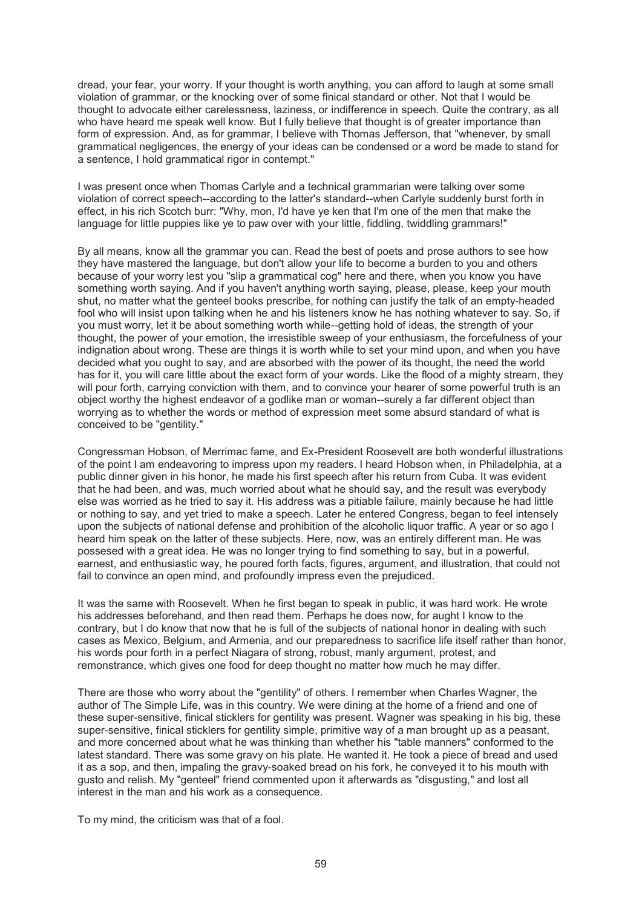dread, your fear, your worry. If your thought is worth anything, you can afford to laugh at some small violation of grammar, or the knocking over of some finical standard or other. Not that I would be thought to advocate either carelessness, laziness, or indifference in speech. Quite the contrary, as all who have heard me speak well know. But I fully believe that thought is of greater importance than form of expression. And, as for grammar, I believe with Thomas Jefferson, that "whenever, by small grammatical negligences, the energy of your ideas can be condensed or a word be made to stand for a sentence, I hold grammatical rigor in contempt."

I was present once when Thomas Carlyle and a technical grammarian were talking over some violation of correct speech--according to the latter's standard--when Carlyle suddenly burst forth in effect, in his rich Scotch burr: "Why, mon, I'd have ye ken that I'm one of the men that make the language for little puppies like ye to paw over with your little, fiddling, twiddling grammars!"

By all means, know all the grammar you can. Read the best of poets and prose authors to see how they have mastered the language, but don't allow your life to become a burden to you and others because of your worry lest you "slip a grammatical cog" here and there, when you know you have something worth saying. And if you haven't anything worth saying, please, please, keep your mouth shut, no matter what the genteel books prescribe, for nothing can justify the talk of an empty-headed fool who will insist upon talking when he and his listeners know he has nothing whatever to say. So, if you must worry, let it be about something worth while--getting hold of ideas, the strength of your thought, the power of your emotion, the irresistible sweep of your enthusiasm, the forcefulness of your indignation about wrong. These are things it is worth while to set your mind upon, and when you have decided what you ought to say, and are absorbed with the power of its thought, the need the world has for it, you will care little about the exact form of your words. Like the flood of a mighty stream, they will pour forth, carrying conviction with them, and to convince your hearer of some powerful truth is an object worthy the highest endeavor of a godlike man or woman--surely a far different object than worrying as to whether the words or method of expression meet some absurd standard of what is conceived to be "gentility."

Congressman Hobson, of Merrimac fame, and Ex-President Roosevelt are both wonderful illustrations of the point I am endeavoring to impress upon my readers. I heard Hobson when, in Philadelphia, at a public dinner given in his honor, he made his first speech after his return from Cuba. It was evident that he had been, and was, much worried about what he should say, and the result was everybody else was worried as he tried to say it. His address was a pitiable failure, mainly because he had little or nothing to say, and yet tried to make a speech. Later he entered Congress, began to feel intensely upon the subjects of national defense and prohibition of the alcoholic liquor traffic. A year or so ago I heard him speak on the latter of these subjects. Here, now, was an entirely different man. He was possesed with a great idea. He was no longer trying to find something to say, but in a powerful, earnest, and enthusiastic way, he poured forth facts, figures, argument, and illustration, that could not fail to convince an open mind, and profoundly impress even the prejudiced.

It was the same with Roosevelt. When he first began to speak in public, it was hard work. He wrote his addresses beforehand, and then read them. Perhaps he does now, for aught I know to the contrary, but I do know that now that he is full of the subjects of national honor in dealing with such cases as Mexico, Belgium, and Armenia, and our preparedness to sacrifice life itself rather than honor, his words pour forth in a perfect Niagara of strong, robust, manly argument, protest, and remonstrance, which gives one food for deep thought no matter how much he may differ.

There are those who worry about the "gentility" of others. I remember when Charles Wagner, the author of The Simple Life, was in this country. We were dining at the home of a friend and one of these super-sensitive, finical sticklers for gentility was present. Wagner was speaking in his big, these super-sensitive, finical sticklers for gentility simple, primitive way of a man brought up as a peasant, and more concerned about what he was thinking than whether his "table manners" conformed to the latest standard. There was some gravy on his plate. He wanted it. He took a piece of bread and used it as a sop, and then, impaling the gravy-soaked bread on his fork, he conveyed it to his mouth with gusto and relish. My "genteel" friend commented upon it afterwards as "disgusting," and lost all interest in the man and his work as a consequence.

To my mind, the criticism was that of a fool.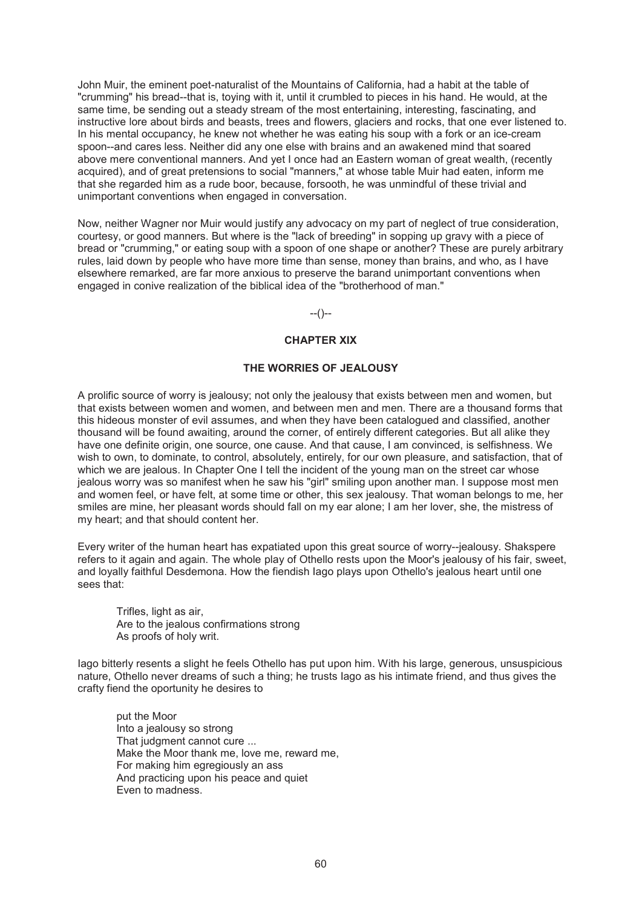John Muir, the eminent poet-naturalist of the Mountains of California, had a habit at the table of "crumming" his bread--that is, toying with it, until it crumbled to pieces in his hand. He would, at the same time, be sending out a steady stream of the most entertaining, interesting, fascinating, and instructive lore about birds and beasts, trees and flowers, glaciers and rocks, that one ever listened to. In his mental occupancy, he knew not whether he was eating his soup with a fork or an ice-cream spoon--and cares less. Neither did any one else with brains and an awakened mind that soared above mere conventional manners. And yet I once had an Eastern woman of great wealth, (recently acquired), and of great pretensions to social "manners," at whose table Muir had eaten, inform me that she regarded him as a rude boor, because, forsooth, he was unmindful of these trivial and unimportant conventions when engaged in conversation.

Now, neither Wagner nor Muir would justify any advocacy on my part of neglect of true consideration, courtesy, or good manners. But where is the "lack of breeding" in sopping up gravy with a piece of bread or "crumming," or eating soup with a spoon of one shape or another? These are purely arbitrary rules, laid down by people who have more time than sense, money than brains, and who, as I have elsewhere remarked, are far more anxious to preserve the barand unimportant conventions when engaged in conive realization of the biblical idea of the "brotherhood of man."

--()--

### **CHAPTER XIX**

### **THE WORRIES OF JEALOUSY**

A prolific source of worry is jealousy; not only the jealousy that exists between men and women, but that exists between women and women, and between men and men. There are a thousand forms that this hideous monster of evil assumes, and when they have been catalogued and classified, another thousand will be found awaiting, around the corner, of entirely different categories. But all alike they have one definite origin, one source, one cause. And that cause, I am convinced, is selfishness. We wish to own, to dominate, to control, absolutely, entirely, for our own pleasure, and satisfaction, that of which we are jealous. In Chapter One I tell the incident of the young man on the street car whose jealous worry was so manifest when he saw his "girl" smiling upon another man. I suppose most men and women feel, or have felt, at some time or other, this sex jealousy. That woman belongs to me, her smiles are mine, her pleasant words should fall on my ear alone; I am her lover, she, the mistress of my heart; and that should content her.

Every writer of the human heart has expatiated upon this great source of worry--jealousy. Shakspere refers to it again and again. The whole play of Othello rests upon the Moor's jealousy of his fair, sweet, and loyally faithful Desdemona. How the fiendish Iago plays upon Othello's jealous heart until one sees that:

Trifles, light as air, Are to the jealous confirmations strong As proofs of holy writ.

Iago bitterly resents a slight he feels Othello has put upon him. With his large, generous, unsuspicious nature, Othello never dreams of such a thing; he trusts Iago as his intimate friend, and thus gives the crafty fiend the oportunity he desires to

put the Moor Into a jealousy so strong That judgment cannot cure ... Make the Moor thank me, love me, reward me, For making him egregiously an ass And practicing upon his peace and quiet Even to madness.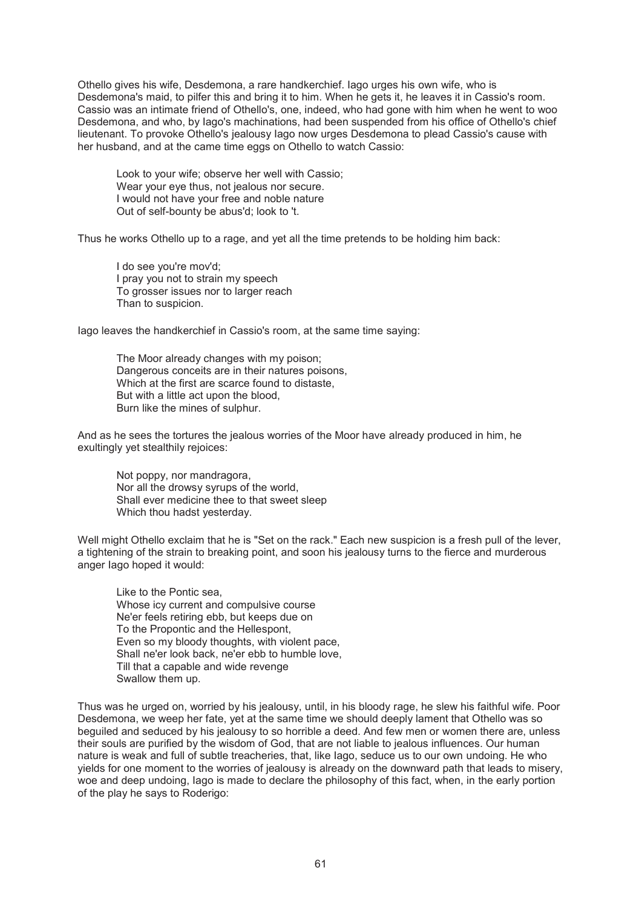Othello gives his wife, Desdemona, a rare handkerchief. Iago urges his own wife, who is Desdemona's maid, to pilfer this and bring it to him. When he gets it, he leaves it in Cassio's room. Cassio was an intimate friend of Othello's, one, indeed, who had gone with him when he went to woo Desdemona, and who, by Iago's machinations, had been suspended from his office of Othello's chief lieutenant. To provoke Othello's jealousy Iago now urges Desdemona to plead Cassio's cause with her husband, and at the came time eggs on Othello to watch Cassio:

Look to your wife; observe her well with Cassio; Wear your eye thus, not jealous nor secure. I would not have your free and noble nature Out of self-bounty be abus'd; look to 't.

Thus he works Othello up to a rage, and yet all the time pretends to be holding him back:

I do see you're mov'd; I pray you not to strain my speech To grosser issues nor to larger reach Than to suspicion.

Iago leaves the handkerchief in Cassio's room, at the same time saying:

The Moor already changes with my poison; Dangerous conceits are in their natures poisons, Which at the first are scarce found to distaste, But with a little act upon the blood, Burn like the mines of sulphur.

And as he sees the tortures the jealous worries of the Moor have already produced in him, he exultingly yet stealthily rejoices:

Not poppy, nor mandragora, Nor all the drowsy syrups of the world, Shall ever medicine thee to that sweet sleep Which thou hadst yesterday.

Well might Othello exclaim that he is "Set on the rack." Each new suspicion is a fresh pull of the lever, a tightening of the strain to breaking point, and soon his jealousy turns to the fierce and murderous anger Iago hoped it would:

Like to the Pontic sea, Whose icy current and compulsive course Ne'er feels retiring ebb, but keeps due on To the Propontic and the Hellespont, Even so my bloody thoughts, with violent pace, Shall ne'er look back, ne'er ebb to humble love, Till that a capable and wide revenge Swallow them up.

Thus was he urged on, worried by his jealousy, until, in his bloody rage, he slew his faithful wife. Poor Desdemona, we weep her fate, yet at the same time we should deeply lament that Othello was so beguiled and seduced by his jealousy to so horrible a deed. And few men or women there are, unless their souls are purified by the wisdom of God, that are not liable to jealous influences. Our human nature is weak and full of subtle treacheries, that, like Iago, seduce us to our own undoing. He who yields for one moment to the worries of jealousy is already on the downward path that leads to misery, woe and deep undoing, Iago is made to declare the philosophy of this fact, when, in the early portion of the play he says to Roderigo: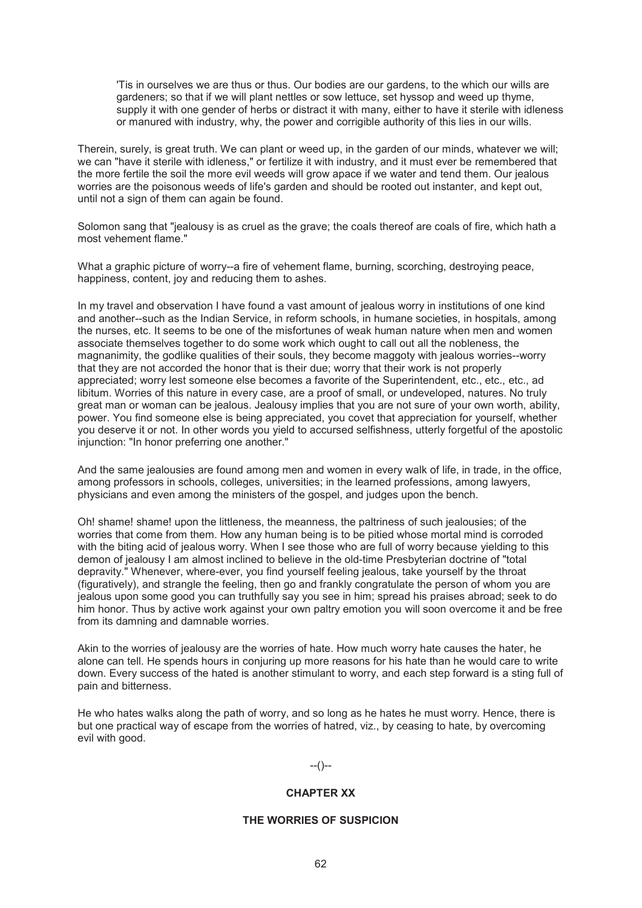'Tis in ourselves we are thus or thus. Our bodies are our gardens, to the which our wills are gardeners; so that if we will plant nettles or sow lettuce, set hyssop and weed up thyme, supply it with one gender of herbs or distract it with many, either to have it sterile with idleness or manured with industry, why, the power and corrigible authority of this lies in our wills.

Therein, surely, is great truth. We can plant or weed up, in the garden of our minds, whatever we will; we can "have it sterile with idleness," or fertilize it with industry, and it must ever be remembered that the more fertile the soil the more evil weeds will grow apace if we water and tend them. Our jealous worries are the poisonous weeds of life's garden and should be rooted out instanter, and kept out, until not a sign of them can again be found.

Solomon sang that "jealousy is as cruel as the grave; the coals thereof are coals of fire, which hath a most vehement flame."

What a graphic picture of worry--a fire of vehement flame, burning, scorching, destroying peace, happiness, content, joy and reducing them to ashes.

In my travel and observation I have found a vast amount of jealous worry in institutions of one kind and another--such as the Indian Service, in reform schools, in humane societies, in hospitals, among the nurses, etc. It seems to be one of the misfortunes of weak human nature when men and women associate themselves together to do some work which ought to call out all the nobleness, the magnanimity, the godlike qualities of their souls, they become maggoty with jealous worries--worry that they are not accorded the honor that is their due; worry that their work is not properly appreciated; worry lest someone else becomes a favorite of the Superintendent, etc., etc., etc., ad libitum. Worries of this nature in every case, are a proof of small, or undeveloped, natures. No truly great man or woman can be jealous. Jealousy implies that you are not sure of your own worth, ability, power. You find someone else is being appreciated, you covet that appreciation for yourself, whether you deserve it or not. In other words you yield to accursed selfishness, utterly forgetful of the apostolic injunction: "In honor preferring one another."

And the same jealousies are found among men and women in every walk of life, in trade, in the office, among professors in schools, colleges, universities; in the learned professions, among lawyers, physicians and even among the ministers of the gospel, and judges upon the bench.

Oh! shame! shame! upon the littleness, the meanness, the paltriness of such jealousies; of the worries that come from them. How any human being is to be pitied whose mortal mind is corroded with the biting acid of jealous worry. When I see those who are full of worry because yielding to this demon of jealousy I am almost inclined to believe in the old-time Presbyterian doctrine of "total depravity." Whenever, where-ever, you find yourself feeling jealous, take yourself by the throat (figuratively), and strangle the feeling, then go and frankly congratulate the person of whom you are jealous upon some good you can truthfully say you see in him; spread his praises abroad; seek to do him honor. Thus by active work against your own paltry emotion you will soon overcome it and be free from its damning and damnable worries.

Akin to the worries of jealousy are the worries of hate. How much worry hate causes the hater, he alone can tell. He spends hours in conjuring up more reasons for his hate than he would care to write down. Every success of the hated is another stimulant to worry, and each step forward is a sting full of pain and bitterness.

He who hates walks along the path of worry, and so long as he hates he must worry. Hence, there is but one practical way of escape from the worries of hatred, viz., by ceasing to hate, by overcoming evil with good.

#### --()--

#### **CHAPTER XX**

## **THE WORRIES OF SUSPICION**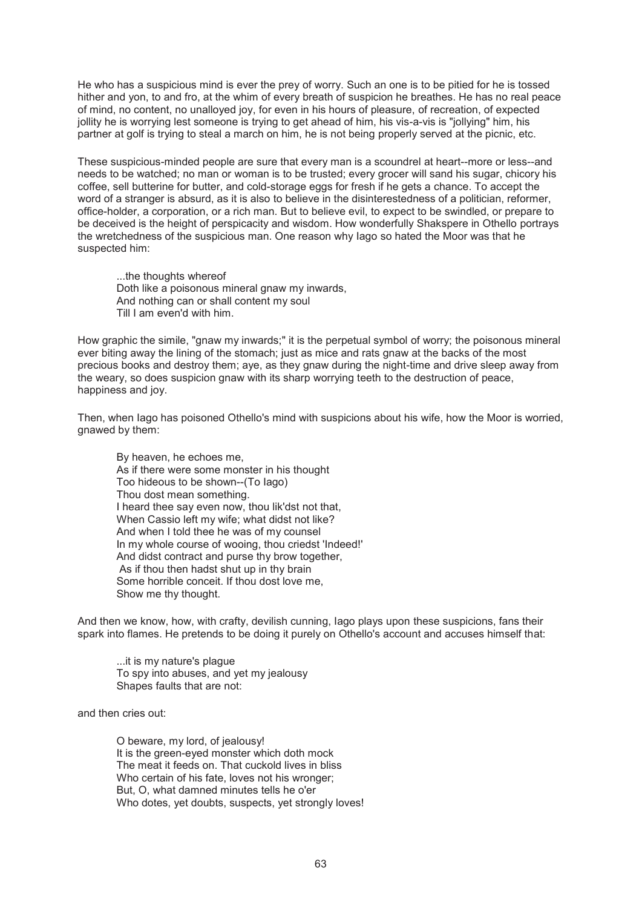He who has a suspicious mind is ever the prey of worry. Such an one is to be pitied for he is tossed hither and yon, to and fro, at the whim of every breath of suspicion he breathes. He has no real peace of mind, no content, no unalloyed joy, for even in his hours of pleasure, of recreation, of expected jollity he is worrying lest someone is trying to get ahead of him, his vis-a-vis is "jollying" him, his partner at golf is trying to steal a march on him, he is not being properly served at the picnic, etc.

These suspicious-minded people are sure that every man is a scoundrel at heart--more or less--and needs to be watched; no man or woman is to be trusted; every grocer will sand his sugar, chicory his coffee, sell butterine for butter, and cold-storage eggs for fresh if he gets a chance. To accept the word of a stranger is absurd, as it is also to believe in the disinterestedness of a politician, reformer, office-holder, a corporation, or a rich man. But to believe evil, to expect to be swindled, or prepare to be deceived is the height of perspicacity and wisdom. How wonderfully Shakspere in Othello portrays the wretchedness of the suspicious man. One reason why Iago so hated the Moor was that he suspected him:

...the thoughts whereof Doth like a poisonous mineral gnaw my inwards, And nothing can or shall content my soul Till I am even'd with him.

How graphic the simile, "gnaw my inwards;" it is the perpetual symbol of worry; the poisonous mineral ever biting away the lining of the stomach; just as mice and rats gnaw at the backs of the most precious books and destroy them; aye, as they gnaw during the night-time and drive sleep away from the weary, so does suspicion gnaw with its sharp worrying teeth to the destruction of peace, happiness and joy.

Then, when Iago has poisoned Othello's mind with suspicions about his wife, how the Moor is worried, gnawed by them:

By heaven, he echoes me, As if there were some monster in his thought Too hideous to be shown--(To Iago) Thou dost mean something. I heard thee say even now, thou lik'dst not that, When Cassio left my wife; what didst not like? And when I told thee he was of my counsel In my whole course of wooing, thou criedst 'Indeed!' And didst contract and purse thy brow together, As if thou then hadst shut up in thy brain Some horrible conceit. If thou dost love me, Show me thy thought.

And then we know, how, with crafty, devilish cunning, Iago plays upon these suspicions, fans their spark into flames. He pretends to be doing it purely on Othello's account and accuses himself that:

...it is my nature's plague To spy into abuses, and yet my jealousy Shapes faults that are not:

and then cries out:

O beware, my lord, of jealousy! It is the green-eyed monster which doth mock The meat it feeds on. That cuckold lives in bliss Who certain of his fate, loves not his wronger; But, O, what damned minutes tells he o'er Who dotes, yet doubts, suspects, yet strongly loves!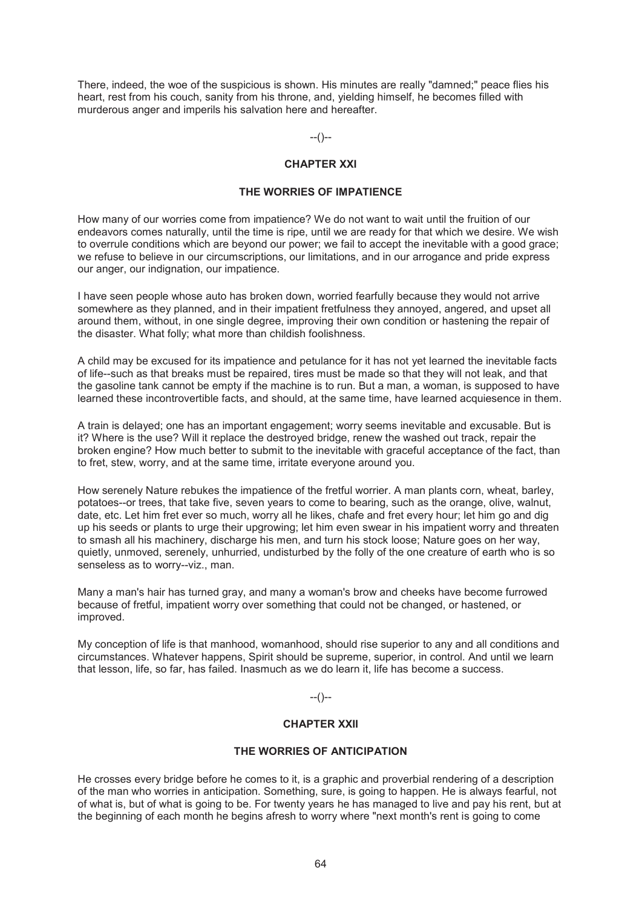There, indeed, the woe of the suspicious is shown. His minutes are really "damned;" peace flies his heart, rest from his couch, sanity from his throne, and, yielding himself, he becomes filled with murderous anger and imperils his salvation here and hereafter.

 $-(-)$ 

# **CHAPTER XXI**

## **THE WORRIES OF IMPATIENCE**

How many of our worries come from impatience? We do not want to wait until the fruition of our endeavors comes naturally, until the time is ripe, until we are ready for that which we desire. We wish to overrule conditions which are beyond our power; we fail to accept the inevitable with a good grace; we refuse to believe in our circumscriptions, our limitations, and in our arrogance and pride express our anger, our indignation, our impatience.

I have seen people whose auto has broken down, worried fearfully because they would not arrive somewhere as they planned, and in their impatient fretfulness they annoyed, angered, and upset all around them, without, in one single degree, improving their own condition or hastening the repair of the disaster. What folly; what more than childish foolishness.

A child may be excused for its impatience and petulance for it has not yet learned the inevitable facts of life--such as that breaks must be repaired, tires must be made so that they will not leak, and that the gasoline tank cannot be empty if the machine is to run. But a man, a woman, is supposed to have learned these incontrovertible facts, and should, at the same time, have learned acquiesence in them.

A train is delayed; one has an important engagement; worry seems inevitable and excusable. But is it? Where is the use? Will it replace the destroyed bridge, renew the washed out track, repair the broken engine? How much better to submit to the inevitable with graceful acceptance of the fact, than to fret, stew, worry, and at the same time, irritate everyone around you.

How serenely Nature rebukes the impatience of the fretful worrier. A man plants corn, wheat, barley, potatoes--or trees, that take five, seven years to come to bearing, such as the orange, olive, walnut, date, etc. Let him fret ever so much, worry all he likes, chafe and fret every hour; let him go and dig up his seeds or plants to urge their upgrowing; let him even swear in his impatient worry and threaten to smash all his machinery, discharge his men, and turn his stock loose; Nature goes on her way, quietly, unmoved, serenely, unhurried, undisturbed by the folly of the one creature of earth who is so senseless as to worry--viz., man.

Many a man's hair has turned gray, and many a woman's brow and cheeks have become furrowed because of fretful, impatient worry over something that could not be changed, or hastened, or improved.

My conception of life is that manhood, womanhood, should rise superior to any and all conditions and circumstances. Whatever happens, Spirit should be supreme, superior, in control. And until we learn that lesson, life, so far, has failed. Inasmuch as we do learn it, life has become a success.

#### $-(-)$

## **CHAPTER XXII**

## **THE WORRIES OF ANTICIPATION**

He crosses every bridge before he comes to it, is a graphic and proverbial rendering of a description of the man who worries in anticipation. Something, sure, is going to happen. He is always fearful, not of what is, but of what is going to be. For twenty years he has managed to live and pay his rent, but at the beginning of each month he begins afresh to worry where "next month's rent is going to come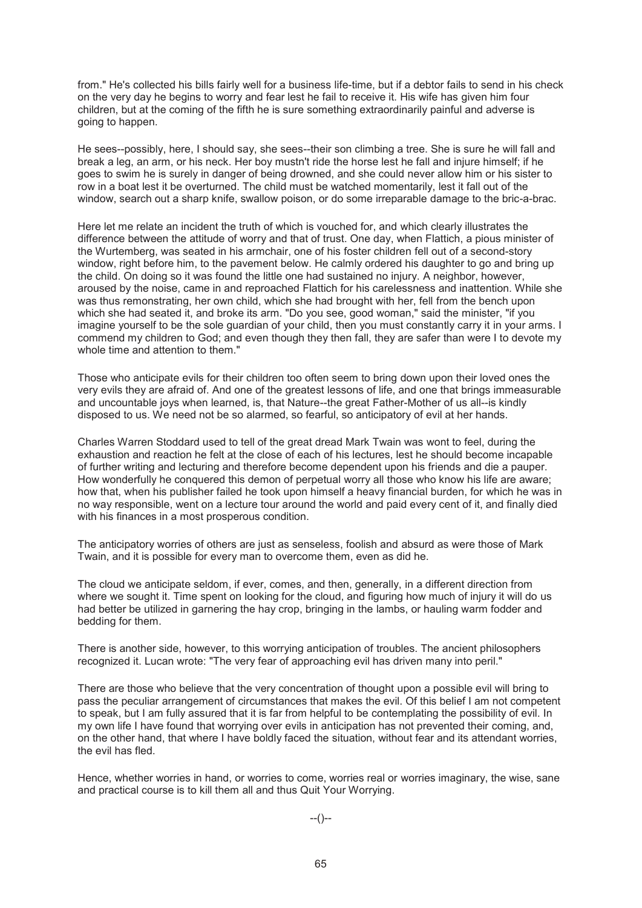from." He's collected his bills fairly well for a business life-time, but if a debtor fails to send in his check on the very day he begins to worry and fear lest he fail to receive it. His wife has given him four children, but at the coming of the fifth he is sure something extraordinarily painful and adverse is going to happen.

He sees--possibly, here, I should say, she sees--their son climbing a tree. She is sure he will fall and break a leg, an arm, or his neck. Her boy mustn't ride the horse lest he fall and injure himself; if he goes to swim he is surely in danger of being drowned, and she could never allow him or his sister to row in a boat lest it be overturned. The child must be watched momentarily, lest it fall out of the window, search out a sharp knife, swallow poison, or do some irreparable damage to the bric-a-brac.

Here let me relate an incident the truth of which is vouched for, and which clearly illustrates the difference between the attitude of worry and that of trust. One day, when Flattich, a pious minister of the Wurtemberg, was seated in his armchair, one of his foster children fell out of a second-story window, right before him, to the pavement below. He calmly ordered his daughter to go and bring up the child. On doing so it was found the little one had sustained no injury. A neighbor, however, aroused by the noise, came in and reproached Flattich for his carelessness and inattention. While she was thus remonstrating, her own child, which she had brought with her, fell from the bench upon which she had seated it, and broke its arm. "Do you see, good woman," said the minister, "if you imagine yourself to be the sole guardian of your child, then you must constantly carry it in your arms. I commend my children to God; and even though they then fall, they are safer than were I to devote my whole time and attention to them."

Those who anticipate evils for their children too often seem to bring down upon their loved ones the very evils they are afraid of. And one of the greatest lessons of life, and one that brings immeasurable and uncountable joys when learned, is, that Nature--the great Father-Mother of us all--is kindly disposed to us. We need not be so alarmed, so fearful, so anticipatory of evil at her hands.

Charles Warren Stoddard used to tell of the great dread Mark Twain was wont to feel, during the exhaustion and reaction he felt at the close of each of his lectures, lest he should become incapable of further writing and lecturing and therefore become dependent upon his friends and die a pauper. How wonderfully he conquered this demon of perpetual worry all those who know his life are aware; how that, when his publisher failed he took upon himself a heavy financial burden, for which he was in no way responsible, went on a lecture tour around the world and paid every cent of it, and finally died with his finances in a most prosperous condition.

The anticipatory worries of others are just as senseless, foolish and absurd as were those of Mark Twain, and it is possible for every man to overcome them, even as did he.

The cloud we anticipate seldom, if ever, comes, and then, generally, in a different direction from where we sought it. Time spent on looking for the cloud, and figuring how much of injury it will do us had better be utilized in garnering the hay crop, bringing in the lambs, or hauling warm fodder and bedding for them.

There is another side, however, to this worrying anticipation of troubles. The ancient philosophers recognized it. Lucan wrote: "The very fear of approaching evil has driven many into peril."

There are those who believe that the very concentration of thought upon a possible evil will bring to pass the peculiar arrangement of circumstances that makes the evil. Of this belief I am not competent to speak, but I am fully assured that it is far from helpful to be contemplating the possibility of evil. In my own life I have found that worrying over evils in anticipation has not prevented their coming, and, on the other hand, that where I have boldly faced the situation, without fear and its attendant worries, the evil has fled.

Hence, whether worries in hand, or worries to come, worries real or worries imaginary, the wise, sane and practical course is to kill them all and thus Quit Your Worrying.

--()--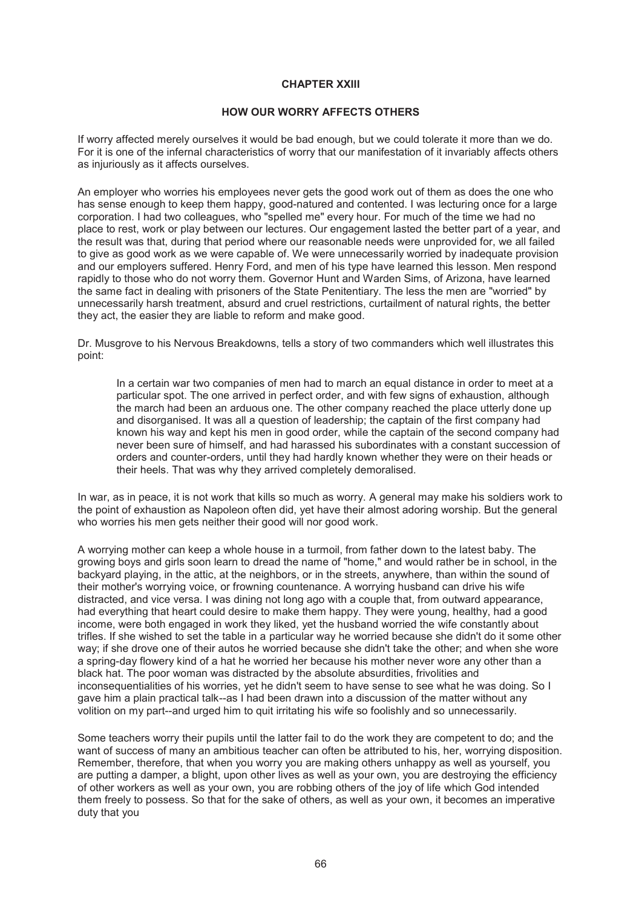# **CHAPTER XXIII**

# **HOW OUR WORRY AFFECTS OTHERS**

If worry affected merely ourselves it would be bad enough, but we could tolerate it more than we do. For it is one of the infernal characteristics of worry that our manifestation of it invariably affects others as injuriously as it affects ourselves.

An employer who worries his employees never gets the good work out of them as does the one who has sense enough to keep them happy, good-natured and contented. I was lecturing once for a large corporation. I had two colleagues, who "spelled me" every hour. For much of the time we had no place to rest, work or play between our lectures. Our engagement lasted the better part of a year, and the result was that, during that period where our reasonable needs were unprovided for, we all failed to give as good work as we were capable of. We were unnecessarily worried by inadequate provision and our employers suffered. Henry Ford, and men of his type have learned this lesson. Men respond rapidly to those who do not worry them. Governor Hunt and Warden Sims, of Arizona, have learned the same fact in dealing with prisoners of the State Penitentiary. The less the men are "worried" by unnecessarily harsh treatment, absurd and cruel restrictions, curtailment of natural rights, the better they act, the easier they are liable to reform and make good.

Dr. Musgrove to his Nervous Breakdowns, tells a story of two commanders which well illustrates this point:

In a certain war two companies of men had to march an equal distance in order to meet at a particular spot. The one arrived in perfect order, and with few signs of exhaustion, although the march had been an arduous one. The other company reached the place utterly done up and disorganised. It was all a question of leadership; the captain of the first company had known his way and kept his men in good order, while the captain of the second company had never been sure of himself, and had harassed his subordinates with a constant succession of orders and counter-orders, until they had hardly known whether they were on their heads or their heels. That was why they arrived completely demoralised.

In war, as in peace, it is not work that kills so much as worry. A general may make his soldiers work to the point of exhaustion as Napoleon often did, yet have their almost adoring worship. But the general who worries his men gets neither their good will nor good work.

A worrying mother can keep a whole house in a turmoil, from father down to the latest baby. The growing boys and girls soon learn to dread the name of "home," and would rather be in school, in the backyard playing, in the attic, at the neighbors, or in the streets, anywhere, than within the sound of their mother's worrying voice, or frowning countenance. A worrying husband can drive his wife distracted, and vice versa. I was dining not long ago with a couple that, from outward appearance, had everything that heart could desire to make them happy. They were young, healthy, had a good income, were both engaged in work they liked, yet the husband worried the wife constantly about trifles. If she wished to set the table in a particular way he worried because she didn't do it some other way; if she drove one of their autos he worried because she didn't take the other; and when she wore a spring-day flowery kind of a hat he worried her because his mother never wore any other than a black hat. The poor woman was distracted by the absolute absurdities, frivolities and inconsequentialities of his worries, yet he didn't seem to have sense to see what he was doing. So I gave him a plain practical talk--as I had been drawn into a discussion of the matter without any volition on my part--and urged him to quit irritating his wife so foolishly and so unnecessarily.

Some teachers worry their pupils until the latter fail to do the work they are competent to do; and the want of success of many an ambitious teacher can often be attributed to his, her, worrying disposition. Remember, therefore, that when you worry you are making others unhappy as well as yourself, you are putting a damper, a blight, upon other lives as well as your own, you are destroying the efficiency of other workers as well as your own, you are robbing others of the joy of life which God intended them freely to possess. So that for the sake of others, as well as your own, it becomes an imperative duty that you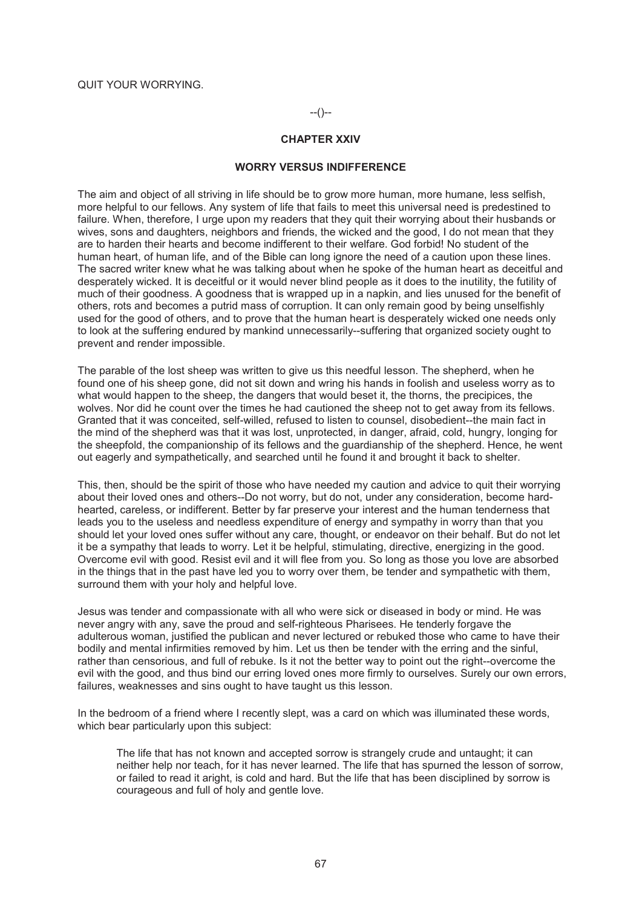#### **CHAPTER XXIV**

#### **WORRY VERSUS INDIFFERENCE**

The aim and object of all striving in life should be to grow more human, more humane, less selfish, more helpful to our fellows. Any system of life that fails to meet this universal need is predestined to failure. When, therefore, I urge upon my readers that they quit their worrying about their husbands or wives, sons and daughters, neighbors and friends, the wicked and the good, I do not mean that they are to harden their hearts and become indifferent to their welfare. God forbid! No student of the human heart, of human life, and of the Bible can long ignore the need of a caution upon these lines. The sacred writer knew what he was talking about when he spoke of the human heart as deceitful and desperately wicked. It is deceitful or it would never blind people as it does to the inutility, the futility of much of their goodness. A goodness that is wrapped up in a napkin, and lies unused for the benefit of others, rots and becomes a putrid mass of corruption. It can only remain good by being unselfishly used for the good of others, and to prove that the human heart is desperately wicked one needs only to look at the suffering endured by mankind unnecessarily--suffering that organized society ought to prevent and render impossible.

The parable of the lost sheep was written to give us this needful lesson. The shepherd, when he found one of his sheep gone, did not sit down and wring his hands in foolish and useless worry as to what would happen to the sheep, the dangers that would beset it, the thorns, the precipices, the wolves. Nor did he count over the times he had cautioned the sheep not to get away from its fellows. Granted that it was conceited, self-willed, refused to listen to counsel, disobedient--the main fact in the mind of the shepherd was that it was lost, unprotected, in danger, afraid, cold, hungry, longing for the sheepfold, the companionship of its fellows and the guardianship of the shepherd. Hence, he went out eagerly and sympathetically, and searched until he found it and brought it back to shelter.

This, then, should be the spirit of those who have needed my caution and advice to quit their worrying about their loved ones and others--Do not worry, but do not, under any consideration, become hardhearted, careless, or indifferent. Better by far preserve your interest and the human tenderness that leads you to the useless and needless expenditure of energy and sympathy in worry than that you should let your loved ones suffer without any care, thought, or endeavor on their behalf. But do not let it be a sympathy that leads to worry. Let it be helpful, stimulating, directive, energizing in the good. Overcome evil with good. Resist evil and it will flee from you. So long as those you love are absorbed in the things that in the past have led you to worry over them, be tender and sympathetic with them, surround them with your holy and helpful love.

Jesus was tender and compassionate with all who were sick or diseased in body or mind. He was never angry with any, save the proud and self-righteous Pharisees. He tenderly forgave the adulterous woman, justified the publican and never lectured or rebuked those who came to have their bodily and mental infirmities removed by him. Let us then be tender with the erring and the sinful, rather than censorious, and full of rebuke. Is it not the better way to point out the right--overcome the evil with the good, and thus bind our erring loved ones more firmly to ourselves. Surely our own errors, failures, weaknesses and sins ought to have taught us this lesson.

In the bedroom of a friend where I recently slept, was a card on which was illuminated these words, which bear particularly upon this subject:

The life that has not known and accepted sorrow is strangely crude and untaught; it can neither help nor teach, for it has never learned. The life that has spurned the lesson of sorrow, or failed to read it aright, is cold and hard. But the life that has been disciplined by sorrow is courageous and full of holy and gentle love.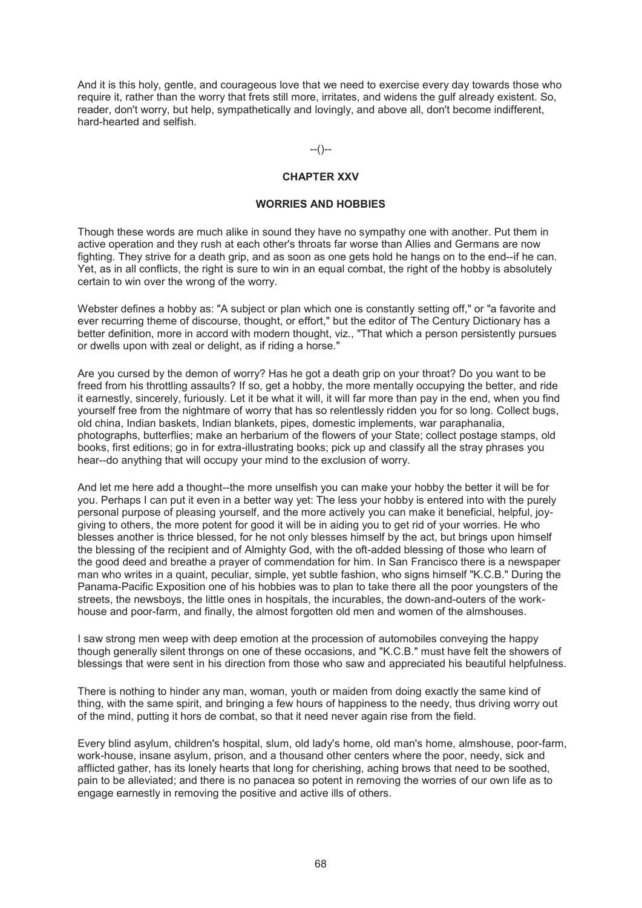And it is this holy, gentle, and courageous love that we need to exercise every day towards those who require it, rather than the worry that frets still more, irritates, and widens the gulf already existent. So, reader, don't worry, but help, sympathetically and lovingly, and above all, don't become indifferent, hard-hearted and selfish.

 $-(-)$ 

# **CHAPTER XXV**

#### **WORRIES AND HOBBIES**

Though these words are much alike in sound they have no sympathy one with another. Put them in active operation and they rush at each other's throats far worse than Allies and Germans are now fighting. They strive for a death grip, and as soon as one gets hold he hangs on to the end--if he can. Yet, as in all conflicts, the right is sure to win in an equal combat, the right of the hobby is absolutely certain to win over the wrong of the worry.

Webster defines a hobby as: "A subject or plan which one is constantly setting off," or "a favorite and ever recurring theme of discourse, thought, or effort," but the editor of The Century Dictionary has a better definition, more in accord with modern thought, viz., "That which a person persistently pursues or dwells upon with zeal or delight, as if riding a horse."

Are you cursed by the demon of worry? Has he got a death grip on your throat? Do you want to be freed from his throttling assaults? If so, get a hobby, the more mentally occupying the better, and ride it earnestly, sincerely, furiously. Let it be what it will, it will far more than pay in the end, when you find yourself free from the nightmare of worry that has so relentlessly ridden you for so long. Collect bugs, old china, Indian baskets, Indian blankets, pipes, domestic implements, war paraphanalia, photographs, butterflies; make an herbarium of the flowers of your State; collect postage stamps, old books, first editions; go in for extra-illustrating books; pick up and classify all the stray phrases you hear--do anything that will occupy your mind to the exclusion of worry.

And let me here add a thought--the more unselfish you can make your hobby the better it will be for you. Perhaps I can put it even in a better way yet: The less your hobby is entered into with the purely personal purpose of pleasing yourself, and the more actively you can make it beneficial, helpful, joygiving to others, the more potent for good it will be in aiding you to get rid of your worries. He who blesses another is thrice blessed, for he not only blesses himself by the act, but brings upon himself the blessing of the recipient and of Almighty God, with the oft-added blessing of those who learn of the good deed and breathe a prayer of commendation for him. In San Francisco there is a newspaper man who writes in a quaint, peculiar, simple, yet subtle fashion, who signs himself "K.C.B." During the Panama-Pacific Exposition one of his hobbies was to plan to take there all the poor youngsters of the streets, the newsboys, the little ones in hospitals, the incurables, the down-and-outers of the workhouse and poor-farm, and finally, the almost forgotten old men and women of the almshouses.

I saw strong men weep with deep emotion at the procession of automobiles conveying the happy though generally silent throngs on one of these occasions, and "K.C.B." must have felt the showers of blessings that were sent in his direction from those who saw and appreciated his beautiful helpfulness.

There is nothing to hinder any man, woman, youth or maiden from doing exactly the same kind of thing, with the same spirit, and bringing a few hours of happiness to the needy, thus driving worry out of the mind, putting it hors de combat, so that it need never again rise from the field.

Every blind asylum, children's hospital, slum, old lady's home, old man's home, almshouse, poor-farm, work-house, insane asylum, prison, and a thousand other centers where the poor, needy, sick and afflicted gather, has its lonely hearts that long for cherishing, aching brows that need to be soothed, pain to be alleviated; and there is no panacea so potent in removing the worries of our own life as to engage earnestly in removing the positive and active ills of others.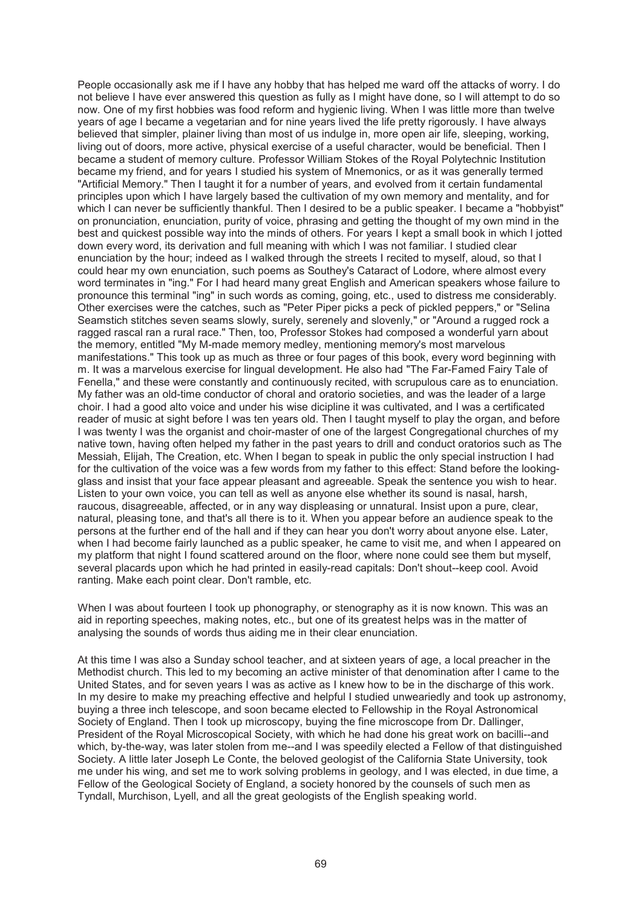People occasionally ask me if I have any hobby that has helped me ward off the attacks of worry. I do not believe I have ever answered this question as fully as I might have done, so I will attempt to do so now. One of my first hobbies was food reform and hygienic living. When I was little more than twelve years of age I became a vegetarian and for nine years lived the life pretty rigorously. I have always believed that simpler, plainer living than most of us indulge in, more open air life, sleeping, working, living out of doors, more active, physical exercise of a useful character, would be beneficial. Then I became a student of memory culture. Professor William Stokes of the Royal Polytechnic Institution became my friend, and for years I studied his system of Mnemonics, or as it was generally termed "Artificial Memory." Then I taught it for a number of years, and evolved from it certain fundamental principles upon which I have largely based the cultivation of my own memory and mentality, and for which I can never be sufficiently thankful. Then I desired to be a public speaker. I became a "hobbyist" on pronunciation, enunciation, purity of voice, phrasing and getting the thought of my own mind in the best and quickest possible way into the minds of others. For years I kept a small book in which I jotted down every word, its derivation and full meaning with which I was not familiar. I studied clear enunciation by the hour; indeed as I walked through the streets I recited to myself, aloud, so that I could hear my own enunciation, such poems as Southey's Cataract of Lodore, where almost every word terminates in "ing." For I had heard many great English and American speakers whose failure to pronounce this terminal "ing" in such words as coming, going, etc., used to distress me considerably. Other exercises were the catches, such as "Peter Piper picks a peck of pickled peppers," or "Selina Seamstich stitches seven seams slowly, surely, serenely and slovenly," or "Around a rugged rock a ragged rascal ran a rural race." Then, too, Professor Stokes had composed a wonderful yarn about the memory, entitled "My M-made memory medley, mentioning memory's most marvelous manifestations." This took up as much as three or four pages of this book, every word beginning with m. It was a marvelous exercise for lingual development. He also had "The Far-Famed Fairy Tale of Fenella," and these were constantly and continuously recited, with scrupulous care as to enunciation. My father was an old-time conductor of choral and oratorio societies, and was the leader of a large choir. I had a good alto voice and under his wise dicipline it was cultivated, and I was a certificated reader of music at sight before I was ten years old. Then I taught myself to play the organ, and before I was twenty I was the organist and choir-master of one of the largest Congregational churches of my native town, having often helped my father in the past years to drill and conduct oratorios such as The Messiah, Elijah, The Creation, etc. When I began to speak in public the only special instruction I had for the cultivation of the voice was a few words from my father to this effect: Stand before the lookingglass and insist that your face appear pleasant and agreeable. Speak the sentence you wish to hear. Listen to your own voice, you can tell as well as anyone else whether its sound is nasal, harsh, raucous, disagreeable, affected, or in any way displeasing or unnatural. Insist upon a pure, clear, natural, pleasing tone, and that's all there is to it. When you appear before an audience speak to the persons at the further end of the hall and if they can hear you don't worry about anyone else. Later, when I had become fairly launched as a public speaker, he came to visit me, and when I appeared on my platform that night I found scattered around on the floor, where none could see them but myself, several placards upon which he had printed in easily-read capitals: Don't shout--keep cool. Avoid ranting. Make each point clear. Don't ramble, etc.

When I was about fourteen I took up phonography, or stenography as it is now known. This was an aid in reporting speeches, making notes, etc., but one of its greatest helps was in the matter of analysing the sounds of words thus aiding me in their clear enunciation.

At this time I was also a Sunday school teacher, and at sixteen years of age, a local preacher in the Methodist church. This led to my becoming an active minister of that denomination after I came to the United States, and for seven years I was as active as I knew how to be in the discharge of this work. In my desire to make my preaching effective and helpful I studied unweariedly and took up astronomy, buying a three inch telescope, and soon became elected to Fellowship in the Royal Astronomical Society of England. Then I took up microscopy, buying the fine microscope from Dr. Dallinger, President of the Royal Microscopical Society, with which he had done his great work on bacilli--and which, by-the-way, was later stolen from me--and I was speedily elected a Fellow of that distinguished Society. A little later Joseph Le Conte, the beloved geologist of the California State University, took me under his wing, and set me to work solving problems in geology, and I was elected, in due time, a Fellow of the Geological Society of England, a society honored by the counsels of such men as Tyndall, Murchison, Lyell, and all the great geologists of the English speaking world.